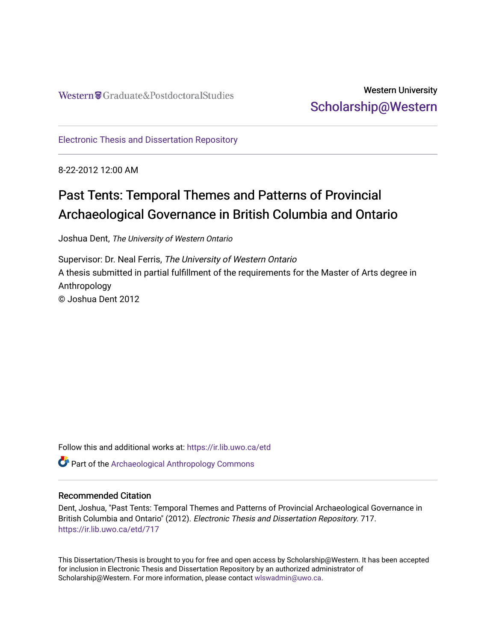## Western University [Scholarship@Western](https://ir.lib.uwo.ca/)

[Electronic Thesis and Dissertation Repository](https://ir.lib.uwo.ca/etd)

8-22-2012 12:00 AM

# Past Tents: Temporal Themes and Patterns of Provincial Archaeological Governance in British Columbia and Ontario

Joshua Dent, The University of Western Ontario

Supervisor: Dr. Neal Ferris, The University of Western Ontario A thesis submitted in partial fulfillment of the requirements for the Master of Arts degree in Anthropology © Joshua Dent 2012

Follow this and additional works at: [https://ir.lib.uwo.ca/etd](https://ir.lib.uwo.ca/etd?utm_source=ir.lib.uwo.ca%2Fetd%2F717&utm_medium=PDF&utm_campaign=PDFCoverPages) 

Part of the [Archaeological Anthropology Commons](http://network.bepress.com/hgg/discipline/319?utm_source=ir.lib.uwo.ca%2Fetd%2F717&utm_medium=PDF&utm_campaign=PDFCoverPages)

#### Recommended Citation

Dent, Joshua, "Past Tents: Temporal Themes and Patterns of Provincial Archaeological Governance in British Columbia and Ontario" (2012). Electronic Thesis and Dissertation Repository. 717. [https://ir.lib.uwo.ca/etd/717](https://ir.lib.uwo.ca/etd/717?utm_source=ir.lib.uwo.ca%2Fetd%2F717&utm_medium=PDF&utm_campaign=PDFCoverPages) 

This Dissertation/Thesis is brought to you for free and open access by Scholarship@Western. It has been accepted for inclusion in Electronic Thesis and Dissertation Repository by an authorized administrator of Scholarship@Western. For more information, please contact [wlswadmin@uwo.ca.](mailto:wlswadmin@uwo.ca)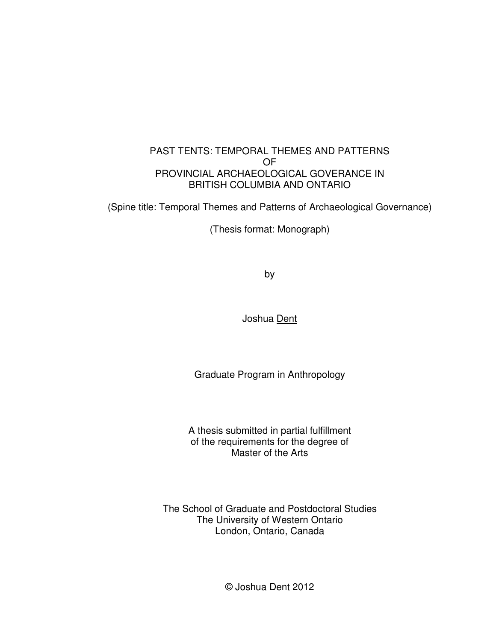#### PAST TENTS: TEMPORAL THEMES AND PATTERNS OF PROVINCIAL ARCHAEOLOGICAL GOVERANCE IN BRITISH COLUMBIA AND ONTARIO

(Spine title: Temporal Themes and Patterns of Archaeological Governance)

(Thesis format: Monograph)

by

Joshua Dent

Graduate Program in Anthropology

A thesis submitted in partial fulfillment of the requirements for the degree of Master of the Arts

The School of Graduate and Postdoctoral Studies The University of Western Ontario London, Ontario, Canada

© Joshua Dent 2012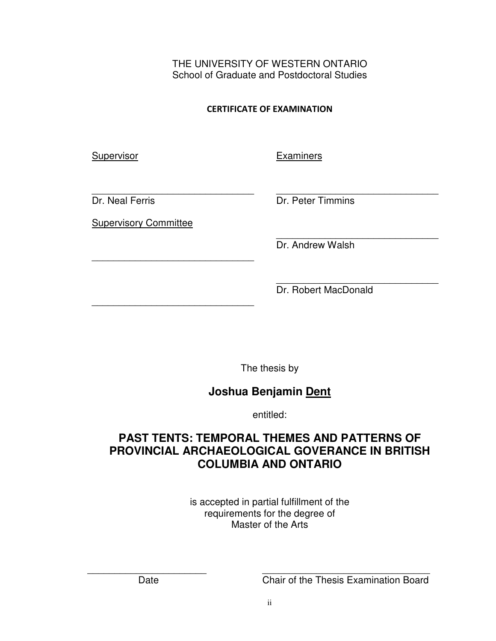THE UNIVERSITY OF WESTERN ONTARIO School of Graduate and Postdoctoral Studies

CERTIFICATE OF EXAMINATION

Supervisor

**Examiners** 

\_\_\_\_\_\_\_\_\_\_\_\_\_\_\_\_\_\_\_\_\_\_\_\_\_\_\_\_\_\_ Dr. Neal Ferris

Supervisory Committee

\_\_\_\_\_\_\_\_\_\_\_\_\_\_\_\_\_\_\_\_\_\_\_\_\_\_\_\_\_\_

\_\_\_\_\_\_\_\_\_\_\_\_\_\_\_\_\_\_\_\_\_\_\_\_\_\_\_\_\_\_

\_\_\_\_\_\_\_\_\_\_\_\_\_\_\_\_\_\_\_\_\_\_\_\_\_\_\_\_\_\_ Dr. Peter Timmins

\_\_\_\_\_\_\_\_\_\_\_\_\_\_\_\_\_\_\_\_\_\_\_\_\_\_\_\_\_\_ Dr. Andrew Walsh

\_\_\_\_\_\_\_\_\_\_\_\_\_\_\_\_\_\_\_\_\_\_\_\_\_\_\_\_\_\_ Dr. Robert MacDonald

The thesis by

## **Joshua Benjamin Dent**

entitled:

## **PAST TENTS: TEMPORAL THEMES AND PATTERNS OF PROVINCIAL ARCHAEOLOGICAL GOVERANCE IN BRITISH COLUMBIA AND ONTARIO**

is accepted in partial fulfillment of the requirements for the degree of Master of the Arts

 $\overline{\phantom{a}}$  , and the contract of the contract of the contract of the contract of the contract of the contract of the contract of the contract of the contract of the contract of the contract of the contract of the contrac Date Chair of the Thesis Examination Board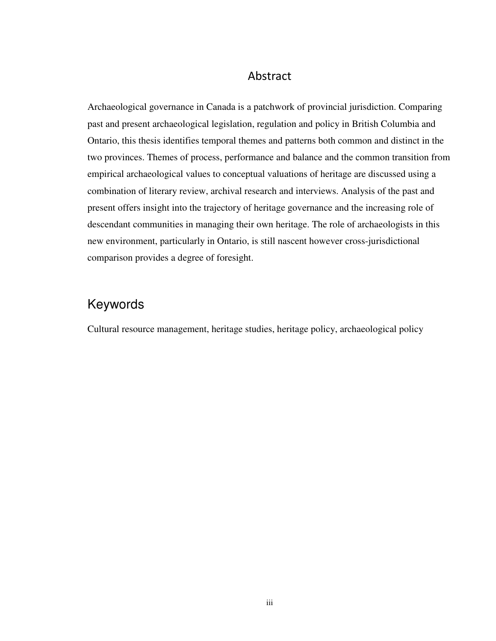#### Abstract

Archaeological governance in Canada is a patchwork of provincial jurisdiction. Comparing past and present archaeological legislation, regulation and policy in British Columbia and Ontario, this thesis identifies temporal themes and patterns both common and distinct in the two provinces. Themes of process, performance and balance and the common transition from empirical archaeological values to conceptual valuations of heritage are discussed using a combination of literary review, archival research and interviews. Analysis of the past and present offers insight into the trajectory of heritage governance and the increasing role of descendant communities in managing their own heritage. The role of archaeologists in this new environment, particularly in Ontario, is still nascent however cross-jurisdictional comparison provides a degree of foresight.

# Keywords

Cultural resource management, heritage studies, heritage policy, archaeological policy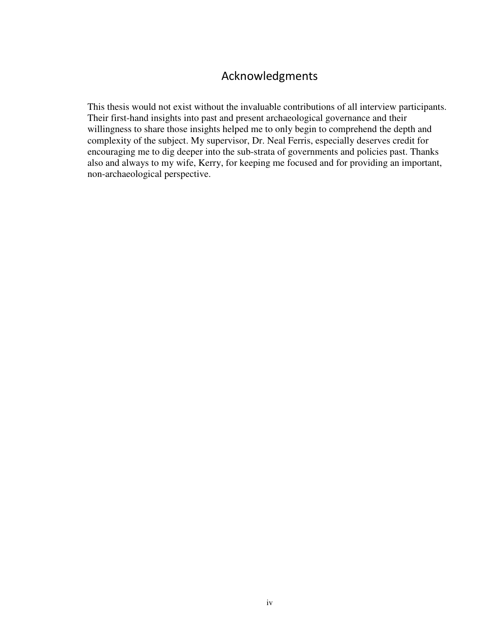## Acknowledgments

This thesis would not exist without the invaluable contributions of all interview participants. Their first-hand insights into past and present archaeological governance and their willingness to share those insights helped me to only begin to comprehend the depth and complexity of the subject. My supervisor, Dr. Neal Ferris, especially deserves credit for encouraging me to dig deeper into the sub-strata of governments and policies past. Thanks also and always to my wife, Kerry, for keeping me focused and for providing an important, non-archaeological perspective.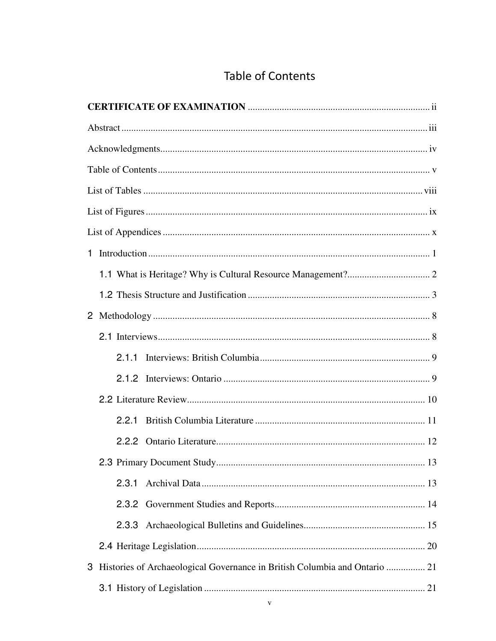| 2.2.1                                                                        |  |
|------------------------------------------------------------------------------|--|
|                                                                              |  |
|                                                                              |  |
| 2.3.1                                                                        |  |
|                                                                              |  |
| 2.3.3                                                                        |  |
|                                                                              |  |
| 3 Histories of Archaeological Governance in British Columbia and Ontario  21 |  |
|                                                                              |  |

# **Table of Contents**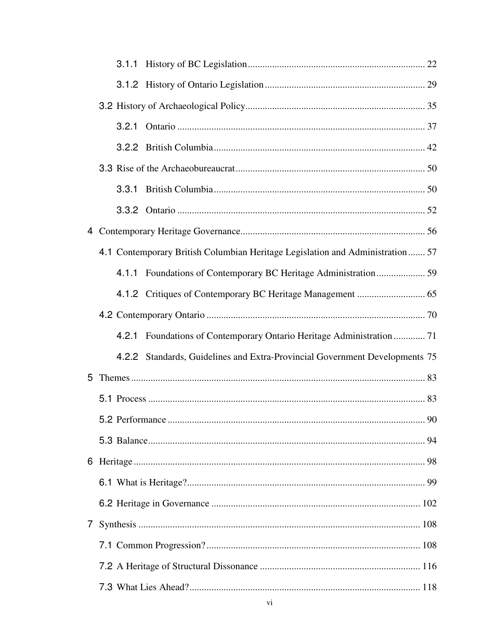|   |  | 4.1 Contemporary British Columbian Heritage Legislation and Administration  57 |  |
|---|--|--------------------------------------------------------------------------------|--|
|   |  |                                                                                |  |
|   |  |                                                                                |  |
|   |  |                                                                                |  |
|   |  | 4.2.1 Foundations of Contemporary Ontario Heritage Administration  71          |  |
|   |  | 4.2.2 Standards, Guidelines and Extra-Provincial Government Developments 75    |  |
|   |  |                                                                                |  |
|   |  |                                                                                |  |
|   |  |                                                                                |  |
|   |  |                                                                                |  |
|   |  |                                                                                |  |
|   |  |                                                                                |  |
|   |  |                                                                                |  |
| 7 |  |                                                                                |  |
|   |  |                                                                                |  |
|   |  |                                                                                |  |
|   |  |                                                                                |  |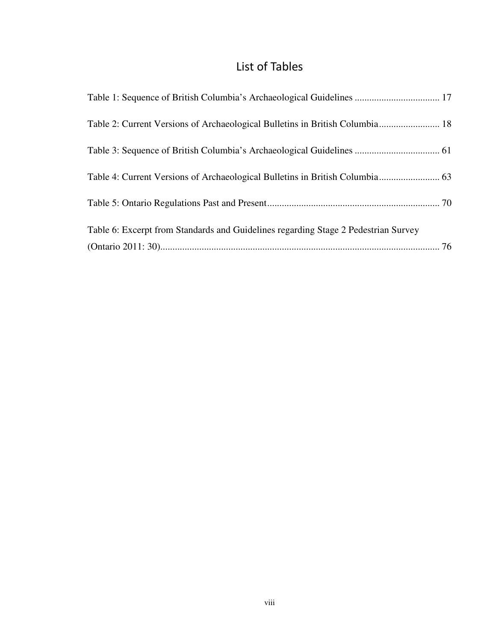# List of Tables

| Table 1: Sequence of British Columbia's Archaeological Guidelines  17              |  |
|------------------------------------------------------------------------------------|--|
| Table 2: Current Versions of Archaeological Bulletins in British Columbia 18       |  |
|                                                                                    |  |
|                                                                                    |  |
|                                                                                    |  |
| Table 6: Excerpt from Standards and Guidelines regarding Stage 2 Pedestrian Survey |  |
|                                                                                    |  |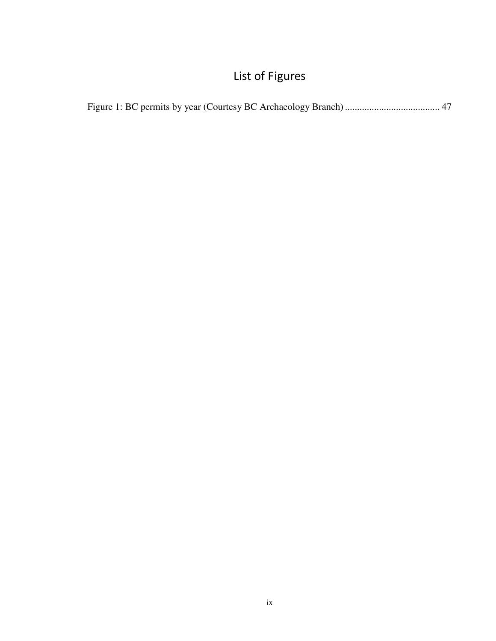# List of Figures

|--|--|--|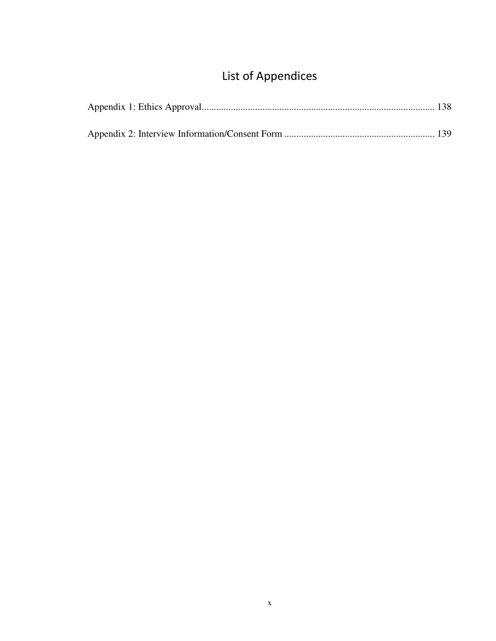# List of Appendices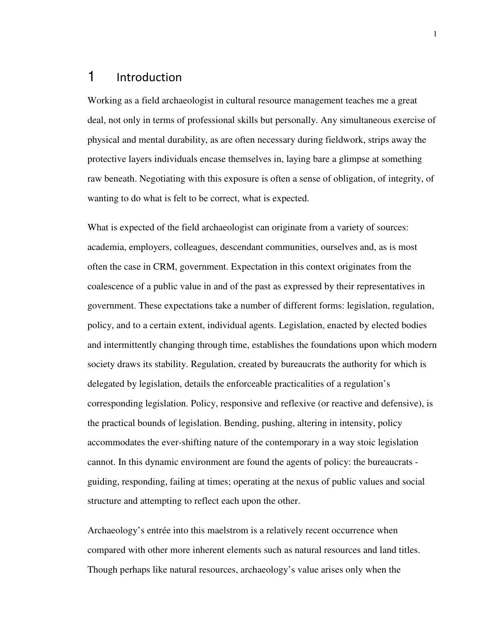### 1 Introduction

Working as a field archaeologist in cultural resource management teaches me a great deal, not only in terms of professional skills but personally. Any simultaneous exercise of physical and mental durability, as are often necessary during fieldwork, strips away the protective layers individuals encase themselves in, laying bare a glimpse at something raw beneath. Negotiating with this exposure is often a sense of obligation, of integrity, of wanting to do what is felt to be correct, what is expected.

What is expected of the field archaeologist can originate from a variety of sources: academia, employers, colleagues, descendant communities, ourselves and, as is most often the case in CRM, government. Expectation in this context originates from the coalescence of a public value in and of the past as expressed by their representatives in government. These expectations take a number of different forms: legislation, regulation, policy, and to a certain extent, individual agents. Legislation, enacted by elected bodies and intermittently changing through time, establishes the foundations upon which modern society draws its stability. Regulation, created by bureaucrats the authority for which is delegated by legislation, details the enforceable practicalities of a regulation's corresponding legislation. Policy, responsive and reflexive (or reactive and defensive), is the practical bounds of legislation. Bending, pushing, altering in intensity, policy accommodates the ever-shifting nature of the contemporary in a way stoic legislation cannot. In this dynamic environment are found the agents of policy: the bureaucrats guiding, responding, failing at times; operating at the nexus of public values and social structure and attempting to reflect each upon the other.

Archaeology's entrée into this maelstrom is a relatively recent occurrence when compared with other more inherent elements such as natural resources and land titles. Though perhaps like natural resources, archaeology's value arises only when the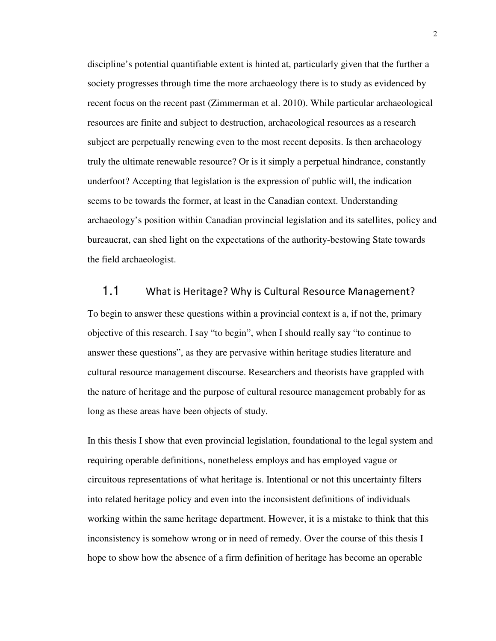discipline's potential quantifiable extent is hinted at, particularly given that the further a society progresses through time the more archaeology there is to study as evidenced by recent focus on the recent past (Zimmerman et al. 2010). While particular archaeological resources are finite and subject to destruction, archaeological resources as a research subject are perpetually renewing even to the most recent deposits. Is then archaeology truly the ultimate renewable resource? Or is it simply a perpetual hindrance, constantly underfoot? Accepting that legislation is the expression of public will, the indication seems to be towards the former, at least in the Canadian context. Understanding archaeology's position within Canadian provincial legislation and its satellites, policy and bureaucrat, can shed light on the expectations of the authority-bestowing State towards the field archaeologist.

#### 1.1 What is Heritage? Why is Cultural Resource Management?

To begin to answer these questions within a provincial context is a, if not the, primary objective of this research. I say "to begin", when I should really say "to continue to answer these questions", as they are pervasive within heritage studies literature and cultural resource management discourse. Researchers and theorists have grappled with the nature of heritage and the purpose of cultural resource management probably for as long as these areas have been objects of study.

In this thesis I show that even provincial legislation, foundational to the legal system and requiring operable definitions, nonetheless employs and has employed vague or circuitous representations of what heritage is. Intentional or not this uncertainty filters into related heritage policy and even into the inconsistent definitions of individuals working within the same heritage department. However, it is a mistake to think that this inconsistency is somehow wrong or in need of remedy. Over the course of this thesis I hope to show how the absence of a firm definition of heritage has become an operable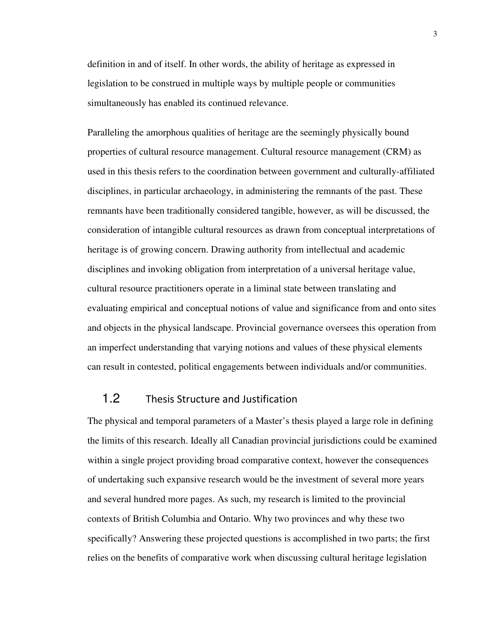definition in and of itself. In other words, the ability of heritage as expressed in legislation to be construed in multiple ways by multiple people or communities simultaneously has enabled its continued relevance.

Paralleling the amorphous qualities of heritage are the seemingly physically bound properties of cultural resource management. Cultural resource management (CRM) as used in this thesis refers to the coordination between government and culturally-affiliated disciplines, in particular archaeology, in administering the remnants of the past. These remnants have been traditionally considered tangible, however, as will be discussed, the consideration of intangible cultural resources as drawn from conceptual interpretations of heritage is of growing concern. Drawing authority from intellectual and academic disciplines and invoking obligation from interpretation of a universal heritage value, cultural resource practitioners operate in a liminal state between translating and evaluating empirical and conceptual notions of value and significance from and onto sites and objects in the physical landscape. Provincial governance oversees this operation from an imperfect understanding that varying notions and values of these physical elements can result in contested, political engagements between individuals and/or communities.

#### 1.2 Thesis Structure and Justification

The physical and temporal parameters of a Master's thesis played a large role in defining the limits of this research. Ideally all Canadian provincial jurisdictions could be examined within a single project providing broad comparative context, however the consequences of undertaking such expansive research would be the investment of several more years and several hundred more pages. As such, my research is limited to the provincial contexts of British Columbia and Ontario. Why two provinces and why these two specifically? Answering these projected questions is accomplished in two parts; the first relies on the benefits of comparative work when discussing cultural heritage legislation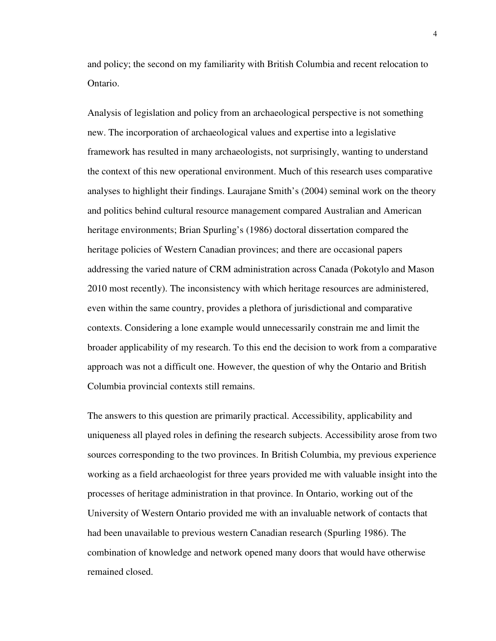and policy; the second on my familiarity with British Columbia and recent relocation to Ontario.

Analysis of legislation and policy from an archaeological perspective is not something new. The incorporation of archaeological values and expertise into a legislative framework has resulted in many archaeologists, not surprisingly, wanting to understand the context of this new operational environment. Much of this research uses comparative analyses to highlight their findings. Laurajane Smith's (2004) seminal work on the theory and politics behind cultural resource management compared Australian and American heritage environments; Brian Spurling's (1986) doctoral dissertation compared the heritage policies of Western Canadian provinces; and there are occasional papers addressing the varied nature of CRM administration across Canada (Pokotylo and Mason 2010 most recently). The inconsistency with which heritage resources are administered, even within the same country, provides a plethora of jurisdictional and comparative contexts. Considering a lone example would unnecessarily constrain me and limit the broader applicability of my research. To this end the decision to work from a comparative approach was not a difficult one. However, the question of why the Ontario and British Columbia provincial contexts still remains.

The answers to this question are primarily practical. Accessibility, applicability and uniqueness all played roles in defining the research subjects. Accessibility arose from two sources corresponding to the two provinces. In British Columbia, my previous experience working as a field archaeologist for three years provided me with valuable insight into the processes of heritage administration in that province. In Ontario, working out of the University of Western Ontario provided me with an invaluable network of contacts that had been unavailable to previous western Canadian research (Spurling 1986). The combination of knowledge and network opened many doors that would have otherwise remained closed.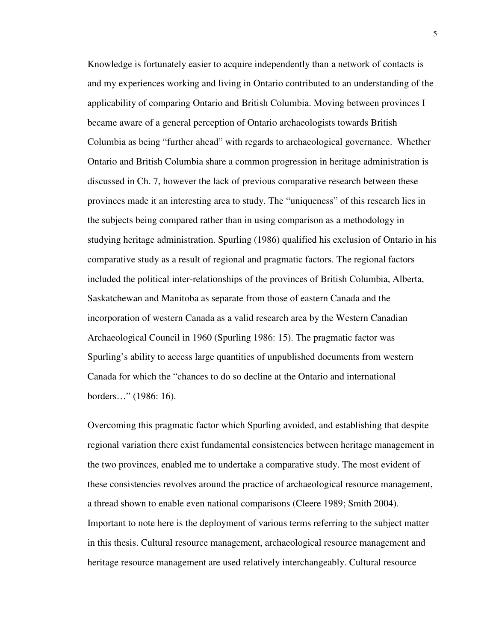Knowledge is fortunately easier to acquire independently than a network of contacts is and my experiences working and living in Ontario contributed to an understanding of the applicability of comparing Ontario and British Columbia. Moving between provinces I became aware of a general perception of Ontario archaeologists towards British Columbia as being "further ahead" with regards to archaeological governance. Whether Ontario and British Columbia share a common progression in heritage administration is discussed in Ch. 7, however the lack of previous comparative research between these provinces made it an interesting area to study. The "uniqueness" of this research lies in the subjects being compared rather than in using comparison as a methodology in studying heritage administration. Spurling (1986) qualified his exclusion of Ontario in his comparative study as a result of regional and pragmatic factors. The regional factors included the political inter-relationships of the provinces of British Columbia, Alberta, Saskatchewan and Manitoba as separate from those of eastern Canada and the incorporation of western Canada as a valid research area by the Western Canadian Archaeological Council in 1960 (Spurling 1986: 15). The pragmatic factor was Spurling's ability to access large quantities of unpublished documents from western Canada for which the "chances to do so decline at the Ontario and international borders…" (1986: 16).

Overcoming this pragmatic factor which Spurling avoided, and establishing that despite regional variation there exist fundamental consistencies between heritage management in the two provinces, enabled me to undertake a comparative study. The most evident of these consistencies revolves around the practice of archaeological resource management, a thread shown to enable even national comparisons (Cleere 1989; Smith 2004). Important to note here is the deployment of various terms referring to the subject matter in this thesis. Cultural resource management, archaeological resource management and heritage resource management are used relatively interchangeably. Cultural resource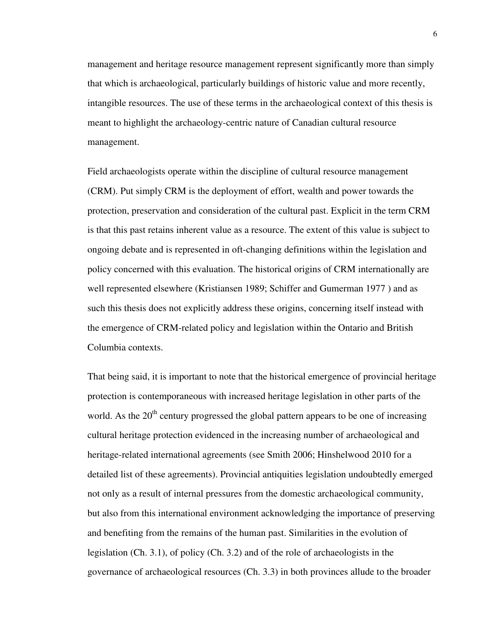management and heritage resource management represent significantly more than simply that which is archaeological, particularly buildings of historic value and more recently, intangible resources. The use of these terms in the archaeological context of this thesis is meant to highlight the archaeology-centric nature of Canadian cultural resource management.

Field archaeologists operate within the discipline of cultural resource management (CRM). Put simply CRM is the deployment of effort, wealth and power towards the protection, preservation and consideration of the cultural past. Explicit in the term CRM is that this past retains inherent value as a resource. The extent of this value is subject to ongoing debate and is represented in oft-changing definitions within the legislation and policy concerned with this evaluation. The historical origins of CRM internationally are well represented elsewhere (Kristiansen 1989; Schiffer and Gumerman 1977 ) and as such this thesis does not explicitly address these origins, concerning itself instead with the emergence of CRM-related policy and legislation within the Ontario and British Columbia contexts.

That being said, it is important to note that the historical emergence of provincial heritage protection is contemporaneous with increased heritage legislation in other parts of the world. As the  $20<sup>th</sup>$  century progressed the global pattern appears to be one of increasing cultural heritage protection evidenced in the increasing number of archaeological and heritage-related international agreements (see Smith 2006; Hinshelwood 2010 for a detailed list of these agreements). Provincial antiquities legislation undoubtedly emerged not only as a result of internal pressures from the domestic archaeological community, but also from this international environment acknowledging the importance of preserving and benefiting from the remains of the human past. Similarities in the evolution of legislation (Ch. 3.1), of policy (Ch. 3.2) and of the role of archaeologists in the governance of archaeological resources (Ch. 3.3) in both provinces allude to the broader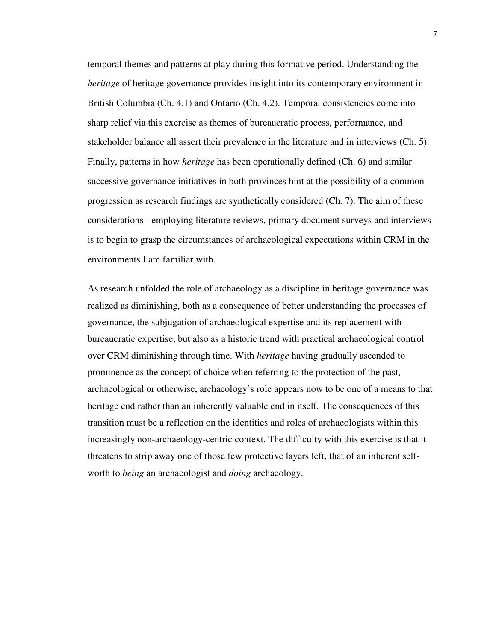temporal themes and patterns at play during this formative period. Understanding the *heritage* of heritage governance provides insight into its contemporary environment in British Columbia (Ch. 4.1) and Ontario (Ch. 4.2). Temporal consistencies come into sharp relief via this exercise as themes of bureaucratic process, performance, and stakeholder balance all assert their prevalence in the literature and in interviews (Ch. 5). Finally, patterns in how *heritage* has been operationally defined (Ch. 6) and similar successive governance initiatives in both provinces hint at the possibility of a common progression as research findings are synthetically considered (Ch. 7). The aim of these considerations - employing literature reviews, primary document surveys and interviews is to begin to grasp the circumstances of archaeological expectations within CRM in the environments I am familiar with.

As research unfolded the role of archaeology as a discipline in heritage governance was realized as diminishing, both as a consequence of better understanding the processes of governance, the subjugation of archaeological expertise and its replacement with bureaucratic expertise, but also as a historic trend with practical archaeological control over CRM diminishing through time. With *heritage* having gradually ascended to prominence as the concept of choice when referring to the protection of the past, archaeological or otherwise, archaeology's role appears now to be one of a means to that heritage end rather than an inherently valuable end in itself. The consequences of this transition must be a reflection on the identities and roles of archaeologists within this increasingly non-archaeology-centric context. The difficulty with this exercise is that it threatens to strip away one of those few protective layers left, that of an inherent selfworth to *being* an archaeologist and *doing* archaeology.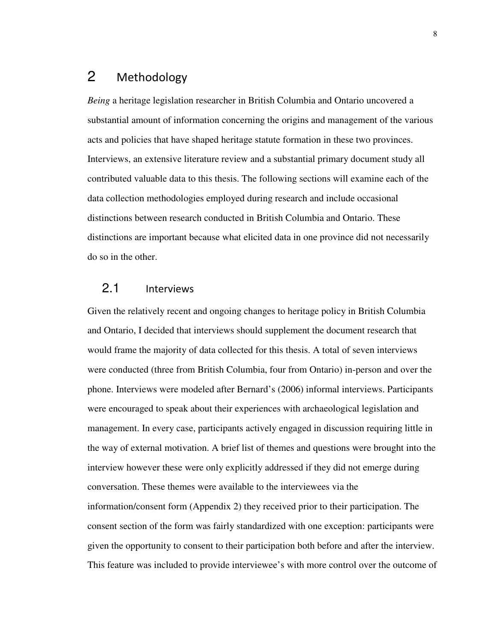## 2 Methodology

*Being* a heritage legislation researcher in British Columbia and Ontario uncovered a substantial amount of information concerning the origins and management of the various acts and policies that have shaped heritage statute formation in these two provinces. Interviews, an extensive literature review and a substantial primary document study all contributed valuable data to this thesis. The following sections will examine each of the data collection methodologies employed during research and include occasional distinctions between research conducted in British Columbia and Ontario. These distinctions are important because what elicited data in one province did not necessarily do so in the other.

### 2.1 Interviews

Given the relatively recent and ongoing changes to heritage policy in British Columbia and Ontario, I decided that interviews should supplement the document research that would frame the majority of data collected for this thesis. A total of seven interviews were conducted (three from British Columbia, four from Ontario) in-person and over the phone. Interviews were modeled after Bernard's (2006) informal interviews. Participants were encouraged to speak about their experiences with archaeological legislation and management. In every case, participants actively engaged in discussion requiring little in the way of external motivation. A brief list of themes and questions were brought into the interview however these were only explicitly addressed if they did not emerge during conversation. These themes were available to the interviewees via the information/consent form (Appendix 2) they received prior to their participation. The consent section of the form was fairly standardized with one exception: participants were given the opportunity to consent to their participation both before and after the interview. This feature was included to provide interviewee's with more control over the outcome of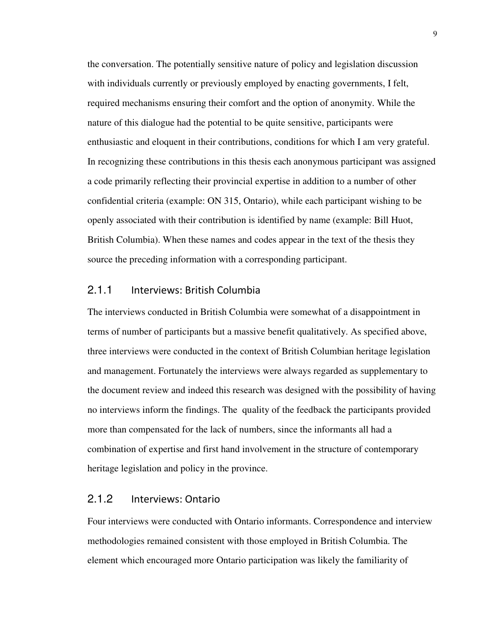the conversation. The potentially sensitive nature of policy and legislation discussion with individuals currently or previously employed by enacting governments, I felt, required mechanisms ensuring their comfort and the option of anonymity. While the nature of this dialogue had the potential to be quite sensitive, participants were enthusiastic and eloquent in their contributions, conditions for which I am very grateful. In recognizing these contributions in this thesis each anonymous participant was assigned a code primarily reflecting their provincial expertise in addition to a number of other confidential criteria (example: ON 315, Ontario), while each participant wishing to be openly associated with their contribution is identified by name (example: Bill Huot, British Columbia). When these names and codes appear in the text of the thesis they source the preceding information with a corresponding participant.

#### 2.1.1 Interviews: British Columbia

The interviews conducted in British Columbia were somewhat of a disappointment in terms of number of participants but a massive benefit qualitatively. As specified above, three interviews were conducted in the context of British Columbian heritage legislation and management. Fortunately the interviews were always regarded as supplementary to the document review and indeed this research was designed with the possibility of having no interviews inform the findings. The quality of the feedback the participants provided more than compensated for the lack of numbers, since the informants all had a combination of expertise and first hand involvement in the structure of contemporary heritage legislation and policy in the province.

#### 2.1.2 Interviews: Ontario

Four interviews were conducted with Ontario informants. Correspondence and interview methodologies remained consistent with those employed in British Columbia. The element which encouraged more Ontario participation was likely the familiarity of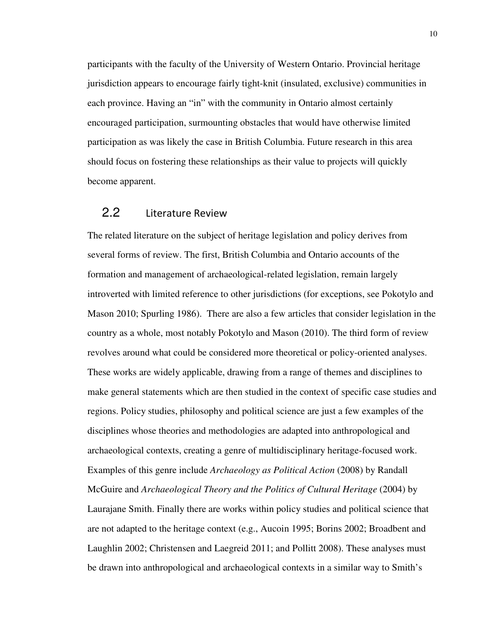participants with the faculty of the University of Western Ontario. Provincial heritage jurisdiction appears to encourage fairly tight-knit (insulated, exclusive) communities in each province. Having an "in" with the community in Ontario almost certainly encouraged participation, surmounting obstacles that would have otherwise limited participation as was likely the case in British Columbia. Future research in this area should focus on fostering these relationships as their value to projects will quickly become apparent.

#### 2.2 Literature Review

The related literature on the subject of heritage legislation and policy derives from several forms of review. The first, British Columbia and Ontario accounts of the formation and management of archaeological-related legislation, remain largely introverted with limited reference to other jurisdictions (for exceptions, see Pokotylo and Mason 2010; Spurling 1986). There are also a few articles that consider legislation in the country as a whole, most notably Pokotylo and Mason (2010). The third form of review revolves around what could be considered more theoretical or policy-oriented analyses. These works are widely applicable, drawing from a range of themes and disciplines to make general statements which are then studied in the context of specific case studies and regions. Policy studies, philosophy and political science are just a few examples of the disciplines whose theories and methodologies are adapted into anthropological and archaeological contexts, creating a genre of multidisciplinary heritage-focused work. Examples of this genre include *Archaeology as Political Action* (2008) by Randall McGuire and *Archaeological Theory and the Politics of Cultural Heritage* (2004) by Laurajane Smith. Finally there are works within policy studies and political science that are not adapted to the heritage context (e.g., Aucoin 1995; Borins 2002; Broadbent and Laughlin 2002; Christensen and Laegreid 2011; and Pollitt 2008). These analyses must be drawn into anthropological and archaeological contexts in a similar way to Smith's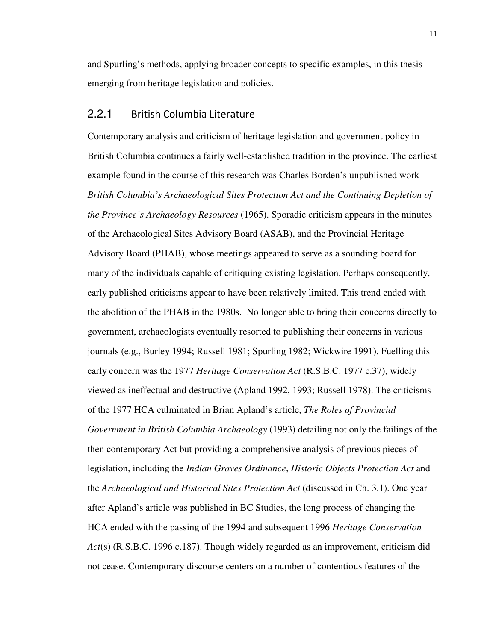and Spurling's methods, applying broader concepts to specific examples, in this thesis emerging from heritage legislation and policies.

#### 2.2.1 British Columbia Literature

Contemporary analysis and criticism of heritage legislation and government policy in British Columbia continues a fairly well-established tradition in the province. The earliest example found in the course of this research was Charles Borden's unpublished work *British Columbia's Archaeological Sites Protection Act and the Continuing Depletion of the Province's Archaeology Resources* (1965). Sporadic criticism appears in the minutes of the Archaeological Sites Advisory Board (ASAB), and the Provincial Heritage Advisory Board (PHAB), whose meetings appeared to serve as a sounding board for many of the individuals capable of critiquing existing legislation. Perhaps consequently, early published criticisms appear to have been relatively limited. This trend ended with the abolition of the PHAB in the 1980s. No longer able to bring their concerns directly to government, archaeologists eventually resorted to publishing their concerns in various journals (e.g., Burley 1994; Russell 1981; Spurling 1982; Wickwire 1991). Fuelling this early concern was the 1977 *Heritage Conservation Act* (R.S.B.C. 1977 c.37), widely viewed as ineffectual and destructive (Apland 1992, 1993; Russell 1978). The criticisms of the 1977 HCA culminated in Brian Apland's article, *The Roles of Provincial Government in British Columbia Archaeology* (1993) detailing not only the failings of the then contemporary Act but providing a comprehensive analysis of previous pieces of legislation, including the *Indian Graves Ordinance*, *Historic Objects Protection Act* and the *Archaeological and Historical Sites Protection Act* (discussed in Ch. 3.1). One year after Apland's article was published in BC Studies, the long process of changing the HCA ended with the passing of the 1994 and subsequent 1996 *Heritage Conservation Act*(s) (R.S.B.C. 1996 c.187). Though widely regarded as an improvement, criticism did not cease. Contemporary discourse centers on a number of contentious features of the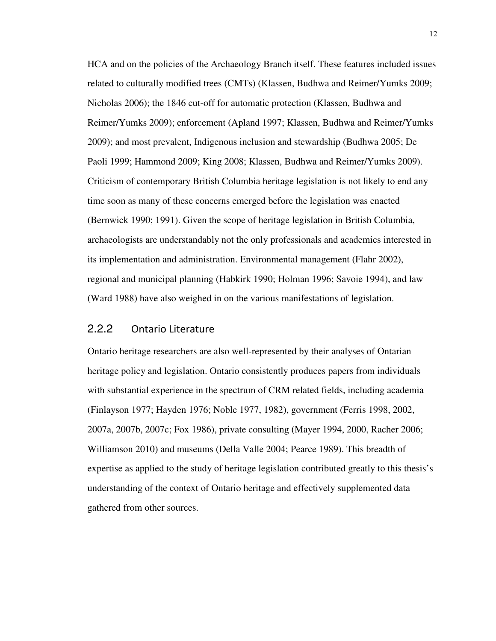HCA and on the policies of the Archaeology Branch itself. These features included issues related to culturally modified trees (CMTs) (Klassen, Budhwa and Reimer/Yumks 2009; Nicholas 2006); the 1846 cut-off for automatic protection (Klassen, Budhwa and Reimer/Yumks 2009); enforcement (Apland 1997; Klassen, Budhwa and Reimer/Yumks 2009); and most prevalent, Indigenous inclusion and stewardship (Budhwa 2005; De Paoli 1999; Hammond 2009; King 2008; Klassen, Budhwa and Reimer/Yumks 2009). Criticism of contemporary British Columbia heritage legislation is not likely to end any time soon as many of these concerns emerged before the legislation was enacted (Bernwick 1990; 1991). Given the scope of heritage legislation in British Columbia, archaeologists are understandably not the only professionals and academics interested in its implementation and administration. Environmental management (Flahr 2002), regional and municipal planning (Habkirk 1990; Holman 1996; Savoie 1994), and law (Ward 1988) have also weighed in on the various manifestations of legislation.

#### 2.2.2 Ontario Literature

Ontario heritage researchers are also well-represented by their analyses of Ontarian heritage policy and legislation. Ontario consistently produces papers from individuals with substantial experience in the spectrum of CRM related fields, including academia (Finlayson 1977; Hayden 1976; Noble 1977, 1982), government (Ferris 1998, 2002, 2007a, 2007b, 2007c; Fox 1986), private consulting (Mayer 1994, 2000, Racher 2006; Williamson 2010) and museums (Della Valle 2004; Pearce 1989). This breadth of expertise as applied to the study of heritage legislation contributed greatly to this thesis's understanding of the context of Ontario heritage and effectively supplemented data gathered from other sources.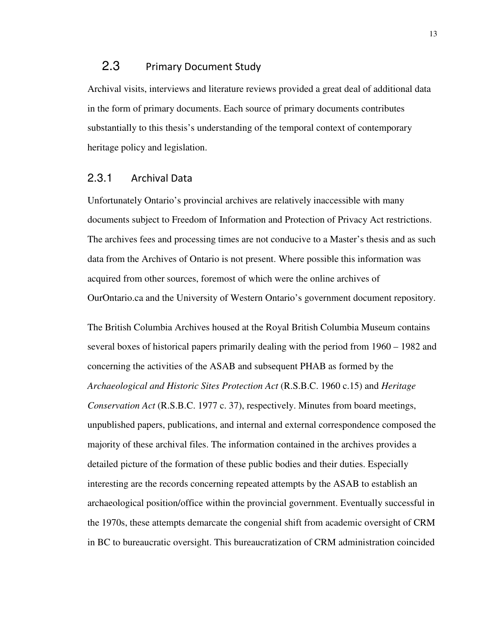#### 2.3 Primary Document Study

Archival visits, interviews and literature reviews provided a great deal of additional data in the form of primary documents. Each source of primary documents contributes substantially to this thesis's understanding of the temporal context of contemporary heritage policy and legislation.

#### 2.3.1 Archival Data

Unfortunately Ontario's provincial archives are relatively inaccessible with many documents subject to Freedom of Information and Protection of Privacy Act restrictions. The archives fees and processing times are not conducive to a Master's thesis and as such data from the Archives of Ontario is not present. Where possible this information was acquired from other sources, foremost of which were the online archives of OurOntario.ca and the University of Western Ontario's government document repository.

The British Columbia Archives housed at the Royal British Columbia Museum contains several boxes of historical papers primarily dealing with the period from 1960 – 1982 and concerning the activities of the ASAB and subsequent PHAB as formed by the *Archaeological and Historic Sites Protection Act* (R.S.B.C. 1960 c.15) and *Heritage Conservation Act* (R.S.B.C. 1977 c. 37), respectively. Minutes from board meetings, unpublished papers, publications, and internal and external correspondence composed the majority of these archival files. The information contained in the archives provides a detailed picture of the formation of these public bodies and their duties. Especially interesting are the records concerning repeated attempts by the ASAB to establish an archaeological position/office within the provincial government. Eventually successful in the 1970s, these attempts demarcate the congenial shift from academic oversight of CRM in BC to bureaucratic oversight. This bureaucratization of CRM administration coincided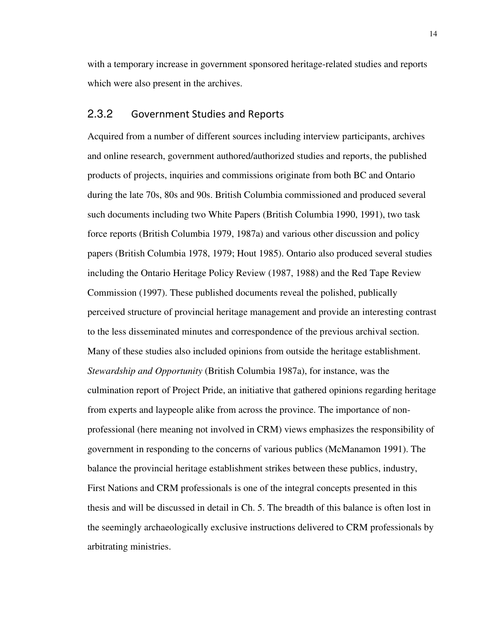with a temporary increase in government sponsored heritage-related studies and reports which were also present in the archives.

#### 2.3.2 Government Studies and Reports

Acquired from a number of different sources including interview participants, archives and online research, government authored/authorized studies and reports, the published products of projects, inquiries and commissions originate from both BC and Ontario during the late 70s, 80s and 90s. British Columbia commissioned and produced several such documents including two White Papers (British Columbia 1990, 1991), two task force reports (British Columbia 1979, 1987a) and various other discussion and policy papers (British Columbia 1978, 1979; Hout 1985). Ontario also produced several studies including the Ontario Heritage Policy Review (1987, 1988) and the Red Tape Review Commission (1997). These published documents reveal the polished, publically perceived structure of provincial heritage management and provide an interesting contrast to the less disseminated minutes and correspondence of the previous archival section. Many of these studies also included opinions from outside the heritage establishment. *Stewardship and Opportunity* (British Columbia 1987a), for instance, was the culmination report of Project Pride, an initiative that gathered opinions regarding heritage from experts and laypeople alike from across the province. The importance of nonprofessional (here meaning not involved in CRM) views emphasizes the responsibility of government in responding to the concerns of various publics (McManamon 1991). The balance the provincial heritage establishment strikes between these publics, industry, First Nations and CRM professionals is one of the integral concepts presented in this thesis and will be discussed in detail in Ch. 5. The breadth of this balance is often lost in the seemingly archaeologically exclusive instructions delivered to CRM professionals by arbitrating ministries.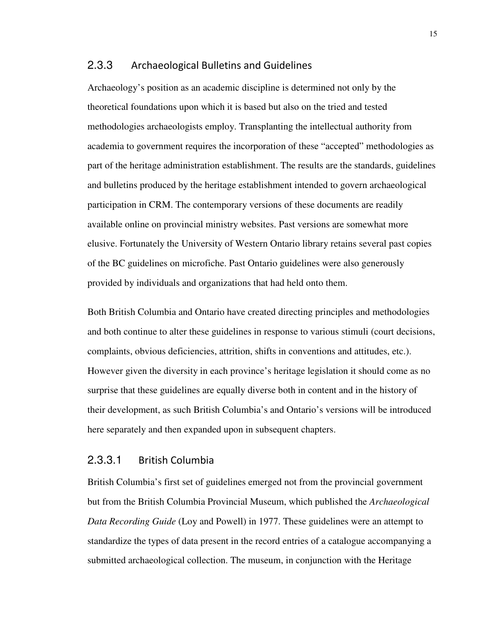#### 2.3.3 Archaeological Bulletins and Guidelines

Archaeology's position as an academic discipline is determined not only by the theoretical foundations upon which it is based but also on the tried and tested methodologies archaeologists employ. Transplanting the intellectual authority from academia to government requires the incorporation of these "accepted" methodologies as part of the heritage administration establishment. The results are the standards, guidelines and bulletins produced by the heritage establishment intended to govern archaeological participation in CRM. The contemporary versions of these documents are readily available online on provincial ministry websites. Past versions are somewhat more elusive. Fortunately the University of Western Ontario library retains several past copies of the BC guidelines on microfiche. Past Ontario guidelines were also generously provided by individuals and organizations that had held onto them.

Both British Columbia and Ontario have created directing principles and methodologies and both continue to alter these guidelines in response to various stimuli (court decisions, complaints, obvious deficiencies, attrition, shifts in conventions and attitudes, etc.). However given the diversity in each province's heritage legislation it should come as no surprise that these guidelines are equally diverse both in content and in the history of their development, as such British Columbia's and Ontario's versions will be introduced here separately and then expanded upon in subsequent chapters.

#### 2.3.3.1 British Columbia

British Columbia's first set of guidelines emerged not from the provincial government but from the British Columbia Provincial Museum, which published the *Archaeological Data Recording Guide* (Loy and Powell) in 1977. These guidelines were an attempt to standardize the types of data present in the record entries of a catalogue accompanying a submitted archaeological collection. The museum, in conjunction with the Heritage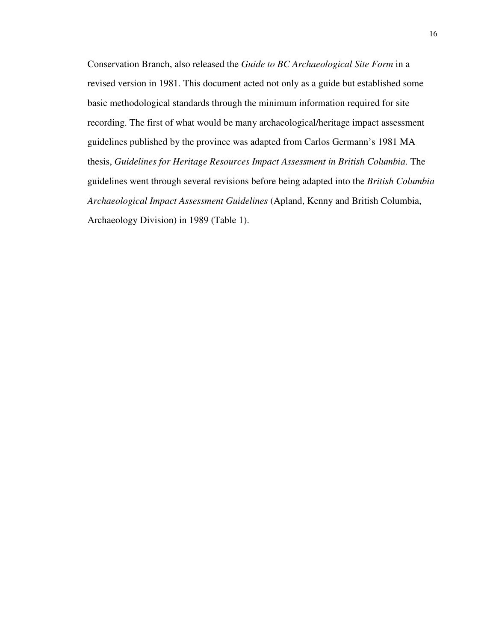Conservation Branch, also released the *Guide to BC Archaeological Site Form* in a revised version in 1981. This document acted not only as a guide but established some basic methodological standards through the minimum information required for site recording. The first of what would be many archaeological/heritage impact assessment guidelines published by the province was adapted from Carlos Germann's 1981 MA thesis, *Guidelines for Heritage Resources Impact Assessment in British Columbia*. The guidelines went through several revisions before being adapted into the *British Columbia Archaeological Impact Assessment Guidelines* (Apland, Kenny and British Columbia, Archaeology Division) in 1989 (Table 1).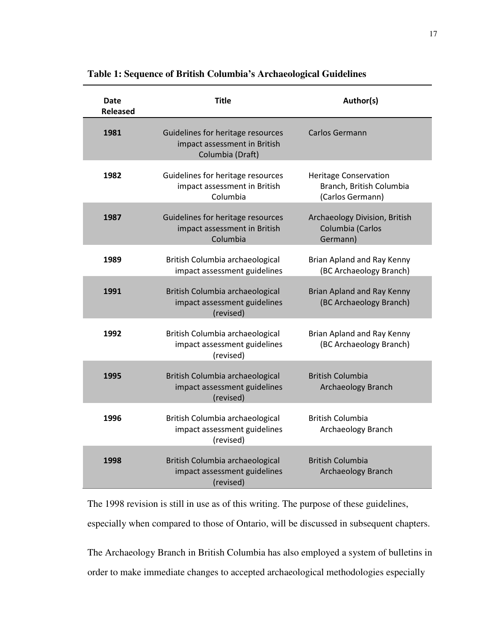| Date<br><b>Released</b> | <b>Title</b>                                                                          | Author(s)                                                                    |
|-------------------------|---------------------------------------------------------------------------------------|------------------------------------------------------------------------------|
| 1981                    | Guidelines for heritage resources<br>impact assessment in British<br>Columbia (Draft) | Carlos Germann                                                               |
| 1982                    | Guidelines for heritage resources<br>impact assessment in British<br>Columbia         | <b>Heritage Conservation</b><br>Branch, British Columbia<br>(Carlos Germann) |
| 1987                    | Guidelines for heritage resources<br>impact assessment in British<br>Columbia         | Archaeology Division, British<br>Columbia (Carlos<br>Germann)                |
| 1989                    | British Columbia archaeological<br>impact assessment guidelines                       | Brian Apland and Ray Kenny<br>(BC Archaeology Branch)                        |
| 1991                    | British Columbia archaeological<br>impact assessment guidelines<br>(revised)          | Brian Apland and Ray Kenny<br>(BC Archaeology Branch)                        |
| 1992                    | British Columbia archaeological<br>impact assessment guidelines<br>(revised)          | Brian Apland and Ray Kenny<br>(BC Archaeology Branch)                        |
| 1995                    | British Columbia archaeological<br>impact assessment guidelines<br>(revised)          | <b>British Columbia</b><br>Archaeology Branch                                |
| 1996                    | British Columbia archaeological<br>impact assessment guidelines<br>(revised)          | <b>British Columbia</b><br>Archaeology Branch                                |
| 1998                    | British Columbia archaeological<br>impact assessment guidelines<br>(revised)          | <b>British Columbia</b><br>Archaeology Branch                                |

**Table 1: Sequence of British Columbia's Archaeological Guidelines**

The 1998 revision is still in use as of this writing. The purpose of these guidelines,

especially when compared to those of Ontario, will be discussed in subsequent chapters.

The Archaeology Branch in British Columbia has also employed a system of bulletins in order to make immediate changes to accepted archaeological methodologies especially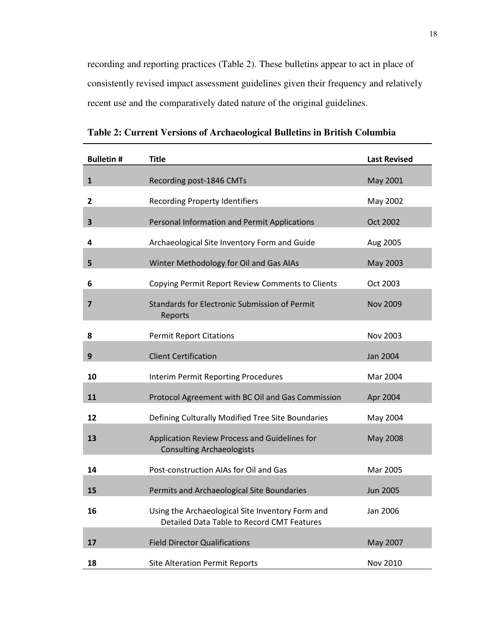recording and reporting practices (Table 2). These bulletins appear to act in place of consistently revised impact assessment guidelines given their frequency and relatively recent use and the comparatively dated nature of the original guidelines.

| <b>Bulletin#</b> | <b>Title</b>                                                                                   | <b>Last Revised</b> |
|------------------|------------------------------------------------------------------------------------------------|---------------------|
| $\mathbf{1}$     | Recording post-1846 CMTs                                                                       | May 2001            |
| $\mathbf{2}$     | <b>Recording Property Identifiers</b>                                                          | May 2002            |
| 3                | Personal Information and Permit Applications                                                   | Oct 2002            |
| 4                | Archaeological Site Inventory Form and Guide                                                   | Aug 2005            |
| 5                | Winter Methodology for Oil and Gas AIAs                                                        | May 2003            |
| 6                | Copying Permit Report Review Comments to Clients                                               | Oct 2003            |
| 7                | <b>Standards for Electronic Submission of Permit</b><br>Reports                                | <b>Nov 2009</b>     |
| 8                | <b>Permit Report Citations</b>                                                                 | Nov 2003            |
| 9                | <b>Client Certification</b>                                                                    | Jan 2004            |
| 10               | <b>Interim Permit Reporting Procedures</b>                                                     | Mar 2004            |
| 11               | Protocol Agreement with BC Oil and Gas Commission                                              | Apr 2004            |
| 12               | Defining Culturally Modified Tree Site Boundaries                                              | May 2004            |
| 13               | Application Review Process and Guidelines for<br><b>Consulting Archaeologists</b>              | May 2008            |
| 14               | Post-construction AIAs for Oil and Gas                                                         | Mar 2005            |
| 15               | Permits and Archaeological Site Boundaries                                                     | <b>Jun 2005</b>     |
| 16               | Using the Archaeological Site Inventory Form and<br>Detailed Data Table to Record CMT Features | Jan 2006            |
| 17               | <b>Field Director Qualifications</b>                                                           | May 2007            |
| 18               | <b>Site Alteration Permit Reports</b>                                                          | Nov 2010            |

**Table 2: Current Versions of Archaeological Bulletins in British Columbia**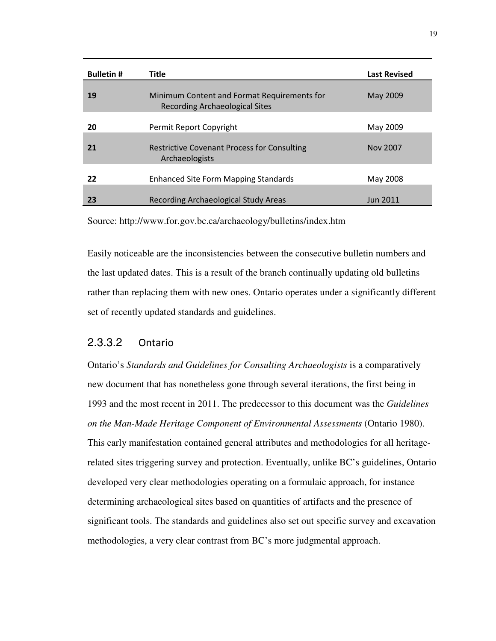| <b>Bulletin#</b> | <b>Title</b>                                                                  | <b>Last Revised</b> |
|------------------|-------------------------------------------------------------------------------|---------------------|
| 19               | Minimum Content and Format Requirements for<br>Recording Archaeological Sites | May 2009            |
| 20               | Permit Report Copyright                                                       | May 2009            |
| 21               | <b>Restrictive Covenant Process for Consulting</b><br>Archaeologists          | Nov 2007            |
| 22               | <b>Enhanced Site Form Mapping Standards</b>                                   | May 2008            |
| 23               | Recording Archaeological Study Areas                                          | <b>Jun 2011</b>     |

Source: http://www.for.gov.bc.ca/archaeology/bulletins/index.htm

Easily noticeable are the inconsistencies between the consecutive bulletin numbers and the last updated dates. This is a result of the branch continually updating old bulletins rather than replacing them with new ones. Ontario operates under a significantly different set of recently updated standards and guidelines.

#### 2.3.3.2 Ontario

Ontario's *Standards and Guidelines for Consulting Archaeologists* is a comparatively new document that has nonetheless gone through several iterations, the first being in 1993 and the most recent in 2011. The predecessor to this document was the *Guidelines on the Man-Made Heritage Component of Environmental Assessments* (Ontario 1980). This early manifestation contained general attributes and methodologies for all heritagerelated sites triggering survey and protection. Eventually, unlike BC's guidelines, Ontario developed very clear methodologies operating on a formulaic approach, for instance determining archaeological sites based on quantities of artifacts and the presence of significant tools. The standards and guidelines also set out specific survey and excavation methodologies, a very clear contrast from BC's more judgmental approach.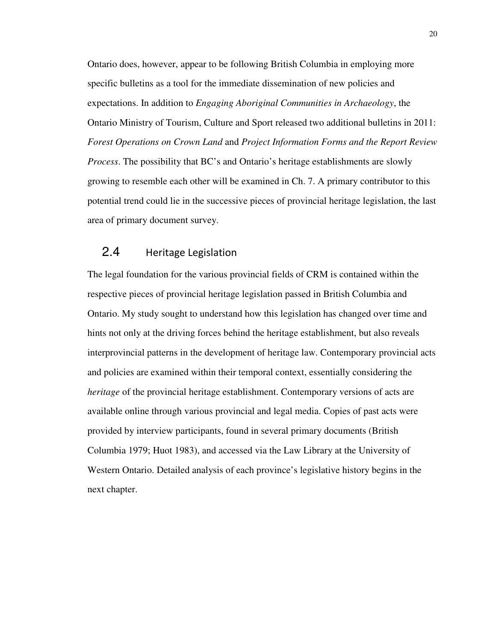Ontario does, however, appear to be following British Columbia in employing more specific bulletins as a tool for the immediate dissemination of new policies and expectations. In addition to *Engaging Aboriginal Communities in Archaeology*, the Ontario Ministry of Tourism, Culture and Sport released two additional bulletins in 2011: *Forest Operations on Crown Land* and *Project Information Forms and the Report Review Process*. The possibility that BC's and Ontario's heritage establishments are slowly growing to resemble each other will be examined in Ch. 7. A primary contributor to this potential trend could lie in the successive pieces of provincial heritage legislation, the last area of primary document survey.

### 2.4 Heritage Legislation

The legal foundation for the various provincial fields of CRM is contained within the respective pieces of provincial heritage legislation passed in British Columbia and Ontario. My study sought to understand how this legislation has changed over time and hints not only at the driving forces behind the heritage establishment, but also reveals interprovincial patterns in the development of heritage law. Contemporary provincial acts and policies are examined within their temporal context, essentially considering the *heritage* of the provincial heritage establishment. Contemporary versions of acts are available online through various provincial and legal media. Copies of past acts were provided by interview participants, found in several primary documents (British Columbia 1979; Huot 1983), and accessed via the Law Library at the University of Western Ontario. Detailed analysis of each province's legislative history begins in the next chapter.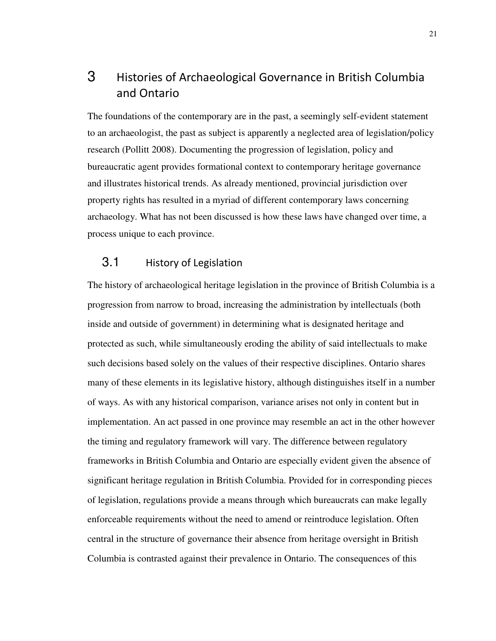## 3 Histories of Archaeological Governance in British Columbia and Ontario

The foundations of the contemporary are in the past, a seemingly self-evident statement to an archaeologist, the past as subject is apparently a neglected area of legislation/policy research (Pollitt 2008). Documenting the progression of legislation, policy and bureaucratic agent provides formational context to contemporary heritage governance and illustrates historical trends. As already mentioned, provincial jurisdiction over property rights has resulted in a myriad of different contemporary laws concerning archaeology. What has not been discussed is how these laws have changed over time, a process unique to each province.

#### 3.1 History of Legislation

The history of archaeological heritage legislation in the province of British Columbia is a progression from narrow to broad, increasing the administration by intellectuals (both inside and outside of government) in determining what is designated heritage and protected as such, while simultaneously eroding the ability of said intellectuals to make such decisions based solely on the values of their respective disciplines. Ontario shares many of these elements in its legislative history, although distinguishes itself in a number of ways. As with any historical comparison, variance arises not only in content but in implementation. An act passed in one province may resemble an act in the other however the timing and regulatory framework will vary. The difference between regulatory frameworks in British Columbia and Ontario are especially evident given the absence of significant heritage regulation in British Columbia. Provided for in corresponding pieces of legislation, regulations provide a means through which bureaucrats can make legally enforceable requirements without the need to amend or reintroduce legislation. Often central in the structure of governance their absence from heritage oversight in British Columbia is contrasted against their prevalence in Ontario. The consequences of this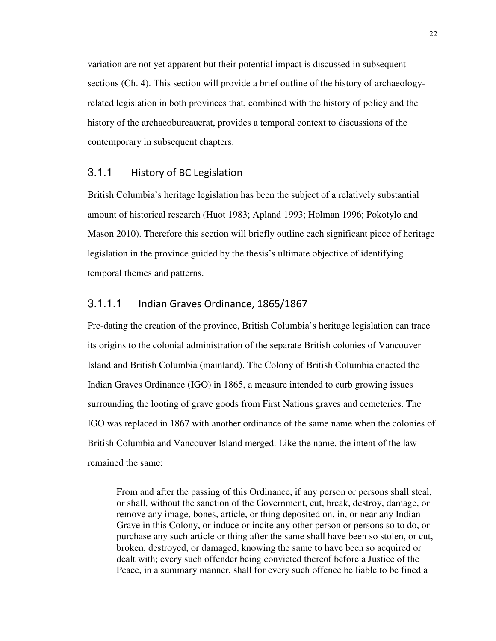variation are not yet apparent but their potential impact is discussed in subsequent sections (Ch. 4). This section will provide a brief outline of the history of archaeologyrelated legislation in both provinces that, combined with the history of policy and the history of the archaeobureaucrat, provides a temporal context to discussions of the contemporary in subsequent chapters.

#### 3.1.1 History of BC Legislation

British Columbia's heritage legislation has been the subject of a relatively substantial amount of historical research (Huot 1983; Apland 1993; Holman 1996; Pokotylo and Mason 2010). Therefore this section will briefly outline each significant piece of heritage legislation in the province guided by the thesis's ultimate objective of identifying temporal themes and patterns.

#### 3.1.1.1 Indian Graves Ordinance, 1865/1867

Pre-dating the creation of the province, British Columbia's heritage legislation can trace its origins to the colonial administration of the separate British colonies of Vancouver Island and British Columbia (mainland). The Colony of British Columbia enacted the Indian Graves Ordinance (IGO) in 1865, a measure intended to curb growing issues surrounding the looting of grave goods from First Nations graves and cemeteries. The IGO was replaced in 1867 with another ordinance of the same name when the colonies of British Columbia and Vancouver Island merged. Like the name, the intent of the law remained the same:

From and after the passing of this Ordinance, if any person or persons shall steal, or shall, without the sanction of the Government, cut, break, destroy, damage, or remove any image, bones, article, or thing deposited on, in, or near any Indian Grave in this Colony, or induce or incite any other person or persons so to do, or purchase any such article or thing after the same shall have been so stolen, or cut, broken, destroyed, or damaged, knowing the same to have been so acquired or dealt with; every such offender being convicted thereof before a Justice of the Peace, in a summary manner, shall for every such offence be liable to be fined a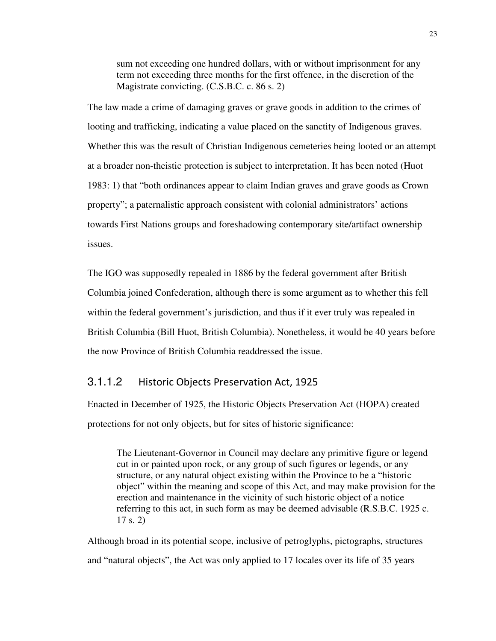sum not exceeding one hundred dollars, with or without imprisonment for any term not exceeding three months for the first offence, in the discretion of the Magistrate convicting. (C.S.B.C. c. 86 s. 2)

The law made a crime of damaging graves or grave goods in addition to the crimes of looting and trafficking, indicating a value placed on the sanctity of Indigenous graves. Whether this was the result of Christian Indigenous cemeteries being looted or an attempt at a broader non-theistic protection is subject to interpretation. It has been noted (Huot 1983: 1) that "both ordinances appear to claim Indian graves and grave goods as Crown property"; a paternalistic approach consistent with colonial administrators' actions towards First Nations groups and foreshadowing contemporary site/artifact ownership issues.

The IGO was supposedly repealed in 1886 by the federal government after British Columbia joined Confederation, although there is some argument as to whether this fell within the federal government's jurisdiction, and thus if it ever truly was repealed in British Columbia (Bill Huot, British Columbia). Nonetheless, it would be 40 years before the now Province of British Columbia readdressed the issue.

#### 3.1.1.2 Historic Objects Preservation Act, 1925

Enacted in December of 1925, the Historic Objects Preservation Act (HOPA) created protections for not only objects, but for sites of historic significance:

The Lieutenant-Governor in Council may declare any primitive figure or legend cut in or painted upon rock, or any group of such figures or legends, or any structure, or any natural object existing within the Province to be a "historic object" within the meaning and scope of this Act, and may make provision for the erection and maintenance in the vicinity of such historic object of a notice referring to this act, in such form as may be deemed advisable (R.S.B.C. 1925 c. 17 s. 2)

Although broad in its potential scope, inclusive of petroglyphs, pictographs, structures and "natural objects", the Act was only applied to 17 locales over its life of 35 years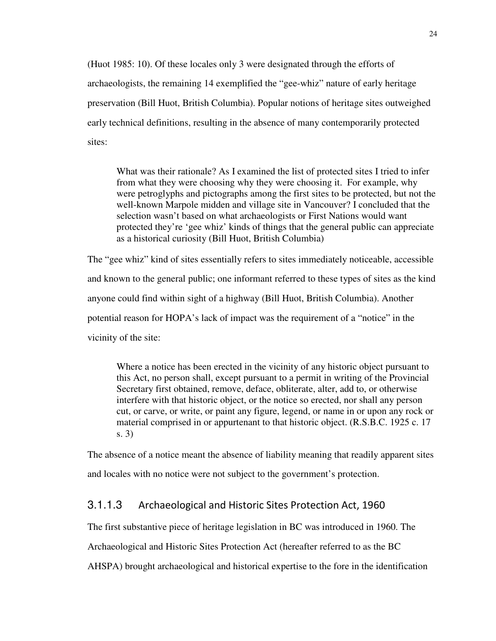(Huot 1985: 10). Of these locales only 3 were designated through the efforts of archaeologists, the remaining 14 exemplified the "gee-whiz" nature of early heritage preservation (Bill Huot, British Columbia). Popular notions of heritage sites outweighed early technical definitions, resulting in the absence of many contemporarily protected sites:

What was their rationale? As I examined the list of protected sites I tried to infer from what they were choosing why they were choosing it. For example, why were petroglyphs and pictographs among the first sites to be protected, but not the well-known Marpole midden and village site in Vancouver? I concluded that the selection wasn't based on what archaeologists or First Nations would want protected they're 'gee whiz' kinds of things that the general public can appreciate as a historical curiosity (Bill Huot, British Columbia)

The "gee whiz" kind of sites essentially refers to sites immediately noticeable, accessible and known to the general public; one informant referred to these types of sites as the kind anyone could find within sight of a highway (Bill Huot, British Columbia). Another potential reason for HOPA's lack of impact was the requirement of a "notice" in the vicinity of the site:

Where a notice has been erected in the vicinity of any historic object pursuant to this Act, no person shall, except pursuant to a permit in writing of the Provincial Secretary first obtained, remove, deface, obliterate, alter, add to, or otherwise interfere with that historic object, or the notice so erected, nor shall any person cut, or carve, or write, or paint any figure, legend, or name in or upon any rock or material comprised in or appurtenant to that historic object. (R.S.B.C. 1925 c. 17 s. 3)

The absence of a notice meant the absence of liability meaning that readily apparent sites and locales with no notice were not subject to the government's protection.

#### 3.1.1.3 Archaeological and Historic Sites Protection Act, 1960

The first substantive piece of heritage legislation in BC was introduced in 1960. The

Archaeological and Historic Sites Protection Act (hereafter referred to as the BC

AHSPA) brought archaeological and historical expertise to the fore in the identification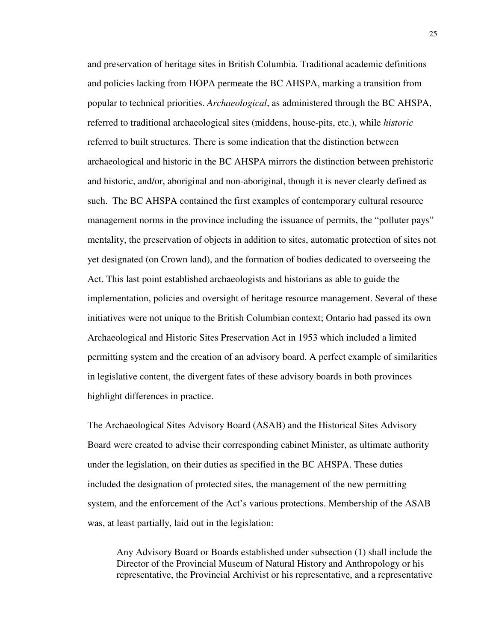and preservation of heritage sites in British Columbia. Traditional academic definitions and policies lacking from HOPA permeate the BC AHSPA, marking a transition from popular to technical priorities. *Archaeological*, as administered through the BC AHSPA, referred to traditional archaeological sites (middens, house-pits, etc.), while *historic*  referred to built structures. There is some indication that the distinction between archaeological and historic in the BC AHSPA mirrors the distinction between prehistoric and historic, and/or, aboriginal and non-aboriginal, though it is never clearly defined as such. The BC AHSPA contained the first examples of contemporary cultural resource management norms in the province including the issuance of permits, the "polluter pays" mentality, the preservation of objects in addition to sites, automatic protection of sites not yet designated (on Crown land), and the formation of bodies dedicated to overseeing the Act. This last point established archaeologists and historians as able to guide the implementation, policies and oversight of heritage resource management. Several of these initiatives were not unique to the British Columbian context; Ontario had passed its own Archaeological and Historic Sites Preservation Act in 1953 which included a limited permitting system and the creation of an advisory board. A perfect example of similarities in legislative content, the divergent fates of these advisory boards in both provinces highlight differences in practice.

The Archaeological Sites Advisory Board (ASAB) and the Historical Sites Advisory Board were created to advise their corresponding cabinet Minister, as ultimate authority under the legislation, on their duties as specified in the BC AHSPA. These duties included the designation of protected sites, the management of the new permitting system, and the enforcement of the Act's various protections. Membership of the ASAB was, at least partially, laid out in the legislation:

Any Advisory Board or Boards established under subsection (1) shall include the Director of the Provincial Museum of Natural History and Anthropology or his representative, the Provincial Archivist or his representative, and a representative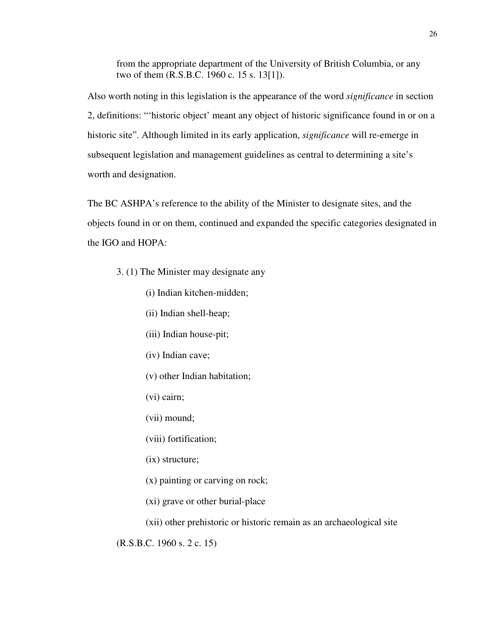from the appropriate department of the University of British Columbia, or any two of them (R.S.B.C. 1960 c. 15 s. 13[1]).

Also worth noting in this legislation is the appearance of the word *significance* in section 2, definitions: "'historic object' meant any object of historic significance found in or on a historic site". Although limited in its early application, *significance* will re-emerge in subsequent legislation and management guidelines as central to determining a site's worth and designation.

The BC ASHPA's reference to the ability of the Minister to designate sites, and the objects found in or on them, continued and expanded the specific categories designated in the IGO and HOPA:

- 3. (1) The Minister may designate any
	- (i) Indian kitchen-midden;
	- (ii) Indian shell-heap;
	- (iii) Indian house-pit;
	- (iv) Indian cave;
	- (v) other Indian habitation;
	- (vi) cairn;
	- (vii) mound;
	- (viii) fortification;
	- (ix) structure;
	- (x) painting or carving on rock;
	- (xi) grave or other burial-place
	- (xii) other prehistoric or historic remain as an archaeological site

(R.S.B.C. 1960 s. 2 c. 15)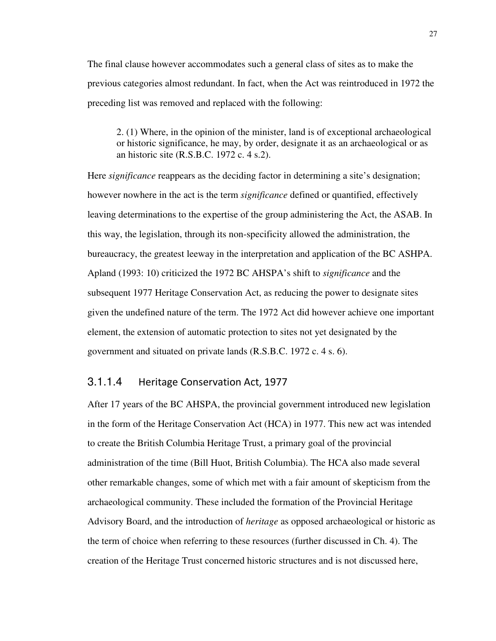The final clause however accommodates such a general class of sites as to make the previous categories almost redundant. In fact, when the Act was reintroduced in 1972 the preceding list was removed and replaced with the following:

2. (1) Where, in the opinion of the minister, land is of exceptional archaeological or historic significance, he may, by order, designate it as an archaeological or as an historic site (R.S.B.C. 1972 c. 4 s.2).

Here *significance* reappears as the deciding factor in determining a site's designation; however nowhere in the act is the term *significance* defined or quantified, effectively leaving determinations to the expertise of the group administering the Act, the ASAB. In this way, the legislation, through its non-specificity allowed the administration, the bureaucracy, the greatest leeway in the interpretation and application of the BC ASHPA. Apland (1993: 10) criticized the 1972 BC AHSPA's shift to *significance* and the subsequent 1977 Heritage Conservation Act, as reducing the power to designate sites given the undefined nature of the term. The 1972 Act did however achieve one important element, the extension of automatic protection to sites not yet designated by the government and situated on private lands (R.S.B.C. 1972 c. 4 s. 6).

#### 3.1.1.4 Heritage Conservation Act, 1977

After 17 years of the BC AHSPA, the provincial government introduced new legislation in the form of the Heritage Conservation Act (HCA) in 1977. This new act was intended to create the British Columbia Heritage Trust, a primary goal of the provincial administration of the time (Bill Huot, British Columbia). The HCA also made several other remarkable changes, some of which met with a fair amount of skepticism from the archaeological community. These included the formation of the Provincial Heritage Advisory Board, and the introduction of *heritage* as opposed archaeological or historic as the term of choice when referring to these resources (further discussed in Ch. 4). The creation of the Heritage Trust concerned historic structures and is not discussed here,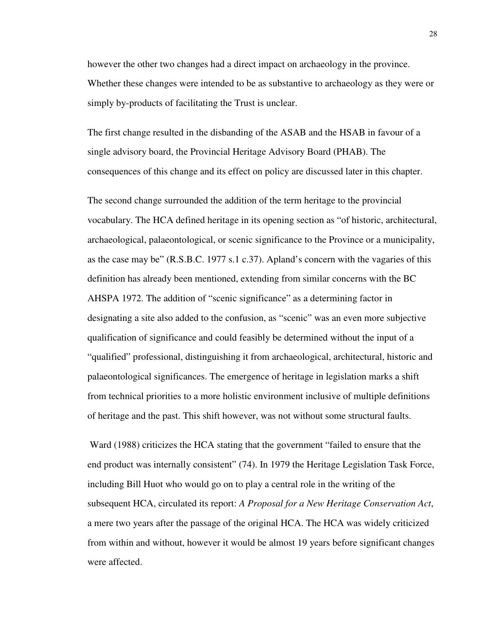however the other two changes had a direct impact on archaeology in the province. Whether these changes were intended to be as substantive to archaeology as they were or simply by-products of facilitating the Trust is unclear.

The first change resulted in the disbanding of the ASAB and the HSAB in favour of a single advisory board, the Provincial Heritage Advisory Board (PHAB). The consequences of this change and its effect on policy are discussed later in this chapter.

The second change surrounded the addition of the term heritage to the provincial vocabulary. The HCA defined heritage in its opening section as "of historic, architectural, archaeological, palaeontological, or scenic significance to the Province or a municipality, as the case may be" (R.S.B.C. 1977 s.1 c.37). Apland's concern with the vagaries of this definition has already been mentioned, extending from similar concerns with the BC AHSPA 1972. The addition of "scenic significance" as a determining factor in designating a site also added to the confusion, as "scenic" was an even more subjective qualification of significance and could feasibly be determined without the input of a "qualified" professional, distinguishing it from archaeological, architectural, historic and palaeontological significances. The emergence of heritage in legislation marks a shift from technical priorities to a more holistic environment inclusive of multiple definitions of heritage and the past. This shift however, was not without some structural faults.

 Ward (1988) criticizes the HCA stating that the government "failed to ensure that the end product was internally consistent" (74). In 1979 the Heritage Legislation Task Force, including Bill Huot who would go on to play a central role in the writing of the subsequent HCA, circulated its report: *A Proposal for a New Heritage Conservation Act*, a mere two years after the passage of the original HCA. The HCA was widely criticized from within and without, however it would be almost 19 years before significant changes were affected.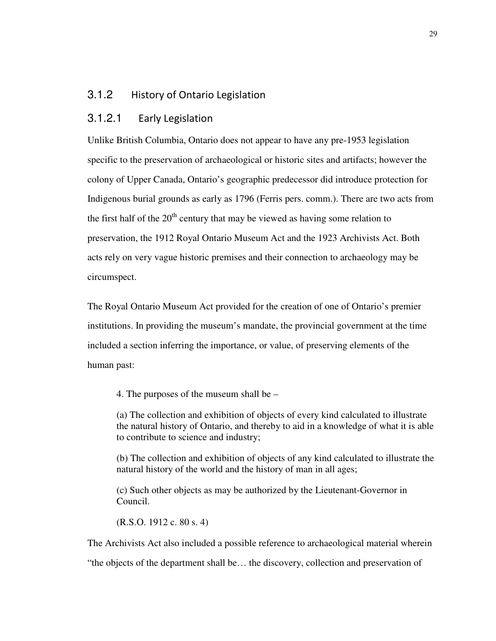## 3.1.2 History of Ontario Legislation

### 3.1.2.1 Early Legislation

Unlike British Columbia, Ontario does not appear to have any pre-1953 legislation specific to the preservation of archaeological or historic sites and artifacts; however the colony of Upper Canada, Ontario's geographic predecessor did introduce protection for Indigenous burial grounds as early as 1796 (Ferris pers. comm.). There are two acts from the first half of the  $20<sup>th</sup>$  century that may be viewed as having some relation to preservation, the 1912 Royal Ontario Museum Act and the 1923 Archivists Act. Both acts rely on very vague historic premises and their connection to archaeology may be circumspect.

The Royal Ontario Museum Act provided for the creation of one of Ontario's premier institutions. In providing the museum's mandate, the provincial government at the time included a section inferring the importance, or value, of preserving elements of the human past:

4. The purposes of the museum shall be –

(a) The collection and exhibition of objects of every kind calculated to illustrate the natural history of Ontario, and thereby to aid in a knowledge of what it is able to contribute to science and industry;

(b) The collection and exhibition of objects of any kind calculated to illustrate the natural history of the world and the history of man in all ages;

(c) Such other objects as may be authorized by the Lieutenant-Governor in Council.

(R.S.O. 1912 c. 80 s. 4)

The Archivists Act also included a possible reference to archaeological material wherein

"the objects of the department shall be… the discovery, collection and preservation of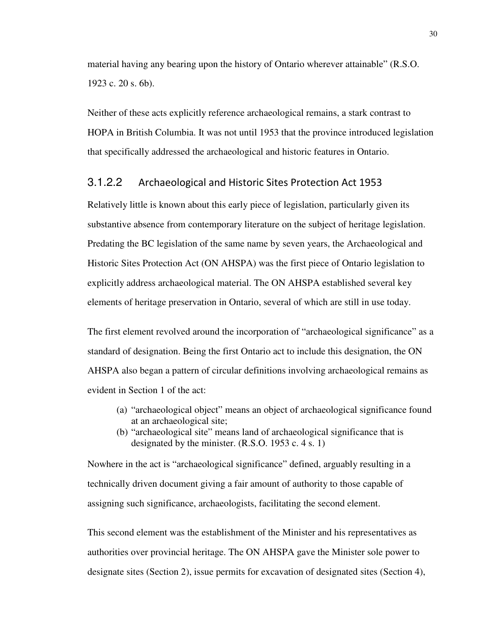material having any bearing upon the history of Ontario wherever attainable" (R.S.O. 1923 c. 20 s. 6b).

Neither of these acts explicitly reference archaeological remains, a stark contrast to HOPA in British Columbia. It was not until 1953 that the province introduced legislation that specifically addressed the archaeological and historic features in Ontario.

### 3.1.2.2 Archaeological and Historic Sites Protection Act 1953

Relatively little is known about this early piece of legislation, particularly given its substantive absence from contemporary literature on the subject of heritage legislation. Predating the BC legislation of the same name by seven years, the Archaeological and Historic Sites Protection Act (ON AHSPA) was the first piece of Ontario legislation to explicitly address archaeological material. The ON AHSPA established several key elements of heritage preservation in Ontario, several of which are still in use today.

The first element revolved around the incorporation of "archaeological significance" as a standard of designation. Being the first Ontario act to include this designation, the ON AHSPA also began a pattern of circular definitions involving archaeological remains as evident in Section 1 of the act:

- (a) "archaeological object" means an object of archaeological significance found at an archaeological site;
- (b) "archaeological site" means land of archaeological significance that is designated by the minister. (R.S.O. 1953 c. 4 s. 1)

Nowhere in the act is "archaeological significance" defined, arguably resulting in a technically driven document giving a fair amount of authority to those capable of assigning such significance, archaeologists, facilitating the second element.

This second element was the establishment of the Minister and his representatives as authorities over provincial heritage. The ON AHSPA gave the Minister sole power to designate sites (Section 2), issue permits for excavation of designated sites (Section 4),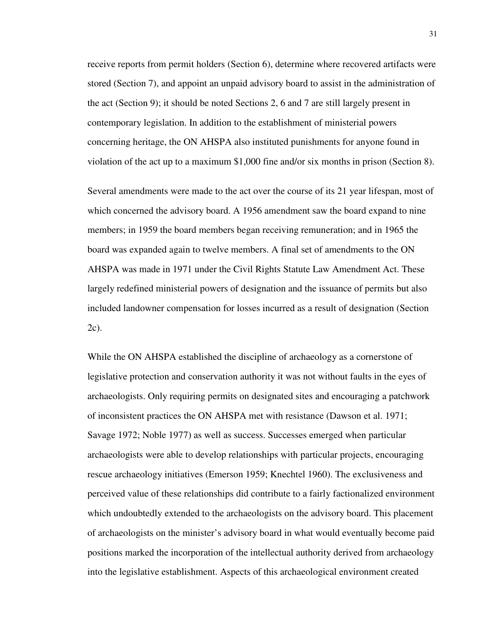receive reports from permit holders (Section 6), determine where recovered artifacts were stored (Section 7), and appoint an unpaid advisory board to assist in the administration of the act (Section 9); it should be noted Sections 2, 6 and 7 are still largely present in contemporary legislation. In addition to the establishment of ministerial powers concerning heritage, the ON AHSPA also instituted punishments for anyone found in violation of the act up to a maximum \$1,000 fine and/or six months in prison (Section 8).

Several amendments were made to the act over the course of its 21 year lifespan, most of which concerned the advisory board. A 1956 amendment saw the board expand to nine members; in 1959 the board members began receiving remuneration; and in 1965 the board was expanded again to twelve members. A final set of amendments to the ON AHSPA was made in 1971 under the Civil Rights Statute Law Amendment Act. These largely redefined ministerial powers of designation and the issuance of permits but also included landowner compensation for losses incurred as a result of designation (Section 2c).

While the ON AHSPA established the discipline of archaeology as a cornerstone of legislative protection and conservation authority it was not without faults in the eyes of archaeologists. Only requiring permits on designated sites and encouraging a patchwork of inconsistent practices the ON AHSPA met with resistance (Dawson et al. 1971; Savage 1972; Noble 1977) as well as success. Successes emerged when particular archaeologists were able to develop relationships with particular projects, encouraging rescue archaeology initiatives (Emerson 1959; Knechtel 1960). The exclusiveness and perceived value of these relationships did contribute to a fairly factionalized environment which undoubtedly extended to the archaeologists on the advisory board. This placement of archaeologists on the minister's advisory board in what would eventually become paid positions marked the incorporation of the intellectual authority derived from archaeology into the legislative establishment. Aspects of this archaeological environment created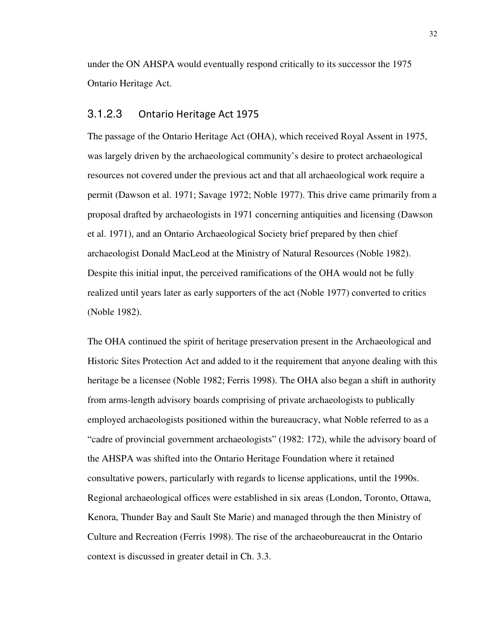under the ON AHSPA would eventually respond critically to its successor the 1975 Ontario Heritage Act.

#### 3.1.2.3 Ontario Heritage Act 1975

The passage of the Ontario Heritage Act (OHA), which received Royal Assent in 1975, was largely driven by the archaeological community's desire to protect archaeological resources not covered under the previous act and that all archaeological work require a permit (Dawson et al. 1971; Savage 1972; Noble 1977). This drive came primarily from a proposal drafted by archaeologists in 1971 concerning antiquities and licensing (Dawson et al. 1971), and an Ontario Archaeological Society brief prepared by then chief archaeologist Donald MacLeod at the Ministry of Natural Resources (Noble 1982). Despite this initial input, the perceived ramifications of the OHA would not be fully realized until years later as early supporters of the act (Noble 1977) converted to critics (Noble 1982).

The OHA continued the spirit of heritage preservation present in the Archaeological and Historic Sites Protection Act and added to it the requirement that anyone dealing with this heritage be a licensee (Noble 1982; Ferris 1998). The OHA also began a shift in authority from arms-length advisory boards comprising of private archaeologists to publically employed archaeologists positioned within the bureaucracy, what Noble referred to as a "cadre of provincial government archaeologists" (1982: 172), while the advisory board of the AHSPA was shifted into the Ontario Heritage Foundation where it retained consultative powers, particularly with regards to license applications, until the 1990s. Regional archaeological offices were established in six areas (London, Toronto, Ottawa, Kenora, Thunder Bay and Sault Ste Marie) and managed through the then Ministry of Culture and Recreation (Ferris 1998). The rise of the archaeobureaucrat in the Ontario context is discussed in greater detail in Ch. 3.3.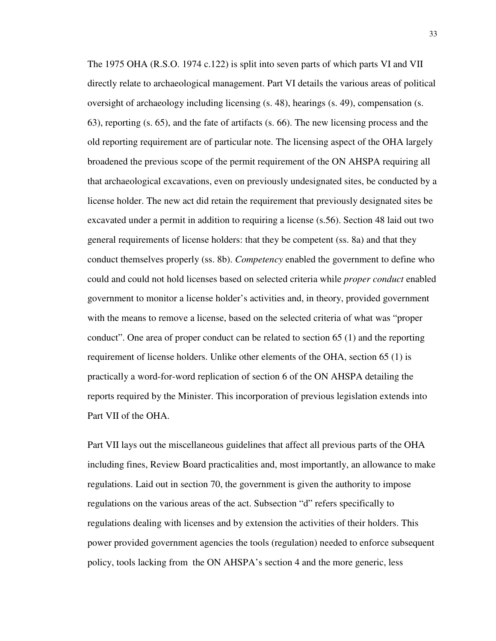The 1975 OHA (R.S.O. 1974 c.122) is split into seven parts of which parts VI and VII directly relate to archaeological management. Part VI details the various areas of political oversight of archaeology including licensing (s. 48), hearings (s. 49), compensation (s. 63), reporting (s. 65), and the fate of artifacts (s. 66). The new licensing process and the old reporting requirement are of particular note. The licensing aspect of the OHA largely broadened the previous scope of the permit requirement of the ON AHSPA requiring all that archaeological excavations, even on previously undesignated sites, be conducted by a license holder. The new act did retain the requirement that previously designated sites be excavated under a permit in addition to requiring a license (s.56). Section 48 laid out two general requirements of license holders: that they be competent (ss. 8a) and that they conduct themselves properly (ss. 8b). *Competency* enabled the government to define who could and could not hold licenses based on selected criteria while *proper conduct* enabled government to monitor a license holder's activities and, in theory, provided government with the means to remove a license, based on the selected criteria of what was "proper conduct". One area of proper conduct can be related to section 65 (1) and the reporting requirement of license holders. Unlike other elements of the OHA, section 65 (1) is practically a word-for-word replication of section 6 of the ON AHSPA detailing the reports required by the Minister. This incorporation of previous legislation extends into Part VII of the OHA.

Part VII lays out the miscellaneous guidelines that affect all previous parts of the OHA including fines, Review Board practicalities and, most importantly, an allowance to make regulations. Laid out in section 70, the government is given the authority to impose regulations on the various areas of the act. Subsection "d" refers specifically to regulations dealing with licenses and by extension the activities of their holders. This power provided government agencies the tools (regulation) needed to enforce subsequent policy, tools lacking from the ON AHSPA's section 4 and the more generic, less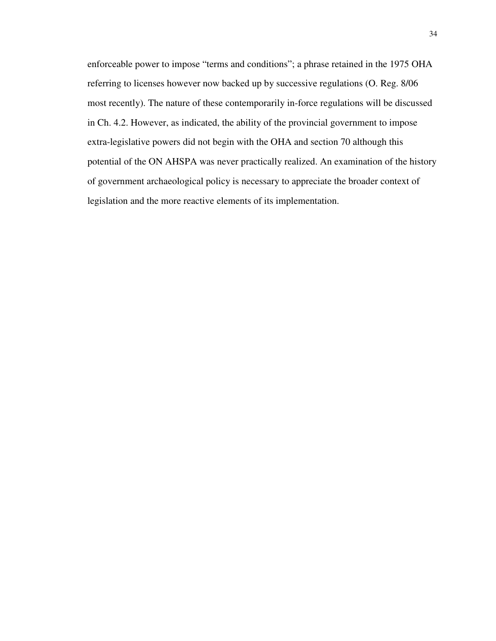enforceable power to impose "terms and conditions"; a phrase retained in the 1975 OHA referring to licenses however now backed up by successive regulations (O. Reg. 8/06 most recently). The nature of these contemporarily in-force regulations will be discussed in Ch. 4.2. However, as indicated, the ability of the provincial government to impose extra-legislative powers did not begin with the OHA and section 70 although this potential of the ON AHSPA was never practically realized. An examination of the history of government archaeological policy is necessary to appreciate the broader context of legislation and the more reactive elements of its implementation.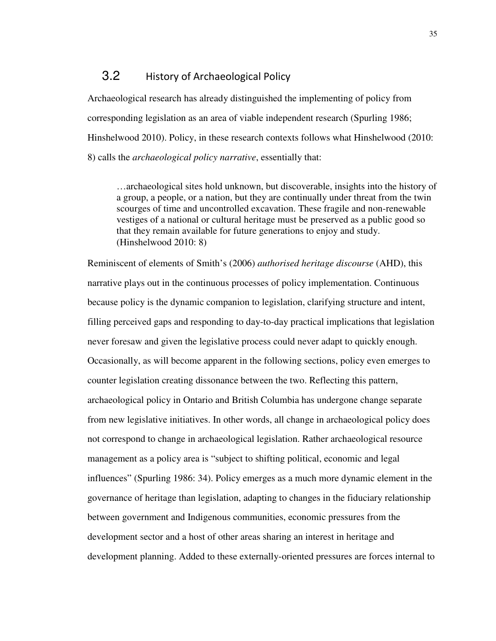## 3.2 History of Archaeological Policy

Archaeological research has already distinguished the implementing of policy from corresponding legislation as an area of viable independent research (Spurling 1986; Hinshelwood 2010). Policy, in these research contexts follows what Hinshelwood (2010: 8) calls the *archaeological policy narrative*, essentially that:

…archaeological sites hold unknown, but discoverable, insights into the history of a group, a people, or a nation, but they are continually under threat from the twin scourges of time and uncontrolled excavation. These fragile and non-renewable vestiges of a national or cultural heritage must be preserved as a public good so that they remain available for future generations to enjoy and study. (Hinshelwood 2010: 8)

Reminiscent of elements of Smith's (2006) *authorised heritage discourse* (AHD), this narrative plays out in the continuous processes of policy implementation. Continuous because policy is the dynamic companion to legislation, clarifying structure and intent, filling perceived gaps and responding to day-to-day practical implications that legislation never foresaw and given the legislative process could never adapt to quickly enough. Occasionally, as will become apparent in the following sections, policy even emerges to counter legislation creating dissonance between the two. Reflecting this pattern, archaeological policy in Ontario and British Columbia has undergone change separate from new legislative initiatives. In other words, all change in archaeological policy does not correspond to change in archaeological legislation. Rather archaeological resource management as a policy area is "subject to shifting political, economic and legal influences" (Spurling 1986: 34). Policy emerges as a much more dynamic element in the governance of heritage than legislation, adapting to changes in the fiduciary relationship between government and Indigenous communities, economic pressures from the development sector and a host of other areas sharing an interest in heritage and development planning. Added to these externally-oriented pressures are forces internal to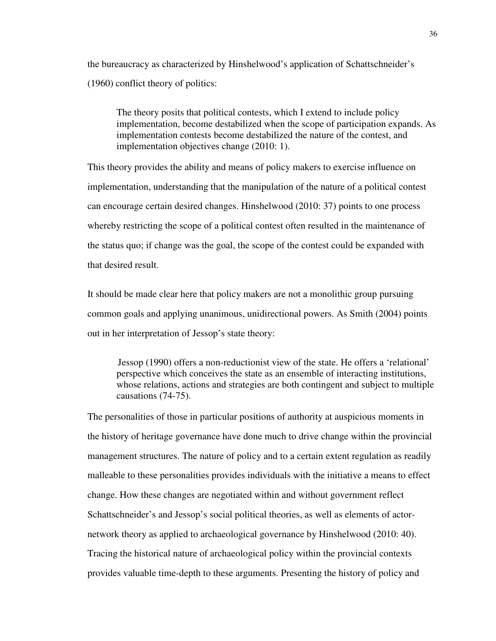the bureaucracy as characterized by Hinshelwood's application of Schattschneider's (1960) conflict theory of politics:

The theory posits that political contests, which I extend to include policy implementation, become destabilized when the scope of participation expands. As implementation contests become destabilized the nature of the contest, and implementation objectives change (2010: 1).

This theory provides the ability and means of policy makers to exercise influence on implementation, understanding that the manipulation of the nature of a political contest can encourage certain desired changes. Hinshelwood (2010: 37) points to one process whereby restricting the scope of a political contest often resulted in the maintenance of the status quo; if change was the goal, the scope of the contest could be expanded with that desired result.

It should be made clear here that policy makers are not a monolithic group pursuing common goals and applying unanimous, unidirectional powers. As Smith (2004) points out in her interpretation of Jessop's state theory:

Jessop (1990) offers a non-reductionist view of the state. He offers a 'relational' perspective which conceives the state as an ensemble of interacting institutions, whose relations, actions and strategies are both contingent and subject to multiple causations (74-75).

The personalities of those in particular positions of authority at auspicious moments in the history of heritage governance have done much to drive change within the provincial management structures. The nature of policy and to a certain extent regulation as readily malleable to these personalities provides individuals with the initiative a means to effect change. How these changes are negotiated within and without government reflect Schattschneider's and Jessop's social political theories, as well as elements of actornetwork theory as applied to archaeological governance by Hinshelwood (2010: 40). Tracing the historical nature of archaeological policy within the provincial contexts provides valuable time-depth to these arguments. Presenting the history of policy and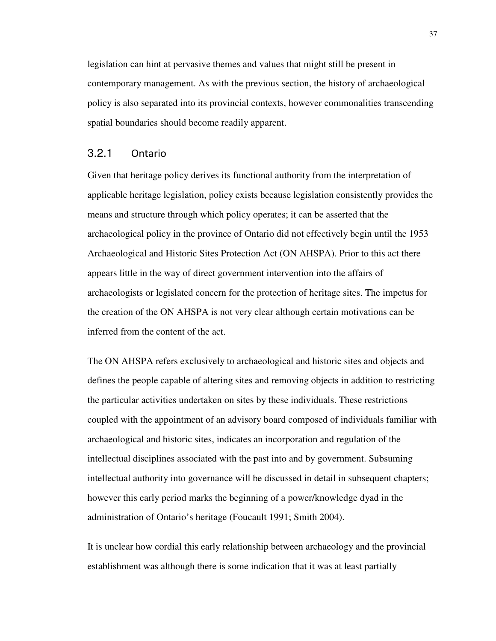legislation can hint at pervasive themes and values that might still be present in contemporary management. As with the previous section, the history of archaeological policy is also separated into its provincial contexts, however commonalities transcending spatial boundaries should become readily apparent.

#### 3.2.1 Ontario

Given that heritage policy derives its functional authority from the interpretation of applicable heritage legislation, policy exists because legislation consistently provides the means and structure through which policy operates; it can be asserted that the archaeological policy in the province of Ontario did not effectively begin until the 1953 Archaeological and Historic Sites Protection Act (ON AHSPA). Prior to this act there appears little in the way of direct government intervention into the affairs of archaeologists or legislated concern for the protection of heritage sites. The impetus for the creation of the ON AHSPA is not very clear although certain motivations can be inferred from the content of the act.

The ON AHSPA refers exclusively to archaeological and historic sites and objects and defines the people capable of altering sites and removing objects in addition to restricting the particular activities undertaken on sites by these individuals. These restrictions coupled with the appointment of an advisory board composed of individuals familiar with archaeological and historic sites, indicates an incorporation and regulation of the intellectual disciplines associated with the past into and by government. Subsuming intellectual authority into governance will be discussed in detail in subsequent chapters; however this early period marks the beginning of a power/knowledge dyad in the administration of Ontario's heritage (Foucault 1991; Smith 2004).

It is unclear how cordial this early relationship between archaeology and the provincial establishment was although there is some indication that it was at least partially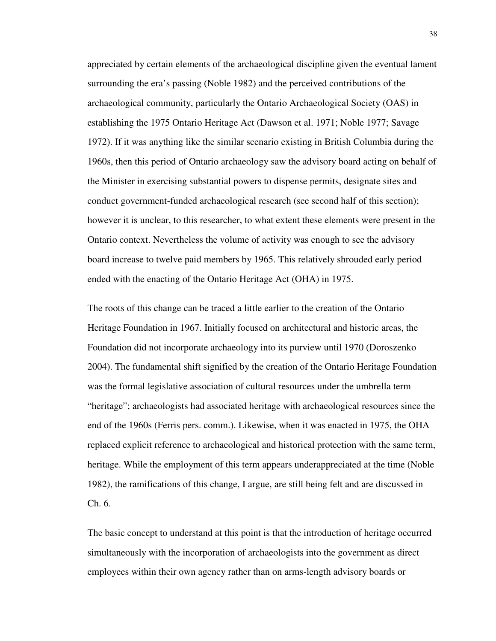appreciated by certain elements of the archaeological discipline given the eventual lament surrounding the era's passing (Noble 1982) and the perceived contributions of the archaeological community, particularly the Ontario Archaeological Society (OAS) in establishing the 1975 Ontario Heritage Act (Dawson et al. 1971; Noble 1977; Savage 1972). If it was anything like the similar scenario existing in British Columbia during the 1960s, then this period of Ontario archaeology saw the advisory board acting on behalf of the Minister in exercising substantial powers to dispense permits, designate sites and conduct government-funded archaeological research (see second half of this section); however it is unclear, to this researcher, to what extent these elements were present in the Ontario context. Nevertheless the volume of activity was enough to see the advisory board increase to twelve paid members by 1965. This relatively shrouded early period ended with the enacting of the Ontario Heritage Act (OHA) in 1975.

The roots of this change can be traced a little earlier to the creation of the Ontario Heritage Foundation in 1967. Initially focused on architectural and historic areas, the Foundation did not incorporate archaeology into its purview until 1970 (Doroszenko 2004). The fundamental shift signified by the creation of the Ontario Heritage Foundation was the formal legislative association of cultural resources under the umbrella term "heritage"; archaeologists had associated heritage with archaeological resources since the end of the 1960s (Ferris pers. comm.). Likewise, when it was enacted in 1975, the OHA replaced explicit reference to archaeological and historical protection with the same term, heritage. While the employment of this term appears underappreciated at the time (Noble 1982), the ramifications of this change, I argue, are still being felt and are discussed in Ch. 6.

The basic concept to understand at this point is that the introduction of heritage occurred simultaneously with the incorporation of archaeologists into the government as direct employees within their own agency rather than on arms-length advisory boards or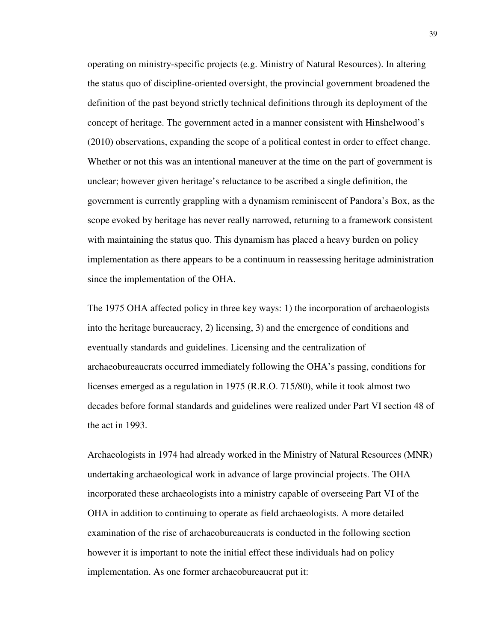operating on ministry-specific projects (e.g. Ministry of Natural Resources). In altering the status quo of discipline-oriented oversight, the provincial government broadened the definition of the past beyond strictly technical definitions through its deployment of the concept of heritage. The government acted in a manner consistent with Hinshelwood's (2010) observations, expanding the scope of a political contest in order to effect change. Whether or not this was an intentional maneuver at the time on the part of government is unclear; however given heritage's reluctance to be ascribed a single definition, the government is currently grappling with a dynamism reminiscent of Pandora's Box, as the scope evoked by heritage has never really narrowed, returning to a framework consistent with maintaining the status quo. This dynamism has placed a heavy burden on policy implementation as there appears to be a continuum in reassessing heritage administration since the implementation of the OHA.

The 1975 OHA affected policy in three key ways: 1) the incorporation of archaeologists into the heritage bureaucracy, 2) licensing, 3) and the emergence of conditions and eventually standards and guidelines. Licensing and the centralization of archaeobureaucrats occurred immediately following the OHA's passing, conditions for licenses emerged as a regulation in 1975 (R.R.O. 715/80), while it took almost two decades before formal standards and guidelines were realized under Part VI section 48 of the act in 1993.

Archaeologists in 1974 had already worked in the Ministry of Natural Resources (MNR) undertaking archaeological work in advance of large provincial projects. The OHA incorporated these archaeologists into a ministry capable of overseeing Part VI of the OHA in addition to continuing to operate as field archaeologists. A more detailed examination of the rise of archaeobureaucrats is conducted in the following section however it is important to note the initial effect these individuals had on policy implementation. As one former archaeobureaucrat put it: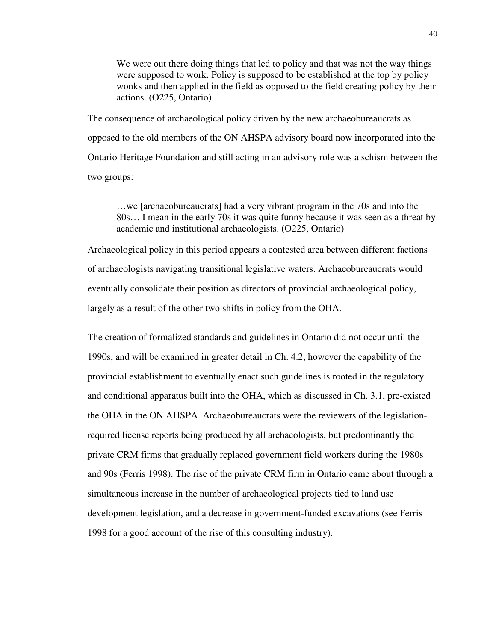We were out there doing things that led to policy and that was not the way things were supposed to work. Policy is supposed to be established at the top by policy wonks and then applied in the field as opposed to the field creating policy by their actions. (O225, Ontario)

The consequence of archaeological policy driven by the new archaeobureaucrats as opposed to the old members of the ON AHSPA advisory board now incorporated into the Ontario Heritage Foundation and still acting in an advisory role was a schism between the two groups:

…we [archaeobureaucrats] had a very vibrant program in the 70s and into the 80s… I mean in the early 70s it was quite funny because it was seen as a threat by academic and institutional archaeologists. (O225, Ontario)

Archaeological policy in this period appears a contested area between different factions of archaeologists navigating transitional legislative waters. Archaeobureaucrats would eventually consolidate their position as directors of provincial archaeological policy, largely as a result of the other two shifts in policy from the OHA.

The creation of formalized standards and guidelines in Ontario did not occur until the 1990s, and will be examined in greater detail in Ch. 4.2, however the capability of the provincial establishment to eventually enact such guidelines is rooted in the regulatory and conditional apparatus built into the OHA, which as discussed in Ch. 3.1, pre-existed the OHA in the ON AHSPA. Archaeobureaucrats were the reviewers of the legislationrequired license reports being produced by all archaeologists, but predominantly the private CRM firms that gradually replaced government field workers during the 1980s and 90s (Ferris 1998). The rise of the private CRM firm in Ontario came about through a simultaneous increase in the number of archaeological projects tied to land use development legislation, and a decrease in government-funded excavations (see Ferris 1998 for a good account of the rise of this consulting industry).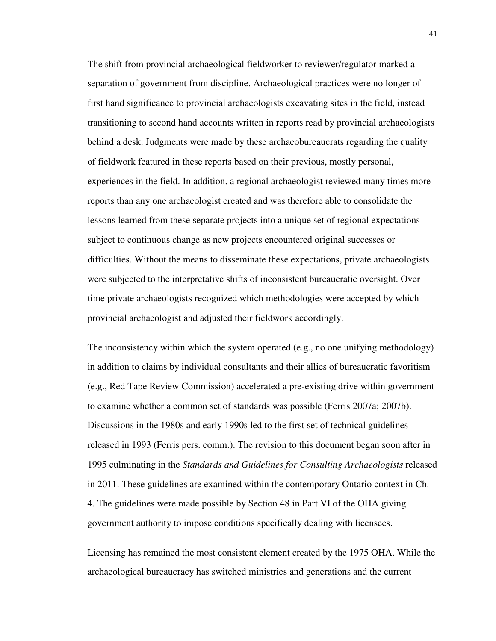The shift from provincial archaeological fieldworker to reviewer/regulator marked a separation of government from discipline. Archaeological practices were no longer of first hand significance to provincial archaeologists excavating sites in the field, instead transitioning to second hand accounts written in reports read by provincial archaeologists behind a desk. Judgments were made by these archaeobureaucrats regarding the quality of fieldwork featured in these reports based on their previous, mostly personal, experiences in the field. In addition, a regional archaeologist reviewed many times more reports than any one archaeologist created and was therefore able to consolidate the lessons learned from these separate projects into a unique set of regional expectations subject to continuous change as new projects encountered original successes or difficulties. Without the means to disseminate these expectations, private archaeologists were subjected to the interpretative shifts of inconsistent bureaucratic oversight. Over time private archaeologists recognized which methodologies were accepted by which provincial archaeologist and adjusted their fieldwork accordingly.

The inconsistency within which the system operated (e.g., no one unifying methodology) in addition to claims by individual consultants and their allies of bureaucratic favoritism (e.g., Red Tape Review Commission) accelerated a pre-existing drive within government to examine whether a common set of standards was possible (Ferris 2007a; 2007b). Discussions in the 1980s and early 1990s led to the first set of technical guidelines released in 1993 (Ferris pers. comm.). The revision to this document began soon after in 1995 culminating in the *Standards and Guidelines for Consulting Archaeologists* released in 2011. These guidelines are examined within the contemporary Ontario context in Ch. 4. The guidelines were made possible by Section 48 in Part VI of the OHA giving government authority to impose conditions specifically dealing with licensees.

Licensing has remained the most consistent element created by the 1975 OHA. While the archaeological bureaucracy has switched ministries and generations and the current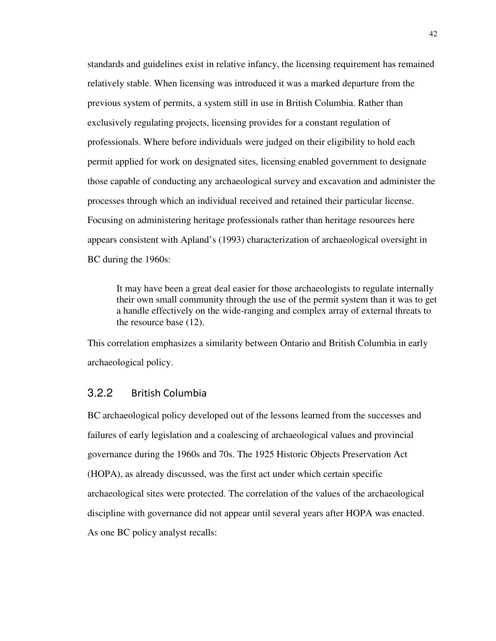standards and guidelines exist in relative infancy, the licensing requirement has remained relatively stable. When licensing was introduced it was a marked departure from the previous system of permits, a system still in use in British Columbia. Rather than exclusively regulating projects, licensing provides for a constant regulation of professionals. Where before individuals were judged on their eligibility to hold each permit applied for work on designated sites, licensing enabled government to designate those capable of conducting any archaeological survey and excavation and administer the processes through which an individual received and retained their particular license. Focusing on administering heritage professionals rather than heritage resources here appears consistent with Apland's (1993) characterization of archaeological oversight in BC during the 1960s:

It may have been a great deal easier for those archaeologists to regulate internally their own small community through the use of the permit system than it was to get a handle effectively on the wide-ranging and complex array of external threats to the resource base (12).

This correlation emphasizes a similarity between Ontario and British Columbia in early archaeological policy.

### 3.2.2 British Columbia

BC archaeological policy developed out of the lessons learned from the successes and failures of early legislation and a coalescing of archaeological values and provincial governance during the 1960s and 70s. The 1925 Historic Objects Preservation Act (HOPA), as already discussed, was the first act under which certain specific archaeological sites were protected. The correlation of the values of the archaeological discipline with governance did not appear until several years after HOPA was enacted. As one BC policy analyst recalls: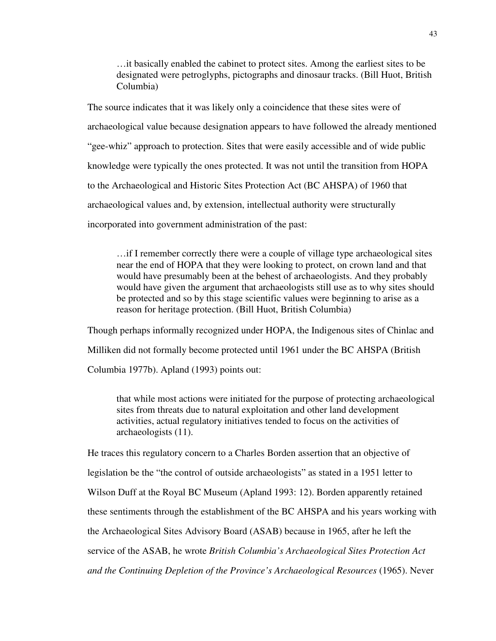…it basically enabled the cabinet to protect sites. Among the earliest sites to be designated were petroglyphs, pictographs and dinosaur tracks. (Bill Huot, British Columbia)

The source indicates that it was likely only a coincidence that these sites were of archaeological value because designation appears to have followed the already mentioned "gee-whiz" approach to protection. Sites that were easily accessible and of wide public knowledge were typically the ones protected. It was not until the transition from HOPA to the Archaeological and Historic Sites Protection Act (BC AHSPA) of 1960 that archaeological values and, by extension, intellectual authority were structurally incorporated into government administration of the past:

…if I remember correctly there were a couple of village type archaeological sites near the end of HOPA that they were looking to protect, on crown land and that would have presumably been at the behest of archaeologists. And they probably would have given the argument that archaeologists still use as to why sites should be protected and so by this stage scientific values were beginning to arise as a reason for heritage protection. (Bill Huot, British Columbia)

Though perhaps informally recognized under HOPA, the Indigenous sites of Chinlac and Milliken did not formally become protected until 1961 under the BC AHSPA (British Columbia 1977b). Apland (1993) points out:

that while most actions were initiated for the purpose of protecting archaeological sites from threats due to natural exploitation and other land development activities, actual regulatory initiatives tended to focus on the activities of archaeologists (11).

He traces this regulatory concern to a Charles Borden assertion that an objective of legislation be the "the control of outside archaeologists" as stated in a 1951 letter to Wilson Duff at the Royal BC Museum (Apland 1993: 12). Borden apparently retained these sentiments through the establishment of the BC AHSPA and his years working with the Archaeological Sites Advisory Board (ASAB) because in 1965, after he left the service of the ASAB, he wrote *British Columbia's Archaeological Sites Protection Act and the Continuing Depletion of the Province's Archaeological Resources* (1965). Never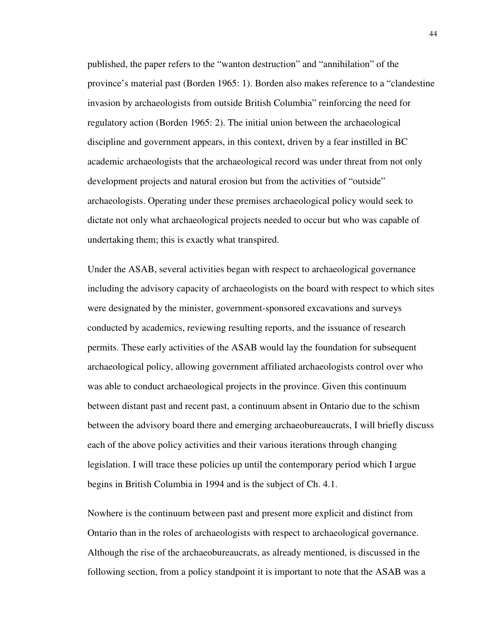published, the paper refers to the "wanton destruction" and "annihilation" of the province's material past (Borden 1965: 1). Borden also makes reference to a "clandestine invasion by archaeologists from outside British Columbia" reinforcing the need for regulatory action (Borden 1965: 2). The initial union between the archaeological discipline and government appears, in this context, driven by a fear instilled in BC academic archaeologists that the archaeological record was under threat from not only development projects and natural erosion but from the activities of "outside" archaeologists. Operating under these premises archaeological policy would seek to dictate not only what archaeological projects needed to occur but who was capable of undertaking them; this is exactly what transpired.

Under the ASAB, several activities began with respect to archaeological governance including the advisory capacity of archaeologists on the board with respect to which sites were designated by the minister, government-sponsored excavations and surveys conducted by academics, reviewing resulting reports, and the issuance of research permits. These early activities of the ASAB would lay the foundation for subsequent archaeological policy, allowing government affiliated archaeologists control over who was able to conduct archaeological projects in the province. Given this continuum between distant past and recent past, a continuum absent in Ontario due to the schism between the advisory board there and emerging archaeobureaucrats, I will briefly discuss each of the above policy activities and their various iterations through changing legislation. I will trace these policies up until the contemporary period which I argue begins in British Columbia in 1994 and is the subject of Ch. 4.1.

Nowhere is the continuum between past and present more explicit and distinct from Ontario than in the roles of archaeologists with respect to archaeological governance. Although the rise of the archaeobureaucrats, as already mentioned, is discussed in the following section, from a policy standpoint it is important to note that the ASAB was a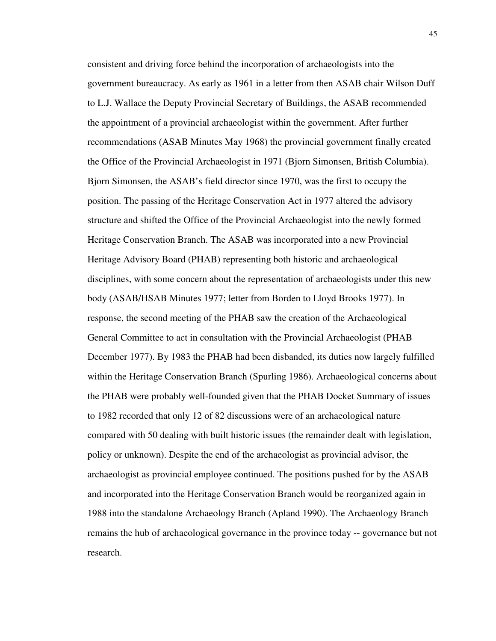consistent and driving force behind the incorporation of archaeologists into the government bureaucracy. As early as 1961 in a letter from then ASAB chair Wilson Duff to L.J. Wallace the Deputy Provincial Secretary of Buildings, the ASAB recommended the appointment of a provincial archaeologist within the government. After further recommendations (ASAB Minutes May 1968) the provincial government finally created the Office of the Provincial Archaeologist in 1971 (Bjorn Simonsen, British Columbia). Bjorn Simonsen, the ASAB's field director since 1970, was the first to occupy the position. The passing of the Heritage Conservation Act in 1977 altered the advisory structure and shifted the Office of the Provincial Archaeologist into the newly formed Heritage Conservation Branch. The ASAB was incorporated into a new Provincial Heritage Advisory Board (PHAB) representing both historic and archaeological disciplines, with some concern about the representation of archaeologists under this new body (ASAB/HSAB Minutes 1977; letter from Borden to Lloyd Brooks 1977). In response, the second meeting of the PHAB saw the creation of the Archaeological General Committee to act in consultation with the Provincial Archaeologist (PHAB December 1977). By 1983 the PHAB had been disbanded, its duties now largely fulfilled within the Heritage Conservation Branch (Spurling 1986). Archaeological concerns about the PHAB were probably well-founded given that the PHAB Docket Summary of issues to 1982 recorded that only 12 of 82 discussions were of an archaeological nature compared with 50 dealing with built historic issues (the remainder dealt with legislation, policy or unknown). Despite the end of the archaeologist as provincial advisor, the archaeologist as provincial employee continued. The positions pushed for by the ASAB and incorporated into the Heritage Conservation Branch would be reorganized again in 1988 into the standalone Archaeology Branch (Apland 1990). The Archaeology Branch remains the hub of archaeological governance in the province today -- governance but not research.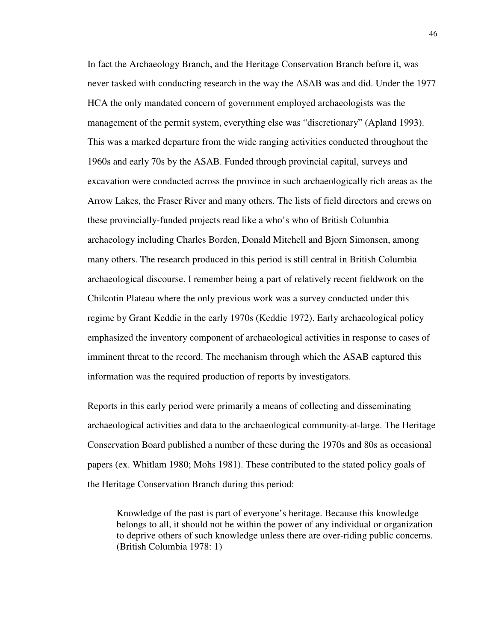In fact the Archaeology Branch, and the Heritage Conservation Branch before it, was never tasked with conducting research in the way the ASAB was and did. Under the 1977 HCA the only mandated concern of government employed archaeologists was the management of the permit system, everything else was "discretionary" (Apland 1993). This was a marked departure from the wide ranging activities conducted throughout the 1960s and early 70s by the ASAB. Funded through provincial capital, surveys and excavation were conducted across the province in such archaeologically rich areas as the Arrow Lakes, the Fraser River and many others. The lists of field directors and crews on these provincially-funded projects read like a who's who of British Columbia archaeology including Charles Borden, Donald Mitchell and Bjorn Simonsen, among many others. The research produced in this period is still central in British Columbia archaeological discourse. I remember being a part of relatively recent fieldwork on the Chilcotin Plateau where the only previous work was a survey conducted under this regime by Grant Keddie in the early 1970s (Keddie 1972). Early archaeological policy emphasized the inventory component of archaeological activities in response to cases of imminent threat to the record. The mechanism through which the ASAB captured this information was the required production of reports by investigators.

Reports in this early period were primarily a means of collecting and disseminating archaeological activities and data to the archaeological community-at-large. The Heritage Conservation Board published a number of these during the 1970s and 80s as occasional papers (ex. Whitlam 1980; Mohs 1981). These contributed to the stated policy goals of the Heritage Conservation Branch during this period:

Knowledge of the past is part of everyone's heritage. Because this knowledge belongs to all, it should not be within the power of any individual or organization to deprive others of such knowledge unless there are over-riding public concerns. (British Columbia 1978: 1)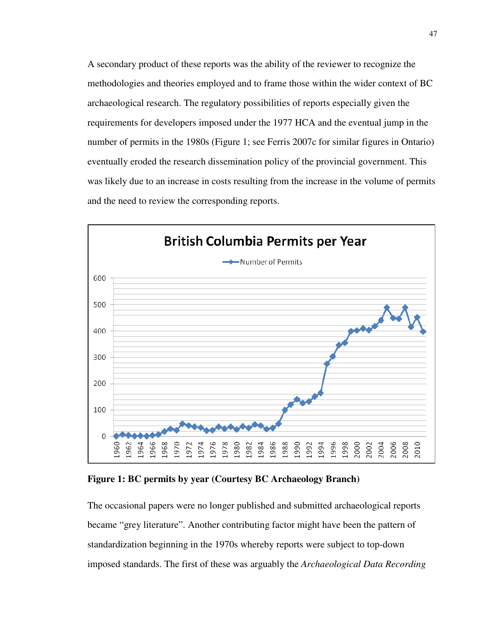A secondary product of these reports was the ability of the reviewer to recognize the methodologies and theories employed and to frame those within the wider context of BC archaeological research. The regulatory possibilities of reports especially given the requirements for developers imposed under the 1977 HCA and the eventual jump in the number of permits in the 1980s (Figure 1; see Ferris 2007c for similar figures in Ontario) eventually eroded the research dissemination policy of the provincial government. This was likely due to an increase in costs resulting from the increase in the volume of permits and the need to review the corresponding reports.



**Figure 1: BC permits by year (Courtesy BC Archaeology Branch)** 

The occasional papers were no longer published and submitted archaeological reports became "grey literature". Another contributing factor might have been the pattern of standardization beginning in the 1970s whereby reports were subject to top-down imposed standards. The first of these was arguably the *Archaeological Data Recording*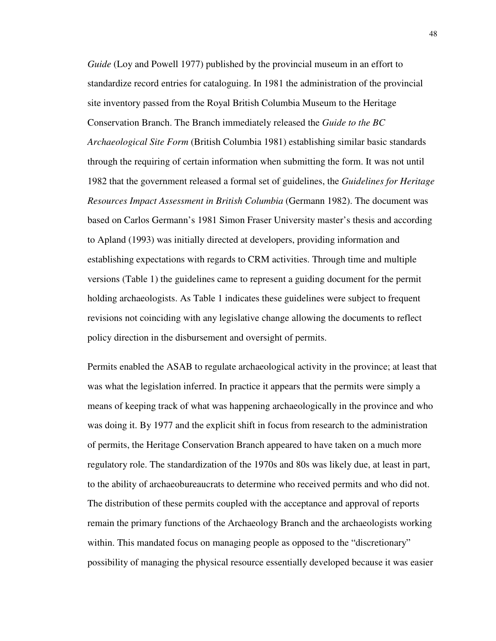*Guide* (Loy and Powell 1977) published by the provincial museum in an effort to standardize record entries for cataloguing. In 1981 the administration of the provincial site inventory passed from the Royal British Columbia Museum to the Heritage Conservation Branch. The Branch immediately released the *Guide to the BC Archaeological Site Form* (British Columbia 1981) establishing similar basic standards through the requiring of certain information when submitting the form. It was not until 1982 that the government released a formal set of guidelines, the *Guidelines for Heritage Resources Impact Assessment in British Columbia* (Germann 1982). The document was based on Carlos Germann's 1981 Simon Fraser University master's thesis and according to Apland (1993) was initially directed at developers, providing information and establishing expectations with regards to CRM activities. Through time and multiple versions (Table 1) the guidelines came to represent a guiding document for the permit holding archaeologists. As Table 1 indicates these guidelines were subject to frequent revisions not coinciding with any legislative change allowing the documents to reflect policy direction in the disbursement and oversight of permits.

Permits enabled the ASAB to regulate archaeological activity in the province; at least that was what the legislation inferred. In practice it appears that the permits were simply a means of keeping track of what was happening archaeologically in the province and who was doing it. By 1977 and the explicit shift in focus from research to the administration of permits, the Heritage Conservation Branch appeared to have taken on a much more regulatory role. The standardization of the 1970s and 80s was likely due, at least in part, to the ability of archaeobureaucrats to determine who received permits and who did not. The distribution of these permits coupled with the acceptance and approval of reports remain the primary functions of the Archaeology Branch and the archaeologists working within. This mandated focus on managing people as opposed to the "discretionary" possibility of managing the physical resource essentially developed because it was easier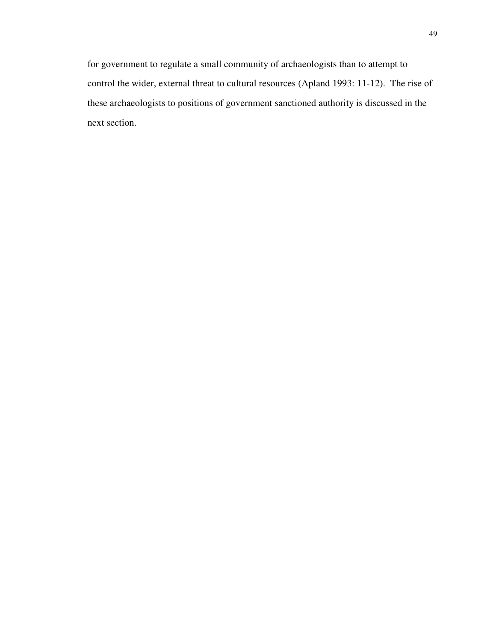for government to regulate a small community of archaeologists than to attempt to control the wider, external threat to cultural resources (Apland 1993: 11-12). The rise of these archaeologists to positions of government sanctioned authority is discussed in the next section.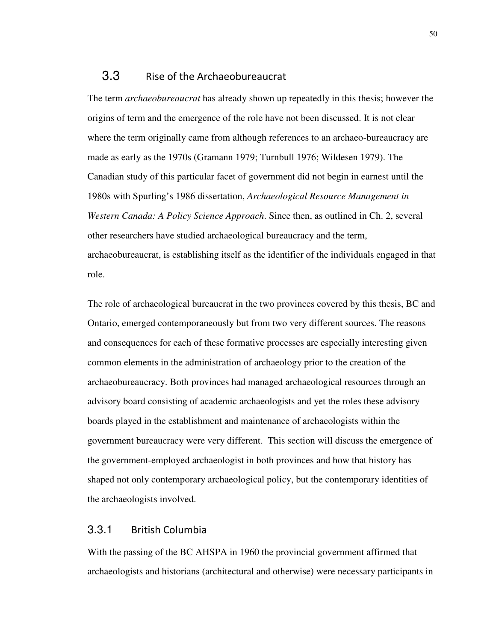### 3.3 Rise of the Archaeobureaucrat

The term *archaeobureaucrat* has already shown up repeatedly in this thesis; however the origins of term and the emergence of the role have not been discussed. It is not clear where the term originally came from although references to an archaeo-bureaucracy are made as early as the 1970s (Gramann 1979; Turnbull 1976; Wildesen 1979). The Canadian study of this particular facet of government did not begin in earnest until the 1980s with Spurling's 1986 dissertation, *Archaeological Resource Management in Western Canada: A Policy Science Approach*. Since then, as outlined in Ch. 2, several other researchers have studied archaeological bureaucracy and the term, archaeobureaucrat, is establishing itself as the identifier of the individuals engaged in that role.

The role of archaeological bureaucrat in the two provinces covered by this thesis, BC and Ontario, emerged contemporaneously but from two very different sources. The reasons and consequences for each of these formative processes are especially interesting given common elements in the administration of archaeology prior to the creation of the archaeobureaucracy. Both provinces had managed archaeological resources through an advisory board consisting of academic archaeologists and yet the roles these advisory boards played in the establishment and maintenance of archaeologists within the government bureaucracy were very different. This section will discuss the emergence of the government-employed archaeologist in both provinces and how that history has shaped not only contemporary archaeological policy, but the contemporary identities of the archaeologists involved.

### 3.3.1 British Columbia

With the passing of the BC AHSPA in 1960 the provincial government affirmed that archaeologists and historians (architectural and otherwise) were necessary participants in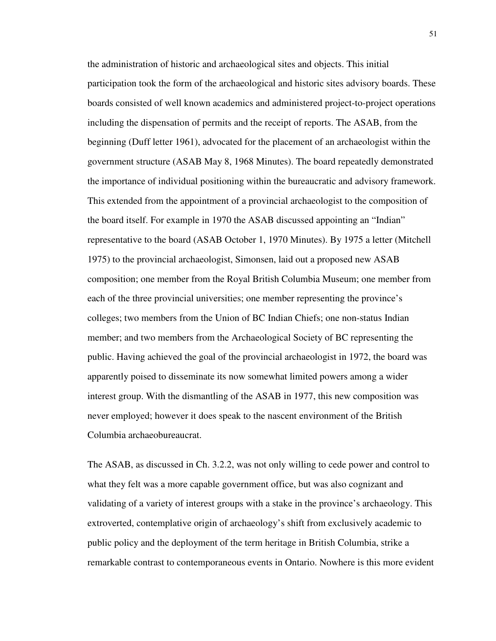the administration of historic and archaeological sites and objects. This initial participation took the form of the archaeological and historic sites advisory boards. These boards consisted of well known academics and administered project-to-project operations including the dispensation of permits and the receipt of reports. The ASAB, from the beginning (Duff letter 1961), advocated for the placement of an archaeologist within the government structure (ASAB May 8, 1968 Minutes). The board repeatedly demonstrated the importance of individual positioning within the bureaucratic and advisory framework. This extended from the appointment of a provincial archaeologist to the composition of the board itself. For example in 1970 the ASAB discussed appointing an "Indian" representative to the board (ASAB October 1, 1970 Minutes). By 1975 a letter (Mitchell 1975) to the provincial archaeologist, Simonsen, laid out a proposed new ASAB composition; one member from the Royal British Columbia Museum; one member from each of the three provincial universities; one member representing the province's colleges; two members from the Union of BC Indian Chiefs; one non-status Indian member; and two members from the Archaeological Society of BC representing the public. Having achieved the goal of the provincial archaeologist in 1972, the board was apparently poised to disseminate its now somewhat limited powers among a wider interest group. With the dismantling of the ASAB in 1977, this new composition was never employed; however it does speak to the nascent environment of the British Columbia archaeobureaucrat.

The ASAB, as discussed in Ch. 3.2.2, was not only willing to cede power and control to what they felt was a more capable government office, but was also cognizant and validating of a variety of interest groups with a stake in the province's archaeology. This extroverted, contemplative origin of archaeology's shift from exclusively academic to public policy and the deployment of the term heritage in British Columbia, strike a remarkable contrast to contemporaneous events in Ontario. Nowhere is this more evident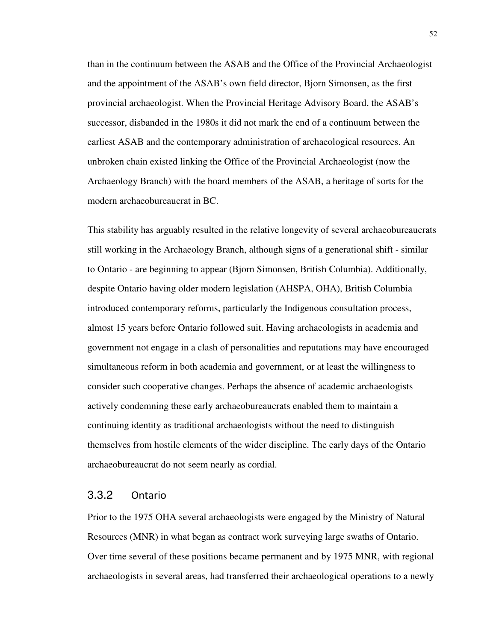than in the continuum between the ASAB and the Office of the Provincial Archaeologist and the appointment of the ASAB's own field director, Bjorn Simonsen, as the first provincial archaeologist. When the Provincial Heritage Advisory Board, the ASAB's successor, disbanded in the 1980s it did not mark the end of a continuum between the earliest ASAB and the contemporary administration of archaeological resources. An unbroken chain existed linking the Office of the Provincial Archaeologist (now the Archaeology Branch) with the board members of the ASAB, a heritage of sorts for the modern archaeobureaucrat in BC.

This stability has arguably resulted in the relative longevity of several archaeobureaucrats still working in the Archaeology Branch, although signs of a generational shift - similar to Ontario - are beginning to appear (Bjorn Simonsen, British Columbia). Additionally, despite Ontario having older modern legislation (AHSPA, OHA), British Columbia introduced contemporary reforms, particularly the Indigenous consultation process, almost 15 years before Ontario followed suit. Having archaeologists in academia and government not engage in a clash of personalities and reputations may have encouraged simultaneous reform in both academia and government, or at least the willingness to consider such cooperative changes. Perhaps the absence of academic archaeologists actively condemning these early archaeobureaucrats enabled them to maintain a continuing identity as traditional archaeologists without the need to distinguish themselves from hostile elements of the wider discipline. The early days of the Ontario archaeobureaucrat do not seem nearly as cordial.

#### 3.3.2 Ontario

Prior to the 1975 OHA several archaeologists were engaged by the Ministry of Natural Resources (MNR) in what began as contract work surveying large swaths of Ontario. Over time several of these positions became permanent and by 1975 MNR, with regional archaeologists in several areas, had transferred their archaeological operations to a newly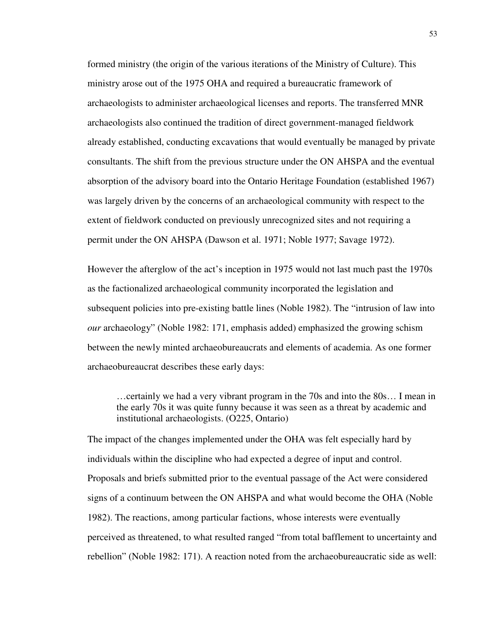formed ministry (the origin of the various iterations of the Ministry of Culture). This ministry arose out of the 1975 OHA and required a bureaucratic framework of archaeologists to administer archaeological licenses and reports. The transferred MNR archaeologists also continued the tradition of direct government-managed fieldwork already established, conducting excavations that would eventually be managed by private consultants. The shift from the previous structure under the ON AHSPA and the eventual absorption of the advisory board into the Ontario Heritage Foundation (established 1967) was largely driven by the concerns of an archaeological community with respect to the extent of fieldwork conducted on previously unrecognized sites and not requiring a permit under the ON AHSPA (Dawson et al. 1971; Noble 1977; Savage 1972).

However the afterglow of the act's inception in 1975 would not last much past the 1970s as the factionalized archaeological community incorporated the legislation and subsequent policies into pre-existing battle lines (Noble 1982). The "intrusion of law into *our* archaeology" (Noble 1982: 171, emphasis added) emphasized the growing schism between the newly minted archaeobureaucrats and elements of academia. As one former archaeobureaucrat describes these early days:

…certainly we had a very vibrant program in the 70s and into the 80s… I mean in the early 70s it was quite funny because it was seen as a threat by academic and institutional archaeologists. (O225, Ontario)

The impact of the changes implemented under the OHA was felt especially hard by individuals within the discipline who had expected a degree of input and control. Proposals and briefs submitted prior to the eventual passage of the Act were considered signs of a continuum between the ON AHSPA and what would become the OHA (Noble 1982). The reactions, among particular factions, whose interests were eventually perceived as threatened, to what resulted ranged "from total bafflement to uncertainty and rebellion" (Noble 1982: 171). A reaction noted from the archaeobureaucratic side as well: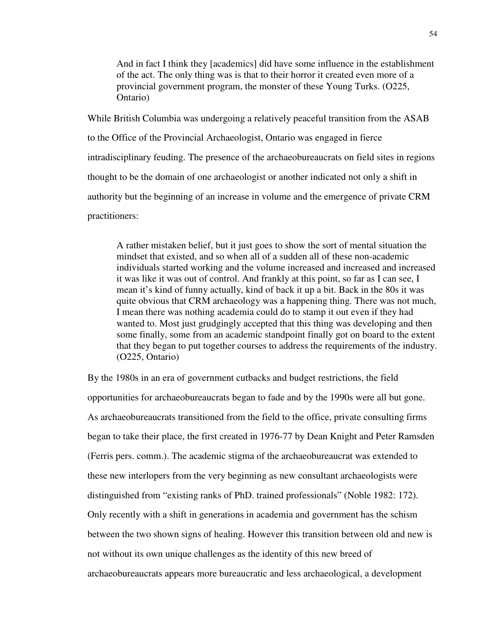And in fact I think they [academics] did have some influence in the establishment of the act. The only thing was is that to their horror it created even more of a provincial government program, the monster of these Young Turks. (O225, Ontario)

While British Columbia was undergoing a relatively peaceful transition from the ASAB to the Office of the Provincial Archaeologist, Ontario was engaged in fierce intradisciplinary feuding. The presence of the archaeobureaucrats on field sites in regions thought to be the domain of one archaeologist or another indicated not only a shift in authority but the beginning of an increase in volume and the emergence of private CRM practitioners:

A rather mistaken belief, but it just goes to show the sort of mental situation the mindset that existed, and so when all of a sudden all of these non-academic individuals started working and the volume increased and increased and increased it was like it was out of control. And frankly at this point, so far as I can see, I mean it's kind of funny actually, kind of back it up a bit. Back in the 80s it was quite obvious that CRM archaeology was a happening thing. There was not much, I mean there was nothing academia could do to stamp it out even if they had wanted to. Most just grudgingly accepted that this thing was developing and then some finally, some from an academic standpoint finally got on board to the extent that they began to put together courses to address the requirements of the industry. (O225, Ontario)

By the 1980s in an era of government cutbacks and budget restrictions, the field opportunities for archaeobureaucrats began to fade and by the 1990s were all but gone. As archaeobureaucrats transitioned from the field to the office, private consulting firms began to take their place, the first created in 1976-77 by Dean Knight and Peter Ramsden (Ferris pers. comm.). The academic stigma of the archaeobureaucrat was extended to these new interlopers from the very beginning as new consultant archaeologists were distinguished from "existing ranks of PhD. trained professionals" (Noble 1982: 172). Only recently with a shift in generations in academia and government has the schism between the two shown signs of healing. However this transition between old and new is not without its own unique challenges as the identity of this new breed of archaeobureaucrats appears more bureaucratic and less archaeological, a development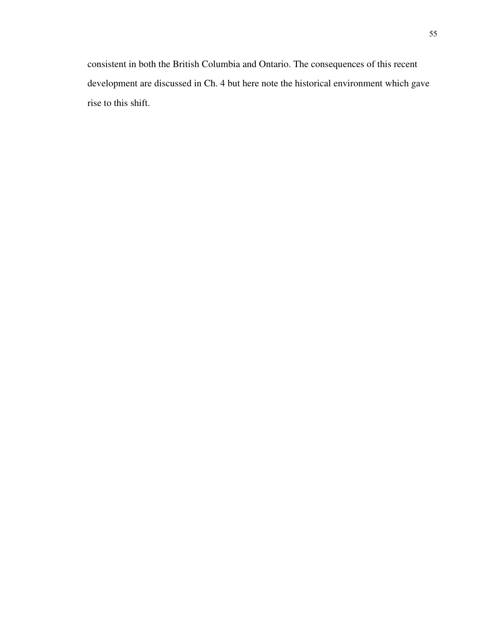consistent in both the British Columbia and Ontario. The consequences of this recent development are discussed in Ch. 4 but here note the historical environment which gave rise to this shift.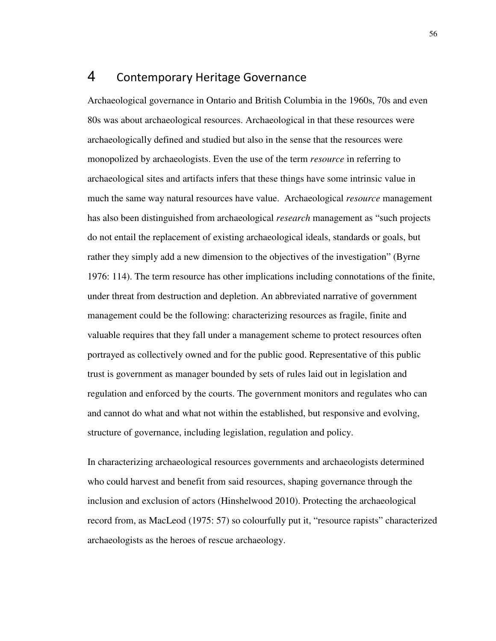# 4 Contemporary Heritage Governance

Archaeological governance in Ontario and British Columbia in the 1960s, 70s and even 80s was about archaeological resources. Archaeological in that these resources were archaeologically defined and studied but also in the sense that the resources were monopolized by archaeologists. Even the use of the term *resource* in referring to archaeological sites and artifacts infers that these things have some intrinsic value in much the same way natural resources have value. Archaeological *resource* management has also been distinguished from archaeological *research* management as "such projects do not entail the replacement of existing archaeological ideals, standards or goals, but rather they simply add a new dimension to the objectives of the investigation" (Byrne 1976: 114). The term resource has other implications including connotations of the finite, under threat from destruction and depletion. An abbreviated narrative of government management could be the following: characterizing resources as fragile, finite and valuable requires that they fall under a management scheme to protect resources often portrayed as collectively owned and for the public good. Representative of this public trust is government as manager bounded by sets of rules laid out in legislation and regulation and enforced by the courts. The government monitors and regulates who can and cannot do what and what not within the established, but responsive and evolving, structure of governance, including legislation, regulation and policy.

In characterizing archaeological resources governments and archaeologists determined who could harvest and benefit from said resources, shaping governance through the inclusion and exclusion of actors (Hinshelwood 2010). Protecting the archaeological record from, as MacLeod (1975: 57) so colourfully put it, "resource rapists" characterized archaeologists as the heroes of rescue archaeology.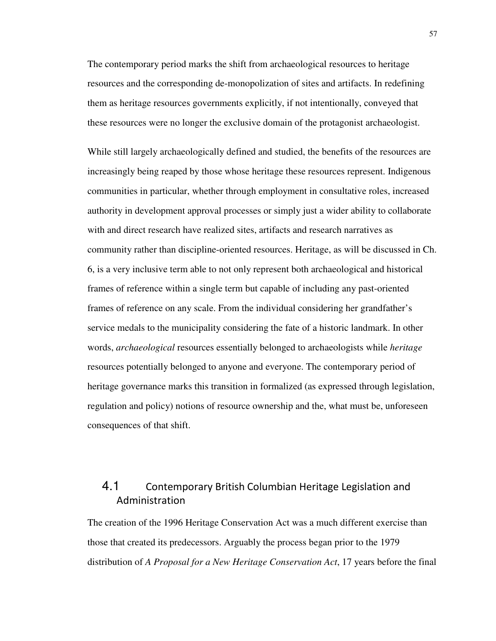The contemporary period marks the shift from archaeological resources to heritage resources and the corresponding de-monopolization of sites and artifacts. In redefining them as heritage resources governments explicitly, if not intentionally, conveyed that these resources were no longer the exclusive domain of the protagonist archaeologist.

While still largely archaeologically defined and studied, the benefits of the resources are increasingly being reaped by those whose heritage these resources represent. Indigenous communities in particular, whether through employment in consultative roles, increased authority in development approval processes or simply just a wider ability to collaborate with and direct research have realized sites, artifacts and research narratives as community rather than discipline-oriented resources. Heritage, as will be discussed in Ch. 6, is a very inclusive term able to not only represent both archaeological and historical frames of reference within a single term but capable of including any past-oriented frames of reference on any scale. From the individual considering her grandfather's service medals to the municipality considering the fate of a historic landmark. In other words, *archaeological* resources essentially belonged to archaeologists while *heritage* resources potentially belonged to anyone and everyone. The contemporary period of heritage governance marks this transition in formalized (as expressed through legislation, regulation and policy) notions of resource ownership and the, what must be, unforeseen consequences of that shift.

# 4.1 Contemporary British Columbian Heritage Legislation and Administration

The creation of the 1996 Heritage Conservation Act was a much different exercise than those that created its predecessors. Arguably the process began prior to the 1979 distribution of *A Proposal for a New Heritage Conservation Act*, 17 years before the final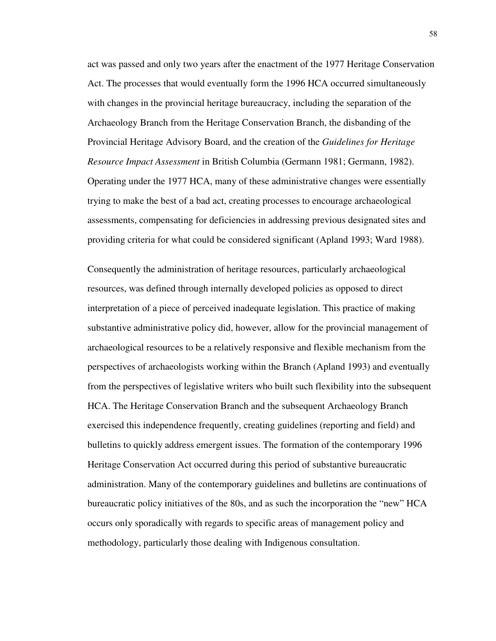act was passed and only two years after the enactment of the 1977 Heritage Conservation Act. The processes that would eventually form the 1996 HCA occurred simultaneously with changes in the provincial heritage bureaucracy, including the separation of the Archaeology Branch from the Heritage Conservation Branch, the disbanding of the Provincial Heritage Advisory Board, and the creation of the *Guidelines for Heritage Resource Impact Assessment* in British Columbia (Germann 1981; Germann, 1982). Operating under the 1977 HCA, many of these administrative changes were essentially trying to make the best of a bad act, creating processes to encourage archaeological assessments, compensating for deficiencies in addressing previous designated sites and providing criteria for what could be considered significant (Apland 1993; Ward 1988).

Consequently the administration of heritage resources, particularly archaeological resources, was defined through internally developed policies as opposed to direct interpretation of a piece of perceived inadequate legislation. This practice of making substantive administrative policy did, however, allow for the provincial management of archaeological resources to be a relatively responsive and flexible mechanism from the perspectives of archaeologists working within the Branch (Apland 1993) and eventually from the perspectives of legislative writers who built such flexibility into the subsequent HCA. The Heritage Conservation Branch and the subsequent Archaeology Branch exercised this independence frequently, creating guidelines (reporting and field) and bulletins to quickly address emergent issues. The formation of the contemporary 1996 Heritage Conservation Act occurred during this period of substantive bureaucratic administration. Many of the contemporary guidelines and bulletins are continuations of bureaucratic policy initiatives of the 80s, and as such the incorporation the "new" HCA occurs only sporadically with regards to specific areas of management policy and methodology, particularly those dealing with Indigenous consultation.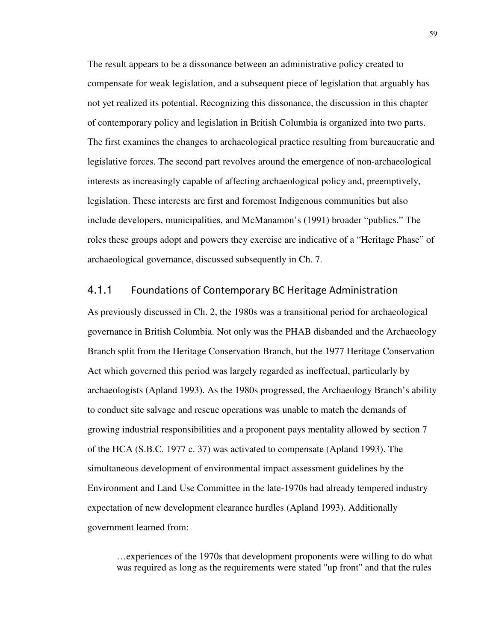The result appears to be a dissonance between an administrative policy created to compensate for weak legislation, and a subsequent piece of legislation that arguably has not yet realized its potential. Recognizing this dissonance, the discussion in this chapter of contemporary policy and legislation in British Columbia is organized into two parts. The first examines the changes to archaeological practice resulting from bureaucratic and legislative forces. The second part revolves around the emergence of non-archaeological interests as increasingly capable of affecting archaeological policy and, preemptively, legislation. These interests are first and foremost Indigenous communities but also include developers, municipalities, and McManamon's (1991) broader "publics." The roles these groups adopt and powers they exercise are indicative of a "Heritage Phase" of archaeological governance, discussed subsequently in Ch. 7.

### 4.1.1 Foundations of Contemporary BC Heritage Administration

As previously discussed in Ch. 2, the 1980s was a transitional period for archaeological governance in British Columbia. Not only was the PHAB disbanded and the Archaeology Branch split from the Heritage Conservation Branch, but the 1977 Heritage Conservation Act which governed this period was largely regarded as ineffectual, particularly by archaeologists (Apland 1993). As the 1980s progressed, the Archaeology Branch's ability to conduct site salvage and rescue operations was unable to match the demands of growing industrial responsibilities and a proponent pays mentality allowed by section 7 of the HCA (S.B.C. 1977 c. 37) was activated to compensate (Apland 1993). The simultaneous development of environmental impact assessment guidelines by the Environment and Land Use Committee in the late-1970s had already tempered industry expectation of new development clearance hurdles (Apland 1993). Additionally government learned from:

…experiences of the 1970s that development proponents were willing to do what was required as long as the requirements were stated "up front" and that the rules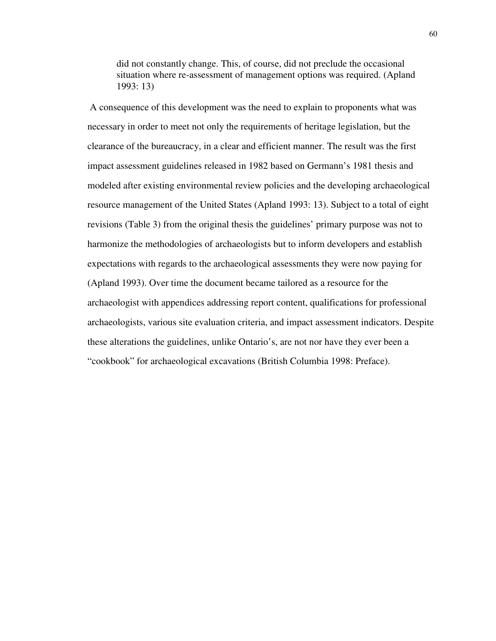did not constantly change. This, of course, did not preclude the occasional situation where re-assessment of management options was required. (Apland 1993: 13)

 A consequence of this development was the need to explain to proponents what was necessary in order to meet not only the requirements of heritage legislation, but the clearance of the bureaucracy, in a clear and efficient manner. The result was the first impact assessment guidelines released in 1982 based on Germann's 1981 thesis and modeled after existing environmental review policies and the developing archaeological resource management of the United States (Apland 1993: 13). Subject to a total of eight revisions (Table 3) from the original thesis the guidelines' primary purpose was not to harmonize the methodologies of archaeologists but to inform developers and establish expectations with regards to the archaeological assessments they were now paying for (Apland 1993). Over time the document became tailored as a resource for the archaeologist with appendices addressing report content, qualifications for professional archaeologists, various site evaluation criteria, and impact assessment indicators. Despite these alterations the guidelines, unlike Ontario's, are not nor have they ever been a "cookbook" for archaeological excavations (British Columbia 1998: Preface).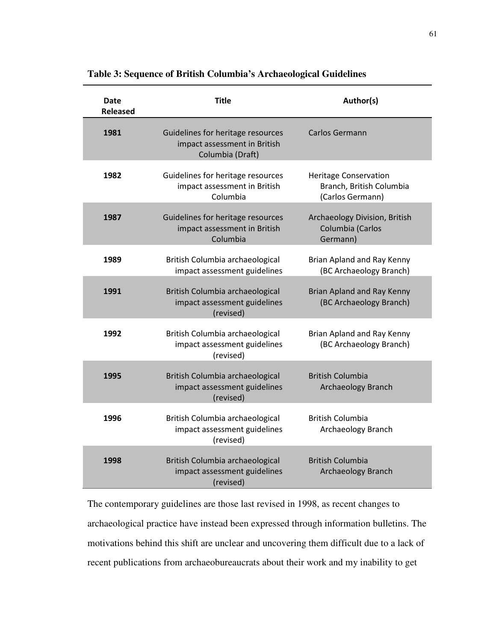| Date<br><b>Released</b> | <b>Title</b>                                                                          | Author(s)                                                                    |
|-------------------------|---------------------------------------------------------------------------------------|------------------------------------------------------------------------------|
| 1981                    | Guidelines for heritage resources<br>impact assessment in British<br>Columbia (Draft) | <b>Carlos Germann</b>                                                        |
| 1982                    | Guidelines for heritage resources<br>impact assessment in British<br>Columbia         | <b>Heritage Conservation</b><br>Branch, British Columbia<br>(Carlos Germann) |
| 1987                    | Guidelines for heritage resources<br>impact assessment in British<br>Columbia         | Archaeology Division, British<br>Columbia (Carlos<br>Germann)                |
| 1989                    | British Columbia archaeological<br>impact assessment guidelines                       | Brian Apland and Ray Kenny<br>(BC Archaeology Branch)                        |
| 1991                    | British Columbia archaeological<br>impact assessment guidelines<br>(revised)          | Brian Apland and Ray Kenny<br>(BC Archaeology Branch)                        |
| 1992                    | British Columbia archaeological<br>impact assessment guidelines<br>(revised)          | Brian Apland and Ray Kenny<br>(BC Archaeology Branch)                        |
| 1995                    | British Columbia archaeological<br>impact assessment guidelines<br>(revised)          | <b>British Columbia</b><br><b>Archaeology Branch</b>                         |
| 1996                    | British Columbia archaeological<br>impact assessment guidelines<br>(revised)          | <b>British Columbia</b><br>Archaeology Branch                                |
| 1998                    | British Columbia archaeological<br>impact assessment guidelines<br>(revised)          | <b>British Columbia</b><br><b>Archaeology Branch</b>                         |

**Table 3: Sequence of British Columbia's Archaeological Guidelines**

The contemporary guidelines are those last revised in 1998, as recent changes to archaeological practice have instead been expressed through information bulletins. The motivations behind this shift are unclear and uncovering them difficult due to a lack of recent publications from archaeobureaucrats about their work and my inability to get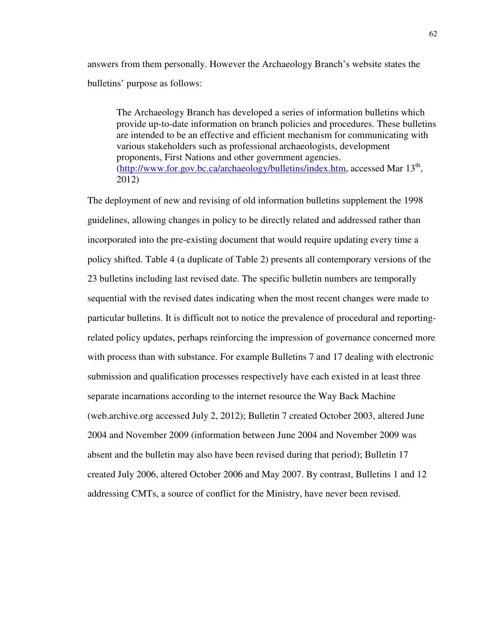answers from them personally. However the Archaeology Branch's website states the bulletins' purpose as follows:

The Archaeology Branch has developed a series of information bulletins which provide up-to-date information on branch policies and procedures. These bulletins are intended to be an effective and efficient mechanism for communicating with various stakeholders such as professional archaeologists, development proponents, First Nations and other government agencies. (http://www.for.gov.bc.ca/archaeology/bulletins/index.htm, accessed Mar 13<sup>th</sup>, 2012)

The deployment of new and revising of old information bulletins supplement the 1998 guidelines, allowing changes in policy to be directly related and addressed rather than incorporated into the pre-existing document that would require updating every time a policy shifted. Table 4 (a duplicate of Table 2) presents all contemporary versions of the 23 bulletins including last revised date. The specific bulletin numbers are temporally sequential with the revised dates indicating when the most recent changes were made to particular bulletins. It is difficult not to notice the prevalence of procedural and reportingrelated policy updates, perhaps reinforcing the impression of governance concerned more with process than with substance. For example Bulletins 7 and 17 dealing with electronic submission and qualification processes respectively have each existed in at least three separate incarnations according to the internet resource the Way Back Machine (web.archive.org accessed July 2, 2012); Bulletin 7 created October 2003, altered June 2004 and November 2009 (information between June 2004 and November 2009 was absent and the bulletin may also have been revised during that period); Bulletin 17 created July 2006, altered October 2006 and May 2007. By contrast, Bulletins 1 and 12 addressing CMTs, a source of conflict for the Ministry, have never been revised.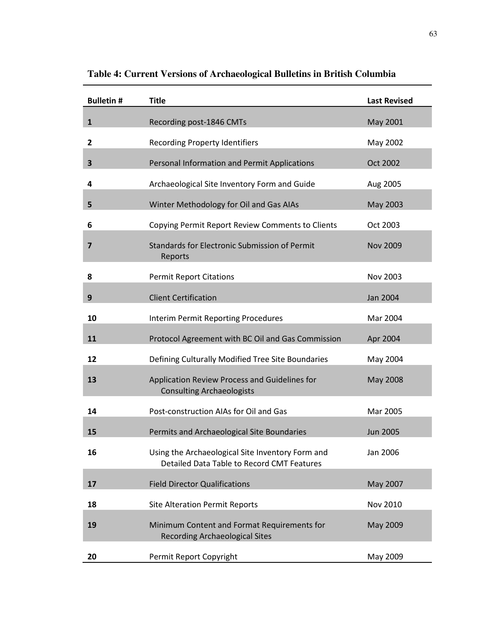| <b>Bulletin#</b> | <b>Title</b>                                                                                   | <b>Last Revised</b> |
|------------------|------------------------------------------------------------------------------------------------|---------------------|
| $\mathbf{1}$     | Recording post-1846 CMTs                                                                       | <b>May 2001</b>     |
| $\mathbf{2}$     | <b>Recording Property Identifiers</b>                                                          | May 2002            |
| 3                | Personal Information and Permit Applications                                                   | Oct 2002            |
| 4                | Archaeological Site Inventory Form and Guide                                                   | Aug 2005            |
| 5                | Winter Methodology for Oil and Gas AIAs                                                        | May 2003            |
| 6                | Copying Permit Report Review Comments to Clients                                               | Oct 2003            |
| 7                | <b>Standards for Electronic Submission of Permit</b><br>Reports                                | <b>Nov 2009</b>     |
| 8                | <b>Permit Report Citations</b>                                                                 | Nov 2003            |
| 9                | <b>Client Certification</b>                                                                    | Jan 2004            |
| 10               | Interim Permit Reporting Procedures                                                            | Mar 2004            |
| 11               | Protocol Agreement with BC Oil and Gas Commission                                              | Apr 2004            |
| 12               | Defining Culturally Modified Tree Site Boundaries                                              | May 2004            |
| 13               | Application Review Process and Guidelines for<br><b>Consulting Archaeologists</b>              | May 2008            |
| 14               | Post-construction AIAs for Oil and Gas                                                         | Mar 2005            |
| 15               | Permits and Archaeological Site Boundaries                                                     | <b>Jun 2005</b>     |
| 16               | Using the Archaeological Site Inventory Form and<br>Detailed Data Table to Record CMT Features | Jan 2006            |
| 17               | <b>Field Director Qualifications</b>                                                           | May 2007            |
| 18               | <b>Site Alteration Permit Reports</b>                                                          | Nov 2010            |
| 19               | Minimum Content and Format Requirements for<br><b>Recording Archaeological Sites</b>           | May 2009            |
| 20               | Permit Report Copyright                                                                        | May 2009            |

**Table 4: Current Versions of Archaeological Bulletins in British Columbia**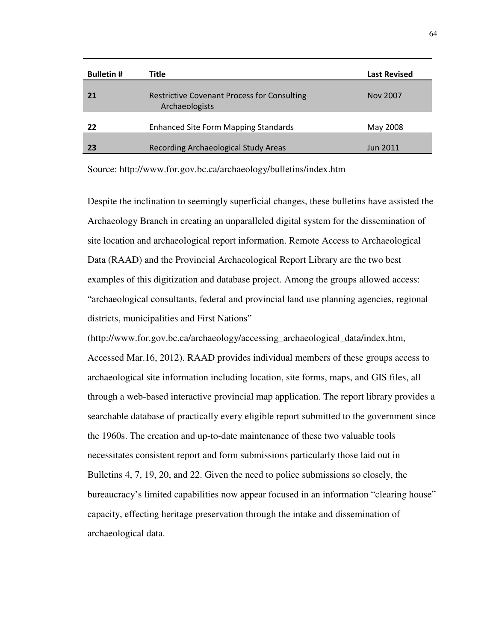| <b>Bulletin #</b> | Title                                                                | <b>Last Revised</b> |
|-------------------|----------------------------------------------------------------------|---------------------|
| 21                | <b>Restrictive Covenant Process for Consulting</b><br>Archaeologists | Nov 2007            |
| 22                | <b>Enhanced Site Form Mapping Standards</b>                          | May 2008            |
| 23                | Recording Archaeological Study Areas                                 | <b>Jun 2011</b>     |

Source: http://www.for.gov.bc.ca/archaeology/bulletins/index.htm

Despite the inclination to seemingly superficial changes, these bulletins have assisted the Archaeology Branch in creating an unparalleled digital system for the dissemination of site location and archaeological report information. Remote Access to Archaeological Data (RAAD) and the Provincial Archaeological Report Library are the two best examples of this digitization and database project. Among the groups allowed access: "archaeological consultants, federal and provincial land use planning agencies, regional districts, municipalities and First Nations"

(http://www.for.gov.bc.ca/archaeology/accessing\_archaeological\_data/index.htm, Accessed Mar.16, 2012). RAAD provides individual members of these groups access to archaeological site information including location, site forms, maps, and GIS files, all through a web-based interactive provincial map application. The report library provides a searchable database of practically every eligible report submitted to the government since the 1960s. The creation and up-to-date maintenance of these two valuable tools necessitates consistent report and form submissions particularly those laid out in Bulletins 4, 7, 19, 20, and 22. Given the need to police submissions so closely, the bureaucracy's limited capabilities now appear focused in an information "clearing house" capacity, effecting heritage preservation through the intake and dissemination of archaeological data.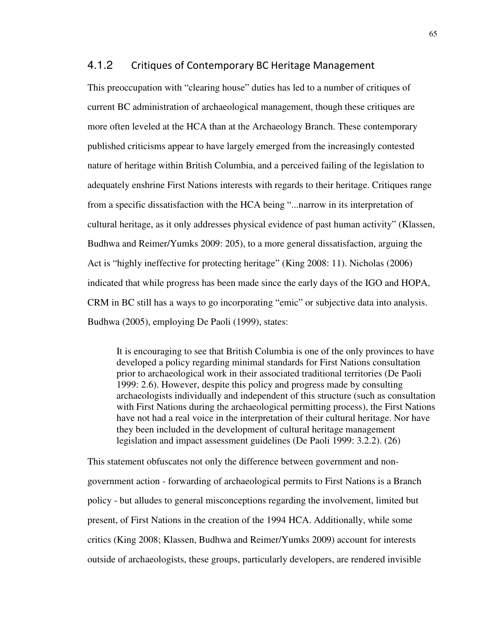#### 4.1.2 Critiques of Contemporary BC Heritage Management

This preoccupation with "clearing house" duties has led to a number of critiques of current BC administration of archaeological management, though these critiques are more often leveled at the HCA than at the Archaeology Branch. These contemporary published criticisms appear to have largely emerged from the increasingly contested nature of heritage within British Columbia, and a perceived failing of the legislation to adequately enshrine First Nations interests with regards to their heritage. Critiques range from a specific dissatisfaction with the HCA being "...narrow in its interpretation of cultural heritage, as it only addresses physical evidence of past human activity" (Klassen, Budhwa and Reimer/Yumks 2009: 205), to a more general dissatisfaction, arguing the Act is "highly ineffective for protecting heritage" (King 2008: 11). Nicholas (2006) indicated that while progress has been made since the early days of the IGO and HOPA, CRM in BC still has a ways to go incorporating "emic" or subjective data into analysis. Budhwa (2005), employing De Paoli (1999), states:

It is encouraging to see that British Columbia is one of the only provinces to have developed a policy regarding minimal standards for First Nations consultation prior to archaeological work in their associated traditional territories (De Paoli 1999: 2.6). However, despite this policy and progress made by consulting archaeologists individually and independent of this structure (such as consultation with First Nations during the archaeological permitting process), the First Nations have not had a real voice in the interpretation of their cultural heritage. Nor have they been included in the development of cultural heritage management legislation and impact assessment guidelines (De Paoli 1999: 3.2.2). (26)

This statement obfuscates not only the difference between government and nongovernment action - forwarding of archaeological permits to First Nations is a Branch policy - but alludes to general misconceptions regarding the involvement, limited but present, of First Nations in the creation of the 1994 HCA. Additionally, while some critics (King 2008; Klassen, Budhwa and Reimer/Yumks 2009) account for interests outside of archaeologists, these groups, particularly developers, are rendered invisible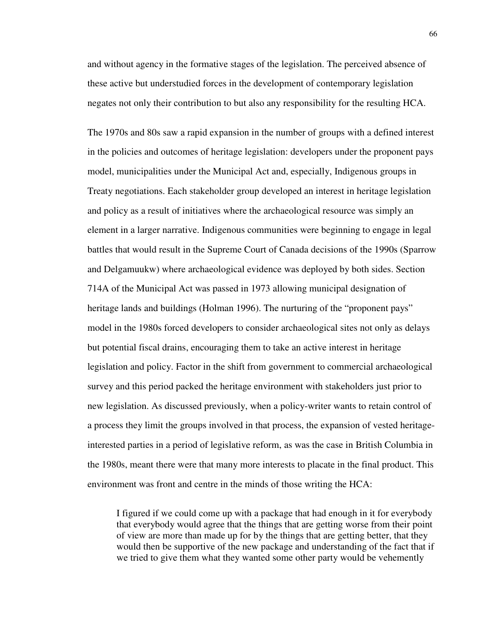and without agency in the formative stages of the legislation. The perceived absence of these active but understudied forces in the development of contemporary legislation negates not only their contribution to but also any responsibility for the resulting HCA.

The 1970s and 80s saw a rapid expansion in the number of groups with a defined interest in the policies and outcomes of heritage legislation: developers under the proponent pays model, municipalities under the Municipal Act and, especially, Indigenous groups in Treaty negotiations. Each stakeholder group developed an interest in heritage legislation and policy as a result of initiatives where the archaeological resource was simply an element in a larger narrative. Indigenous communities were beginning to engage in legal battles that would result in the Supreme Court of Canada decisions of the 1990s (Sparrow and Delgamuukw) where archaeological evidence was deployed by both sides. Section 714A of the Municipal Act was passed in 1973 allowing municipal designation of heritage lands and buildings (Holman 1996). The nurturing of the "proponent pays" model in the 1980s forced developers to consider archaeological sites not only as delays but potential fiscal drains, encouraging them to take an active interest in heritage legislation and policy. Factor in the shift from government to commercial archaeological survey and this period packed the heritage environment with stakeholders just prior to new legislation. As discussed previously, when a policy-writer wants to retain control of a process they limit the groups involved in that process, the expansion of vested heritageinterested parties in a period of legislative reform, as was the case in British Columbia in the 1980s, meant there were that many more interests to placate in the final product. This environment was front and centre in the minds of those writing the HCA:

I figured if we could come up with a package that had enough in it for everybody that everybody would agree that the things that are getting worse from their point of view are more than made up for by the things that are getting better, that they would then be supportive of the new package and understanding of the fact that if we tried to give them what they wanted some other party would be vehemently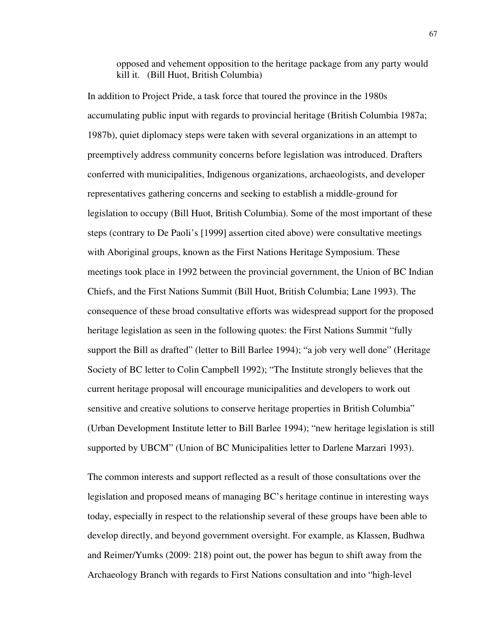opposed and vehement opposition to the heritage package from any party would kill it. (Bill Huot, British Columbia)

In addition to Project Pride, a task force that toured the province in the 1980s accumulating public input with regards to provincial heritage (British Columbia 1987a; 1987b), quiet diplomacy steps were taken with several organizations in an attempt to preemptively address community concerns before legislation was introduced. Drafters conferred with municipalities, Indigenous organizations, archaeologists, and developer representatives gathering concerns and seeking to establish a middle-ground for legislation to occupy (Bill Huot, British Columbia). Some of the most important of these steps (contrary to De Paoli's [1999] assertion cited above) were consultative meetings with Aboriginal groups, known as the First Nations Heritage Symposium. These meetings took place in 1992 between the provincial government, the Union of BC Indian Chiefs, and the First Nations Summit (Bill Huot, British Columbia; Lane 1993). The consequence of these broad consultative efforts was widespread support for the proposed heritage legislation as seen in the following quotes: the First Nations Summit "fully support the Bill as drafted" (letter to Bill Barlee 1994); "a job very well done" (Heritage Society of BC letter to Colin Campbell 1992); "The Institute strongly believes that the current heritage proposal will encourage municipalities and developers to work out sensitive and creative solutions to conserve heritage properties in British Columbia" (Urban Development Institute letter to Bill Barlee 1994); "new heritage legislation is still supported by UBCM" (Union of BC Municipalities letter to Darlene Marzari 1993).

The common interests and support reflected as a result of those consultations over the legislation and proposed means of managing BC's heritage continue in interesting ways today, especially in respect to the relationship several of these groups have been able to develop directly, and beyond government oversight. For example, as Klassen, Budhwa and Reimer/Yumks (2009: 218) point out, the power has begun to shift away from the Archaeology Branch with regards to First Nations consultation and into "high-level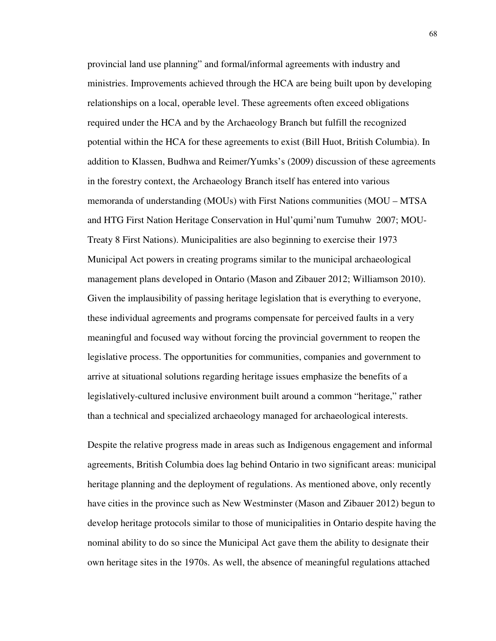provincial land use planning" and formal/informal agreements with industry and ministries. Improvements achieved through the HCA are being built upon by developing relationships on a local, operable level. These agreements often exceed obligations required under the HCA and by the Archaeology Branch but fulfill the recognized potential within the HCA for these agreements to exist (Bill Huot, British Columbia). In addition to Klassen, Budhwa and Reimer/Yumks's (2009) discussion of these agreements in the forestry context, the Archaeology Branch itself has entered into various memoranda of understanding (MOUs) with First Nations communities (MOU – MTSA and HTG First Nation Heritage Conservation in Hul'qumi'num Tumuhw 2007; MOU-Treaty 8 First Nations). Municipalities are also beginning to exercise their 1973 Municipal Act powers in creating programs similar to the municipal archaeological management plans developed in Ontario (Mason and Zibauer 2012; Williamson 2010). Given the implausibility of passing heritage legislation that is everything to everyone, these individual agreements and programs compensate for perceived faults in a very meaningful and focused way without forcing the provincial government to reopen the legislative process. The opportunities for communities, companies and government to arrive at situational solutions regarding heritage issues emphasize the benefits of a legislatively-cultured inclusive environment built around a common "heritage," rather than a technical and specialized archaeology managed for archaeological interests.

Despite the relative progress made in areas such as Indigenous engagement and informal agreements, British Columbia does lag behind Ontario in two significant areas: municipal heritage planning and the deployment of regulations. As mentioned above, only recently have cities in the province such as New Westminster (Mason and Zibauer 2012) begun to develop heritage protocols similar to those of municipalities in Ontario despite having the nominal ability to do so since the Municipal Act gave them the ability to designate their own heritage sites in the 1970s. As well, the absence of meaningful regulations attached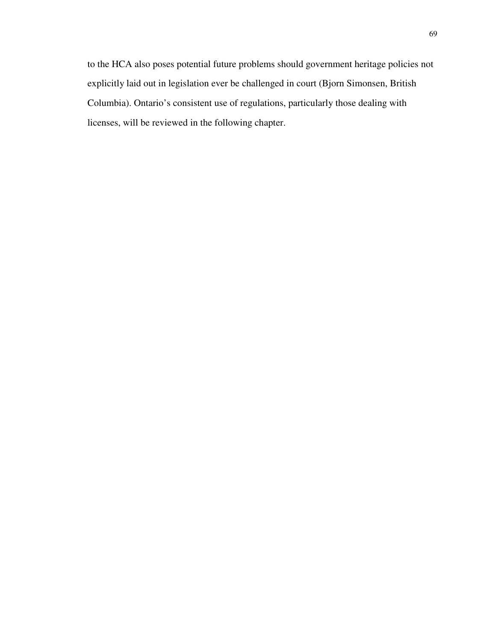to the HCA also poses potential future problems should government heritage policies not explicitly laid out in legislation ever be challenged in court (Bjorn Simonsen, British Columbia). Ontario's consistent use of regulations, particularly those dealing with licenses, will be reviewed in the following chapter.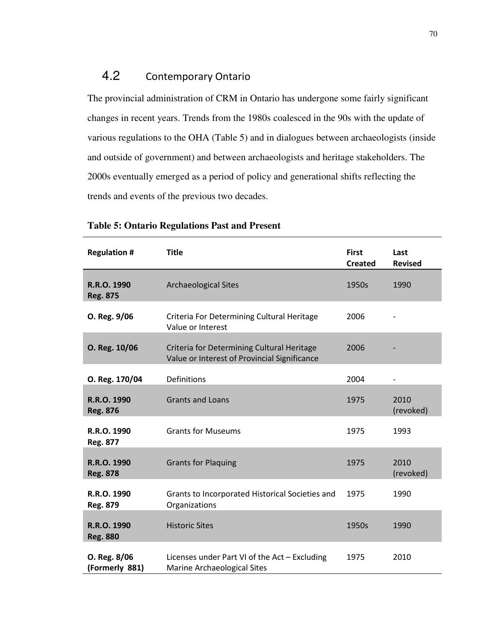## 4.2 Contemporary Ontario

The provincial administration of CRM in Ontario has undergone some fairly significant changes in recent years. Trends from the 1980s coalesced in the 90s with the update of various regulations to the OHA (Table 5) and in dialogues between archaeologists (inside and outside of government) and between archaeologists and heritage stakeholders. The 2000s eventually emerged as a period of policy and generational shifts reflecting the trends and events of the previous two decades.

| <b>Regulation #</b>            | <b>Title</b>                                                                               | <b>First</b><br><b>Created</b> | Last<br><b>Revised</b> |
|--------------------------------|--------------------------------------------------------------------------------------------|--------------------------------|------------------------|
| R.R.O. 1990<br><b>Reg. 875</b> | <b>Archaeological Sites</b>                                                                | 1950s                          | 1990                   |
| O. Reg. 9/06                   | Criteria For Determining Cultural Heritage<br>Value or Interest                            | 2006                           |                        |
| O. Reg. 10/06                  | Criteria for Determining Cultural Heritage<br>Value or Interest of Provincial Significance | 2006                           |                        |
| O. Reg. 170/04                 | Definitions                                                                                | 2004                           |                        |
| R.R.O. 1990<br><b>Reg. 876</b> | <b>Grants and Loans</b>                                                                    | 1975                           | 2010<br>(revoked)      |
| R.R.O. 1990<br>Reg. 877        | <b>Grants for Museums</b>                                                                  | 1975                           | 1993                   |
| R.R.O. 1990<br><b>Reg. 878</b> | <b>Grants for Plaquing</b>                                                                 | 1975                           | 2010<br>(revoked)      |
| R.R.O. 1990<br><b>Reg. 879</b> | Grants to Incorporated Historical Societies and<br>Organizations                           | 1975                           | 1990                   |
| R.R.O. 1990<br><b>Reg. 880</b> | <b>Historic Sites</b>                                                                      | 1950s                          | 1990                   |
| O. Reg. 8/06<br>(Formerly 881) | Licenses under Part VI of the Act - Excluding<br>Marine Archaeological Sites               | 1975                           | 2010                   |

#### **Table 5: Ontario Regulations Past and Present**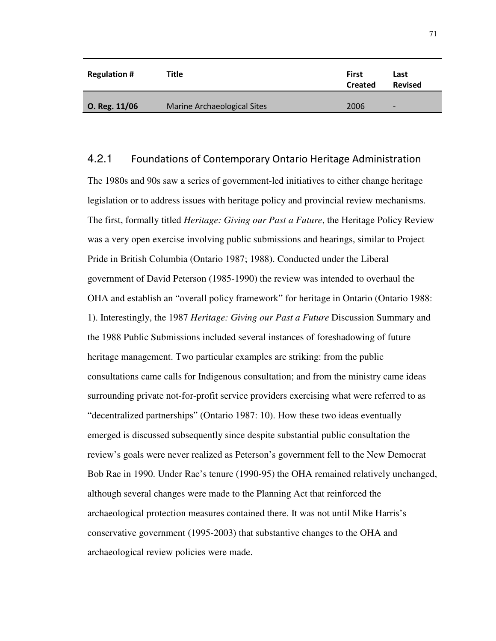| <b>Regulation #</b> | Title                       | First<br><b>Created</b> | Last<br><b>Revised</b>   |
|---------------------|-----------------------------|-------------------------|--------------------------|
| O. Reg. 11/06       | Marine Archaeological Sites | 2006                    | $\overline{\phantom{0}}$ |

#### 4.2.1 Foundations of Contemporary Ontario Heritage Administration

The 1980s and 90s saw a series of government-led initiatives to either change heritage legislation or to address issues with heritage policy and provincial review mechanisms. The first, formally titled *Heritage: Giving our Past a Future*, the Heritage Policy Review was a very open exercise involving public submissions and hearings, similar to Project Pride in British Columbia (Ontario 1987; 1988). Conducted under the Liberal government of David Peterson (1985-1990) the review was intended to overhaul the OHA and establish an "overall policy framework" for heritage in Ontario (Ontario 1988: 1). Interestingly, the 1987 *Heritage: Giving our Past a Future* Discussion Summary and the 1988 Public Submissions included several instances of foreshadowing of future heritage management. Two particular examples are striking: from the public consultations came calls for Indigenous consultation; and from the ministry came ideas surrounding private not-for-profit service providers exercising what were referred to as "decentralized partnerships" (Ontario 1987: 10). How these two ideas eventually emerged is discussed subsequently since despite substantial public consultation the review's goals were never realized as Peterson's government fell to the New Democrat Bob Rae in 1990. Under Rae's tenure (1990-95) the OHA remained relatively unchanged, although several changes were made to the Planning Act that reinforced the archaeological protection measures contained there. It was not until Mike Harris's conservative government (1995-2003) that substantive changes to the OHA and archaeological review policies were made.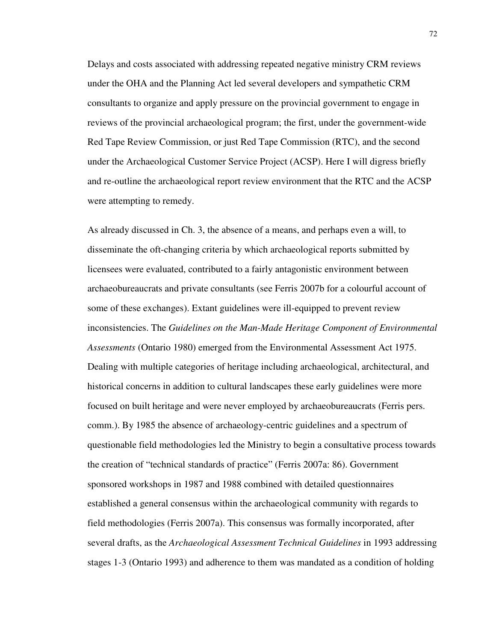Delays and costs associated with addressing repeated negative ministry CRM reviews under the OHA and the Planning Act led several developers and sympathetic CRM consultants to organize and apply pressure on the provincial government to engage in reviews of the provincial archaeological program; the first, under the government-wide Red Tape Review Commission, or just Red Tape Commission (RTC), and the second under the Archaeological Customer Service Project (ACSP). Here I will digress briefly and re-outline the archaeological report review environment that the RTC and the ACSP were attempting to remedy.

As already discussed in Ch. 3, the absence of a means, and perhaps even a will, to disseminate the oft-changing criteria by which archaeological reports submitted by licensees were evaluated, contributed to a fairly antagonistic environment between archaeobureaucrats and private consultants (see Ferris 2007b for a colourful account of some of these exchanges). Extant guidelines were ill-equipped to prevent review inconsistencies. The *Guidelines on the Man-Made Heritage Component of Environmental Assessments* (Ontario 1980) emerged from the Environmental Assessment Act 1975. Dealing with multiple categories of heritage including archaeological, architectural, and historical concerns in addition to cultural landscapes these early guidelines were more focused on built heritage and were never employed by archaeobureaucrats (Ferris pers. comm.). By 1985 the absence of archaeology-centric guidelines and a spectrum of questionable field methodologies led the Ministry to begin a consultative process towards the creation of "technical standards of practice" (Ferris 2007a: 86). Government sponsored workshops in 1987 and 1988 combined with detailed questionnaires established a general consensus within the archaeological community with regards to field methodologies (Ferris 2007a). This consensus was formally incorporated, after several drafts, as the *Archaeological Assessment Technical Guidelines* in 1993 addressing stages 1-3 (Ontario 1993) and adherence to them was mandated as a condition of holding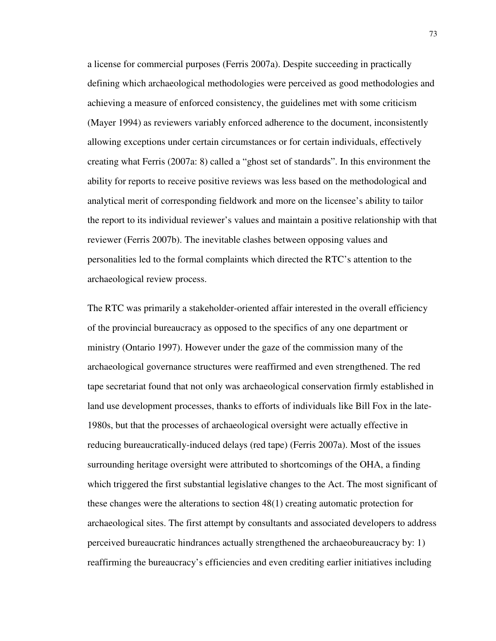a license for commercial purposes (Ferris 2007a). Despite succeeding in practically defining which archaeological methodologies were perceived as good methodologies and achieving a measure of enforced consistency, the guidelines met with some criticism (Mayer 1994) as reviewers variably enforced adherence to the document, inconsistently allowing exceptions under certain circumstances or for certain individuals, effectively creating what Ferris (2007a: 8) called a "ghost set of standards". In this environment the ability for reports to receive positive reviews was less based on the methodological and analytical merit of corresponding fieldwork and more on the licensee's ability to tailor the report to its individual reviewer's values and maintain a positive relationship with that reviewer (Ferris 2007b). The inevitable clashes between opposing values and personalities led to the formal complaints which directed the RTC's attention to the archaeological review process.

The RTC was primarily a stakeholder-oriented affair interested in the overall efficiency of the provincial bureaucracy as opposed to the specifics of any one department or ministry (Ontario 1997). However under the gaze of the commission many of the archaeological governance structures were reaffirmed and even strengthened. The red tape secretariat found that not only was archaeological conservation firmly established in land use development processes, thanks to efforts of individuals like Bill Fox in the late-1980s, but that the processes of archaeological oversight were actually effective in reducing bureaucratically-induced delays (red tape) (Ferris 2007a). Most of the issues surrounding heritage oversight were attributed to shortcomings of the OHA, a finding which triggered the first substantial legislative changes to the Act. The most significant of these changes were the alterations to section 48(1) creating automatic protection for archaeological sites. The first attempt by consultants and associated developers to address perceived bureaucratic hindrances actually strengthened the archaeobureaucracy by: 1) reaffirming the bureaucracy's efficiencies and even crediting earlier initiatives including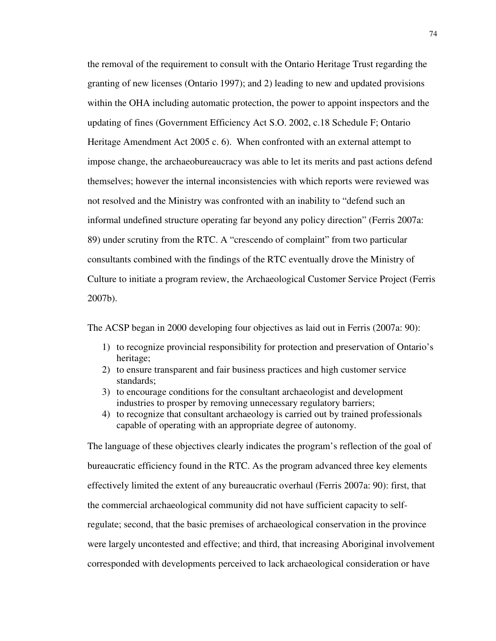the removal of the requirement to consult with the Ontario Heritage Trust regarding the granting of new licenses (Ontario 1997); and 2) leading to new and updated provisions within the OHA including automatic protection, the power to appoint inspectors and the updating of fines (Government Efficiency Act S.O. 2002, c.18 Schedule F; Ontario Heritage Amendment Act 2005 c. 6). When confronted with an external attempt to impose change, the archaeobureaucracy was able to let its merits and past actions defend themselves; however the internal inconsistencies with which reports were reviewed was not resolved and the Ministry was confronted with an inability to "defend such an informal undefined structure operating far beyond any policy direction" (Ferris 2007a: 89) under scrutiny from the RTC. A "crescendo of complaint" from two particular consultants combined with the findings of the RTC eventually drove the Ministry of Culture to initiate a program review, the Archaeological Customer Service Project (Ferris 2007b).

The ACSP began in 2000 developing four objectives as laid out in Ferris (2007a: 90):

- 1) to recognize provincial responsibility for protection and preservation of Ontario's heritage;
- 2) to ensure transparent and fair business practices and high customer service standards;
- 3) to encourage conditions for the consultant archaeologist and development industries to prosper by removing unnecessary regulatory barriers;
- 4) to recognize that consultant archaeology is carried out by trained professionals capable of operating with an appropriate degree of autonomy.

The language of these objectives clearly indicates the program's reflection of the goal of bureaucratic efficiency found in the RTC. As the program advanced three key elements effectively limited the extent of any bureaucratic overhaul (Ferris 2007a: 90): first, that the commercial archaeological community did not have sufficient capacity to selfregulate; second, that the basic premises of archaeological conservation in the province were largely uncontested and effective; and third, that increasing Aboriginal involvement corresponded with developments perceived to lack archaeological consideration or have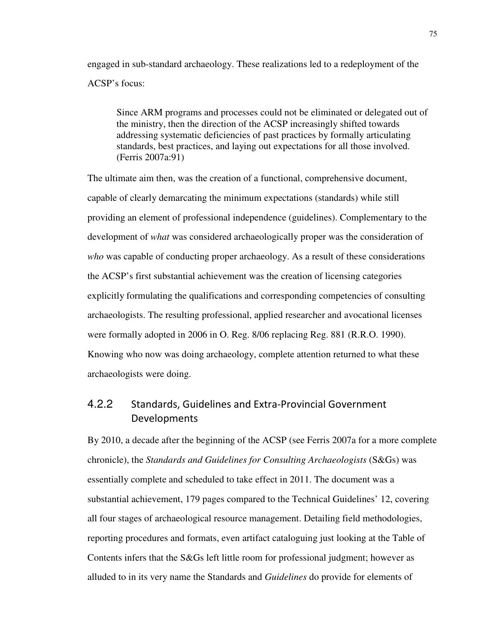engaged in sub-standard archaeology. These realizations led to a redeployment of the ACSP's focus:

Since ARM programs and processes could not be eliminated or delegated out of the ministry, then the direction of the ACSP increasingly shifted towards addressing systematic deficiencies of past practices by formally articulating standards, best practices, and laying out expectations for all those involved. (Ferris 2007a:91)

The ultimate aim then, was the creation of a functional, comprehensive document, capable of clearly demarcating the minimum expectations (standards) while still providing an element of professional independence (guidelines). Complementary to the development of *what* was considered archaeologically proper was the consideration of *who* was capable of conducting proper archaeology. As a result of these considerations the ACSP's first substantial achievement was the creation of licensing categories explicitly formulating the qualifications and corresponding competencies of consulting archaeologists. The resulting professional, applied researcher and avocational licenses were formally adopted in 2006 in O. Reg. 8/06 replacing Reg. 881 (R.R.O. 1990). Knowing who now was doing archaeology, complete attention returned to what these archaeologists were doing.

### 4.2.2 Standards, Guidelines and Extra-Provincial Government Developments

By 2010, a decade after the beginning of the ACSP (see Ferris 2007a for a more complete chronicle), the *Standards and Guidelines for Consulting Archaeologists* (S&Gs) was essentially complete and scheduled to take effect in 2011. The document was a substantial achievement, 179 pages compared to the Technical Guidelines' 12, covering all four stages of archaeological resource management. Detailing field methodologies, reporting procedures and formats, even artifact cataloguing just looking at the Table of Contents infers that the S&Gs left little room for professional judgment; however as alluded to in its very name the Standards and *Guidelines* do provide for elements of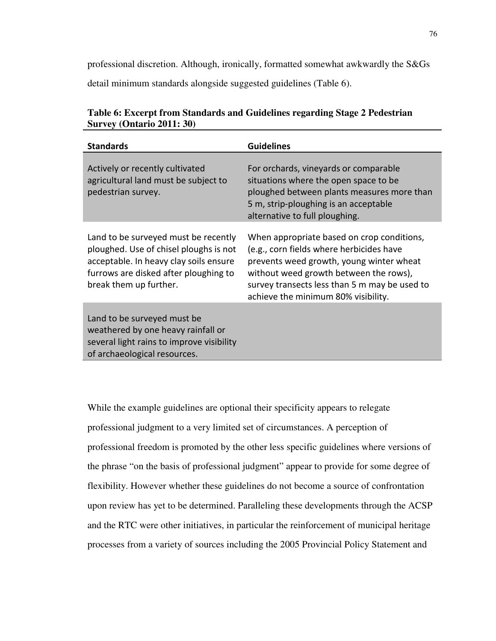professional discretion. Although, ironically, formatted somewhat awkwardly the S&Gs

detail minimum standards alongside suggested guidelines (Table 6).

| <b>Standards</b>                                                                                                                                                                            | <b>Guidelines</b>                                                                                                                                                                                                                                                    |
|---------------------------------------------------------------------------------------------------------------------------------------------------------------------------------------------|----------------------------------------------------------------------------------------------------------------------------------------------------------------------------------------------------------------------------------------------------------------------|
| Actively or recently cultivated<br>agricultural land must be subject to<br>pedestrian survey.                                                                                               | For orchards, vineyards or comparable<br>situations where the open space to be<br>ploughed between plants measures more than<br>5 m, strip-ploughing is an acceptable<br>alternative to full ploughing.                                                              |
| Land to be surveyed must be recently<br>ploughed. Use of chisel ploughs is not<br>acceptable. In heavy clay soils ensure<br>furrows are disked after ploughing to<br>break them up further. | When appropriate based on crop conditions,<br>(e.g., corn fields where herbicides have<br>prevents weed growth, young winter wheat<br>without weed growth between the rows),<br>survey transects less than 5 m may be used to<br>achieve the minimum 80% visibility. |
| Land to be surveyed must be<br>weathered by one heavy rainfall or<br>several light rains to improve visibility<br>of archaeological resources.                                              |                                                                                                                                                                                                                                                                      |

**Table 6: Excerpt from Standards and Guidelines regarding Stage 2 Pedestrian Survey (Ontario 2011: 30)** 

While the example guidelines are optional their specificity appears to relegate professional judgment to a very limited set of circumstances. A perception of professional freedom is promoted by the other less specific guidelines where versions of the phrase "on the basis of professional judgment" appear to provide for some degree of flexibility. However whether these guidelines do not become a source of confrontation upon review has yet to be determined. Paralleling these developments through the ACSP and the RTC were other initiatives, in particular the reinforcement of municipal heritage processes from a variety of sources including the 2005 Provincial Policy Statement and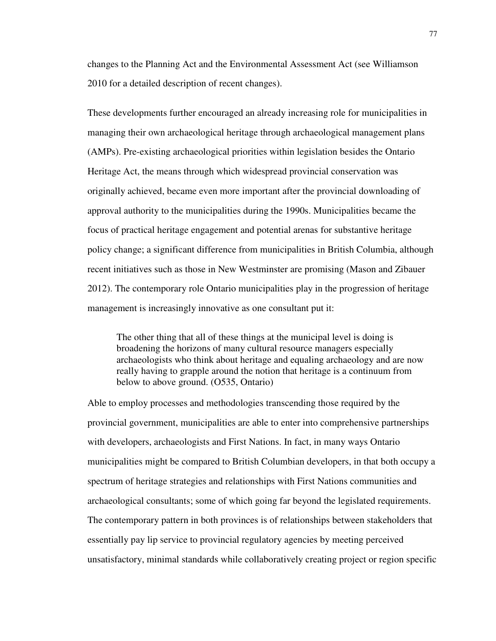changes to the Planning Act and the Environmental Assessment Act (see Williamson 2010 for a detailed description of recent changes).

These developments further encouraged an already increasing role for municipalities in managing their own archaeological heritage through archaeological management plans (AMPs). Pre-existing archaeological priorities within legislation besides the Ontario Heritage Act, the means through which widespread provincial conservation was originally achieved, became even more important after the provincial downloading of approval authority to the municipalities during the 1990s. Municipalities became the focus of practical heritage engagement and potential arenas for substantive heritage policy change; a significant difference from municipalities in British Columbia, although recent initiatives such as those in New Westminster are promising (Mason and Zibauer 2012). The contemporary role Ontario municipalities play in the progression of heritage management is increasingly innovative as one consultant put it:

The other thing that all of these things at the municipal level is doing is broadening the horizons of many cultural resource managers especially archaeologists who think about heritage and equaling archaeology and are now really having to grapple around the notion that heritage is a continuum from below to above ground. (O535, Ontario)

Able to employ processes and methodologies transcending those required by the provincial government, municipalities are able to enter into comprehensive partnerships with developers, archaeologists and First Nations. In fact, in many ways Ontario municipalities might be compared to British Columbian developers, in that both occupy a spectrum of heritage strategies and relationships with First Nations communities and archaeological consultants; some of which going far beyond the legislated requirements. The contemporary pattern in both provinces is of relationships between stakeholders that essentially pay lip service to provincial regulatory agencies by meeting perceived unsatisfactory, minimal standards while collaboratively creating project or region specific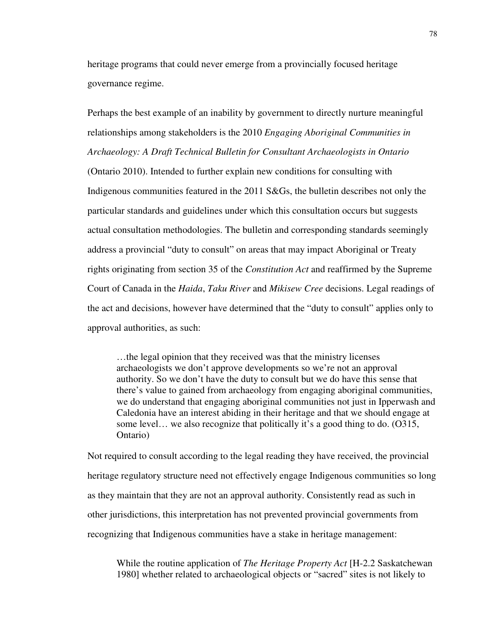heritage programs that could never emerge from a provincially focused heritage governance regime.

Perhaps the best example of an inability by government to directly nurture meaningful relationships among stakeholders is the 2010 *Engaging Aboriginal Communities in Archaeology: A Draft Technical Bulletin for Consultant Archaeologists in Ontario*  (Ontario 2010). Intended to further explain new conditions for consulting with Indigenous communities featured in the 2011 S&Gs, the bulletin describes not only the particular standards and guidelines under which this consultation occurs but suggests actual consultation methodologies. The bulletin and corresponding standards seemingly address a provincial "duty to consult" on areas that may impact Aboriginal or Treaty rights originating from section 35 of the *Constitution Act* and reaffirmed by the Supreme Court of Canada in the *Haida*, *Taku River* and *Mikisew Cree* decisions. Legal readings of the act and decisions, however have determined that the "duty to consult" applies only to approval authorities, as such:

…the legal opinion that they received was that the ministry licenses archaeologists we don't approve developments so we're not an approval authority. So we don't have the duty to consult but we do have this sense that there's value to gained from archaeology from engaging aboriginal communities, we do understand that engaging aboriginal communities not just in Ipperwash and Caledonia have an interest abiding in their heritage and that we should engage at some level… we also recognize that politically it's a good thing to do. (O315, Ontario)

Not required to consult according to the legal reading they have received, the provincial heritage regulatory structure need not effectively engage Indigenous communities so long as they maintain that they are not an approval authority. Consistently read as such in other jurisdictions, this interpretation has not prevented provincial governments from recognizing that Indigenous communities have a stake in heritage management:

While the routine application of *The Heritage Property Act* [H-2.2 Saskatchewan 1980] whether related to archaeological objects or "sacred" sites is not likely to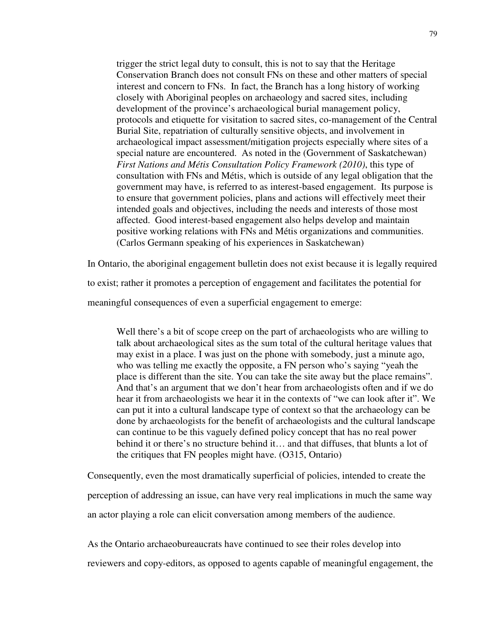trigger the strict legal duty to consult, this is not to say that the Heritage Conservation Branch does not consult FNs on these and other matters of special interest and concern to FNs. In fact, the Branch has a long history of working closely with Aboriginal peoples on archaeology and sacred sites, including development of the province's archaeological burial management policy, protocols and etiquette for visitation to sacred sites, co-management of the Central Burial Site, repatriation of culturally sensitive objects, and involvement in archaeological impact assessment/mitigation projects especially where sites of a special nature are encountered. As noted in the (Government of Saskatchewan) *First Nations and Métis Consultation Policy Framework (2010)*, this type of consultation with FNs and Métis, which is outside of any legal obligation that the government may have, is referred to as interest-based engagement. Its purpose is to ensure that government policies, plans and actions will effectively meet their intended goals and objectives, including the needs and interests of those most affected. Good interest-based engagement also helps develop and maintain positive working relations with FNs and Métis organizations and communities. (Carlos Germann speaking of his experiences in Saskatchewan)

In Ontario, the aboriginal engagement bulletin does not exist because it is legally required

to exist; rather it promotes a perception of engagement and facilitates the potential for

meaningful consequences of even a superficial engagement to emerge:

Well there's a bit of scope creep on the part of archaeologists who are willing to talk about archaeological sites as the sum total of the cultural heritage values that may exist in a place. I was just on the phone with somebody, just a minute ago, who was telling me exactly the opposite, a FN person who's saying "yeah the place is different than the site. You can take the site away but the place remains". And that's an argument that we don't hear from archaeologists often and if we do hear it from archaeologists we hear it in the contexts of "we can look after it". We can put it into a cultural landscape type of context so that the archaeology can be done by archaeologists for the benefit of archaeologists and the cultural landscape can continue to be this vaguely defined policy concept that has no real power behind it or there's no structure behind it… and that diffuses, that blunts a lot of the critiques that FN peoples might have. (O315, Ontario)

Consequently, even the most dramatically superficial of policies, intended to create the perception of addressing an issue, can have very real implications in much the same way an actor playing a role can elicit conversation among members of the audience.

As the Ontario archaeobureaucrats have continued to see their roles develop into

reviewers and copy-editors, as opposed to agents capable of meaningful engagement, the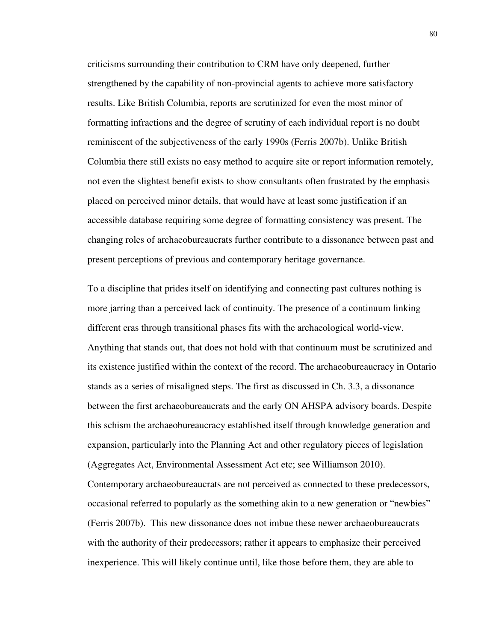criticisms surrounding their contribution to CRM have only deepened, further strengthened by the capability of non-provincial agents to achieve more satisfactory results. Like British Columbia, reports are scrutinized for even the most minor of formatting infractions and the degree of scrutiny of each individual report is no doubt reminiscent of the subjectiveness of the early 1990s (Ferris 2007b). Unlike British Columbia there still exists no easy method to acquire site or report information remotely, not even the slightest benefit exists to show consultants often frustrated by the emphasis placed on perceived minor details, that would have at least some justification if an accessible database requiring some degree of formatting consistency was present. The changing roles of archaeobureaucrats further contribute to a dissonance between past and present perceptions of previous and contemporary heritage governance.

To a discipline that prides itself on identifying and connecting past cultures nothing is more jarring than a perceived lack of continuity. The presence of a continuum linking different eras through transitional phases fits with the archaeological world-view. Anything that stands out, that does not hold with that continuum must be scrutinized and its existence justified within the context of the record. The archaeobureaucracy in Ontario stands as a series of misaligned steps. The first as discussed in Ch. 3.3, a dissonance between the first archaeobureaucrats and the early ON AHSPA advisory boards. Despite this schism the archaeobureaucracy established itself through knowledge generation and expansion, particularly into the Planning Act and other regulatory pieces of legislation (Aggregates Act, Environmental Assessment Act etc; see Williamson 2010). Contemporary archaeobureaucrats are not perceived as connected to these predecessors, occasional referred to popularly as the something akin to a new generation or "newbies" (Ferris 2007b). This new dissonance does not imbue these newer archaeobureaucrats with the authority of their predecessors; rather it appears to emphasize their perceived inexperience. This will likely continue until, like those before them, they are able to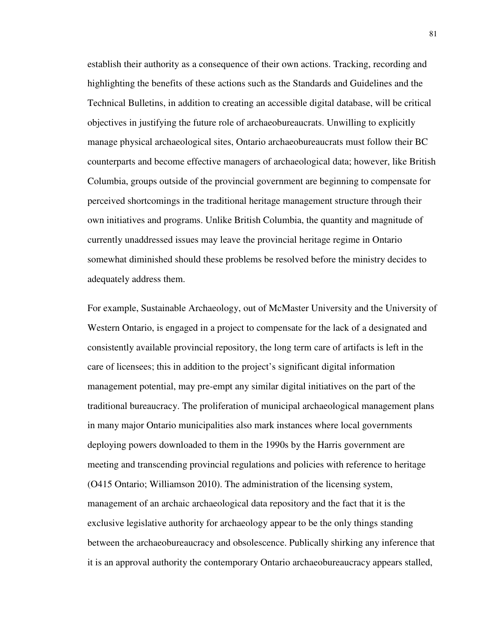establish their authority as a consequence of their own actions. Tracking, recording and highlighting the benefits of these actions such as the Standards and Guidelines and the Technical Bulletins, in addition to creating an accessible digital database, will be critical objectives in justifying the future role of archaeobureaucrats. Unwilling to explicitly manage physical archaeological sites, Ontario archaeobureaucrats must follow their BC counterparts and become effective managers of archaeological data; however, like British Columbia, groups outside of the provincial government are beginning to compensate for perceived shortcomings in the traditional heritage management structure through their own initiatives and programs. Unlike British Columbia, the quantity and magnitude of currently unaddressed issues may leave the provincial heritage regime in Ontario somewhat diminished should these problems be resolved before the ministry decides to adequately address them.

For example, Sustainable Archaeology, out of McMaster University and the University of Western Ontario, is engaged in a project to compensate for the lack of a designated and consistently available provincial repository, the long term care of artifacts is left in the care of licensees; this in addition to the project's significant digital information management potential, may pre-empt any similar digital initiatives on the part of the traditional bureaucracy. The proliferation of municipal archaeological management plans in many major Ontario municipalities also mark instances where local governments deploying powers downloaded to them in the 1990s by the Harris government are meeting and transcending provincial regulations and policies with reference to heritage (O415 Ontario; Williamson 2010). The administration of the licensing system, management of an archaic archaeological data repository and the fact that it is the exclusive legislative authority for archaeology appear to be the only things standing between the archaeobureaucracy and obsolescence. Publically shirking any inference that it is an approval authority the contemporary Ontario archaeobureaucracy appears stalled,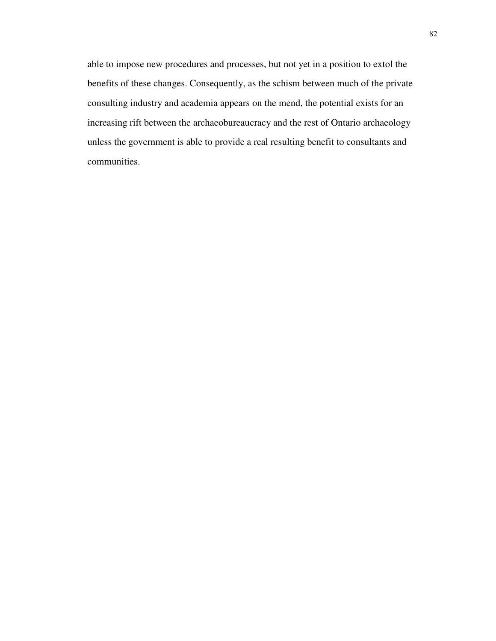able to impose new procedures and processes, but not yet in a position to extol the benefits of these changes. Consequently, as the schism between much of the private consulting industry and academia appears on the mend, the potential exists for an increasing rift between the archaeobureaucracy and the rest of Ontario archaeology unless the government is able to provide a real resulting benefit to consultants and communities.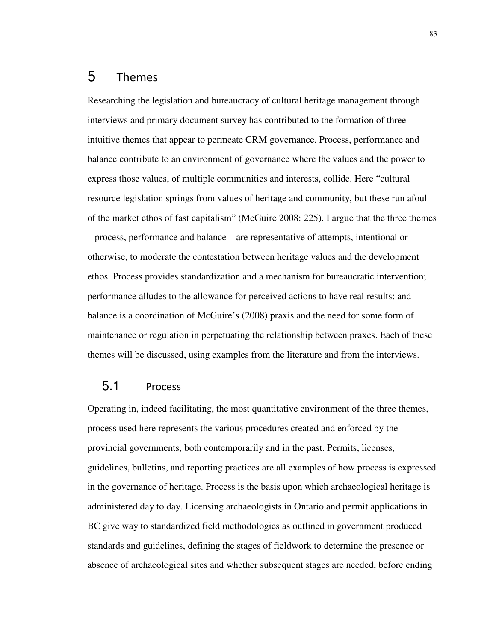# 5 Themes

Researching the legislation and bureaucracy of cultural heritage management through interviews and primary document survey has contributed to the formation of three intuitive themes that appear to permeate CRM governance. Process, performance and balance contribute to an environment of governance where the values and the power to express those values, of multiple communities and interests, collide. Here "cultural resource legislation springs from values of heritage and community, but these run afoul of the market ethos of fast capitalism" (McGuire 2008: 225). I argue that the three themes – process, performance and balance – are representative of attempts, intentional or otherwise, to moderate the contestation between heritage values and the development ethos. Process provides standardization and a mechanism for bureaucratic intervention; performance alludes to the allowance for perceived actions to have real results; and balance is a coordination of McGuire's (2008) praxis and the need for some form of maintenance or regulation in perpetuating the relationship between praxes. Each of these themes will be discussed, using examples from the literature and from the interviews.

#### 5.1 Process

Operating in, indeed facilitating, the most quantitative environment of the three themes, process used here represents the various procedures created and enforced by the provincial governments, both contemporarily and in the past. Permits, licenses, guidelines, bulletins, and reporting practices are all examples of how process is expressed in the governance of heritage. Process is the basis upon which archaeological heritage is administered day to day. Licensing archaeologists in Ontario and permit applications in BC give way to standardized field methodologies as outlined in government produced standards and guidelines, defining the stages of fieldwork to determine the presence or absence of archaeological sites and whether subsequent stages are needed, before ending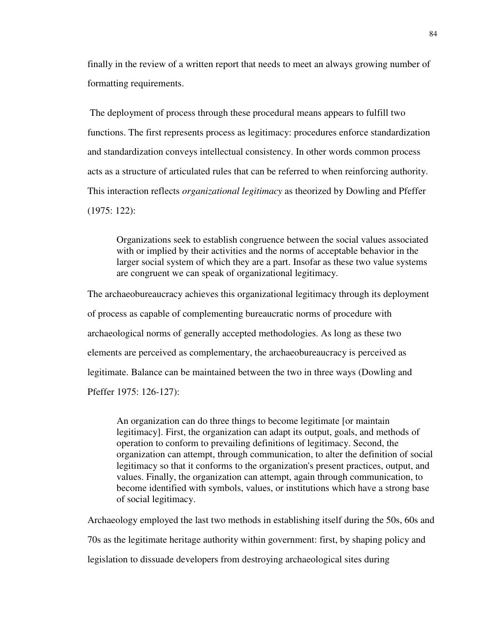finally in the review of a written report that needs to meet an always growing number of formatting requirements.

 The deployment of process through these procedural means appears to fulfill two functions. The first represents process as legitimacy: procedures enforce standardization and standardization conveys intellectual consistency. In other words common process acts as a structure of articulated rules that can be referred to when reinforcing authority. This interaction reflects *organizational legitimacy* as theorized by Dowling and Pfeffer (1975: 122):

Organizations seek to establish congruence between the social values associated with or implied by their activities and the norms of acceptable behavior in the larger social system of which they are a part. Insofar as these two value systems are congruent we can speak of organizational legitimacy.

The archaeobureaucracy achieves this organizational legitimacy through its deployment of process as capable of complementing bureaucratic norms of procedure with archaeological norms of generally accepted methodologies. As long as these two elements are perceived as complementary, the archaeobureaucracy is perceived as legitimate. Balance can be maintained between the two in three ways (Dowling and Pfeffer 1975: 126-127):

An organization can do three things to become legitimate [or maintain legitimacy]. First, the organization can adapt its output, goals, and methods of operation to conform to prevailing definitions of legitimacy. Second, the organization can attempt, through communication, to alter the definition of social legitimacy so that it conforms to the organization's present practices, output, and values. Finally, the organization can attempt, again through communication, to become identified with symbols, values, or institutions which have a strong base of social legitimacy.

Archaeology employed the last two methods in establishing itself during the 50s, 60s and 70s as the legitimate heritage authority within government: first, by shaping policy and legislation to dissuade developers from destroying archaeological sites during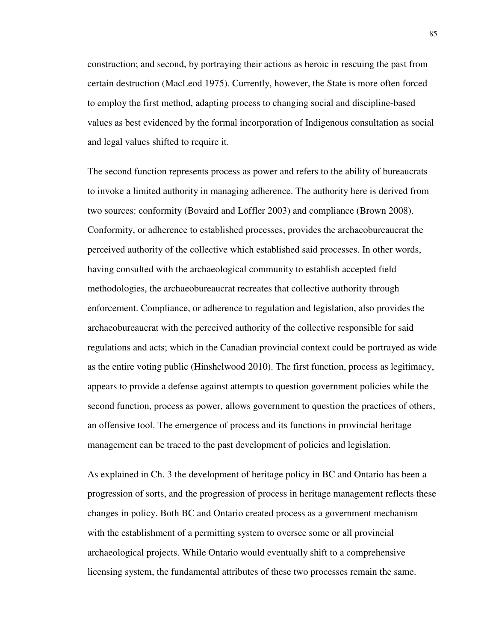construction; and second, by portraying their actions as heroic in rescuing the past from certain destruction (MacLeod 1975). Currently, however, the State is more often forced to employ the first method, adapting process to changing social and discipline-based values as best evidenced by the formal incorporation of Indigenous consultation as social and legal values shifted to require it.

The second function represents process as power and refers to the ability of bureaucrats to invoke a limited authority in managing adherence. The authority here is derived from two sources: conformity (Bovaird and Löffler 2003) and compliance (Brown 2008). Conformity, or adherence to established processes, provides the archaeobureaucrat the perceived authority of the collective which established said processes. In other words, having consulted with the archaeological community to establish accepted field methodologies, the archaeobureaucrat recreates that collective authority through enforcement. Compliance, or adherence to regulation and legislation, also provides the archaeobureaucrat with the perceived authority of the collective responsible for said regulations and acts; which in the Canadian provincial context could be portrayed as wide as the entire voting public (Hinshelwood 2010). The first function, process as legitimacy, appears to provide a defense against attempts to question government policies while the second function, process as power, allows government to question the practices of others, an offensive tool. The emergence of process and its functions in provincial heritage management can be traced to the past development of policies and legislation.

As explained in Ch. 3 the development of heritage policy in BC and Ontario has been a progression of sorts, and the progression of process in heritage management reflects these changes in policy. Both BC and Ontario created process as a government mechanism with the establishment of a permitting system to oversee some or all provincial archaeological projects. While Ontario would eventually shift to a comprehensive licensing system, the fundamental attributes of these two processes remain the same.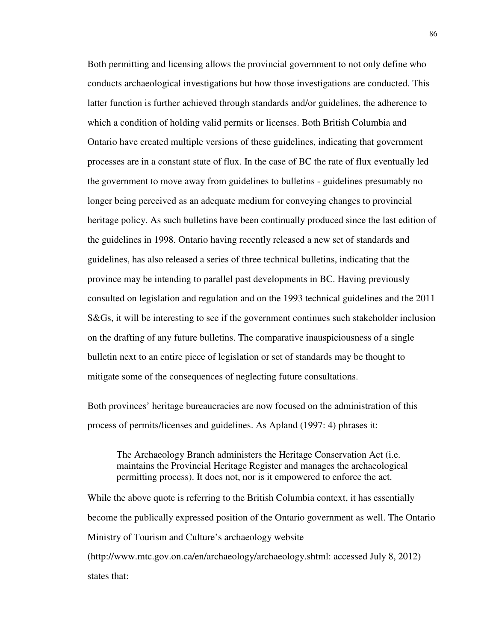Both permitting and licensing allows the provincial government to not only define who conducts archaeological investigations but how those investigations are conducted. This latter function is further achieved through standards and/or guidelines, the adherence to which a condition of holding valid permits or licenses. Both British Columbia and Ontario have created multiple versions of these guidelines, indicating that government processes are in a constant state of flux. In the case of BC the rate of flux eventually led the government to move away from guidelines to bulletins - guidelines presumably no longer being perceived as an adequate medium for conveying changes to provincial heritage policy. As such bulletins have been continually produced since the last edition of the guidelines in 1998. Ontario having recently released a new set of standards and guidelines, has also released a series of three technical bulletins, indicating that the province may be intending to parallel past developments in BC. Having previously consulted on legislation and regulation and on the 1993 technical guidelines and the 2011 S&Gs, it will be interesting to see if the government continues such stakeholder inclusion on the drafting of any future bulletins. The comparative inauspiciousness of a single bulletin next to an entire piece of legislation or set of standards may be thought to mitigate some of the consequences of neglecting future consultations.

Both provinces' heritage bureaucracies are now focused on the administration of this process of permits/licenses and guidelines. As Apland (1997: 4) phrases it:

The Archaeology Branch administers the Heritage Conservation Act (i.e. maintains the Provincial Heritage Register and manages the archaeological permitting process). It does not, nor is it empowered to enforce the act.

While the above quote is referring to the British Columbia context, it has essentially become the publically expressed position of the Ontario government as well. The Ontario Ministry of Tourism and Culture's archaeology website

(http://www.mtc.gov.on.ca/en/archaeology/archaeology.shtml: accessed July 8, 2012) states that: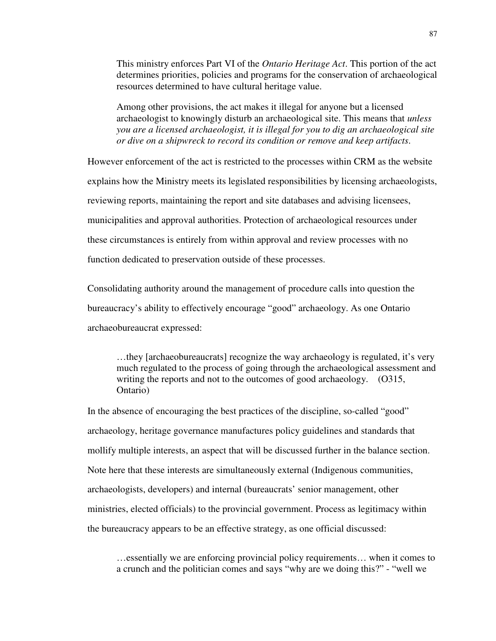This ministry enforces Part VI of the *Ontario Heritage Act*. This portion of the act determines priorities, policies and programs for the conservation of archaeological resources determined to have cultural heritage value.

Among other provisions, the act makes it illegal for anyone but a licensed archaeologist to knowingly disturb an archaeological site. This means that *unless you are a licensed archaeologist, it is illegal for you to dig an archaeological site or dive on a shipwreck to record its condition or remove and keep artifacts*.

However enforcement of the act is restricted to the processes within CRM as the website explains how the Ministry meets its legislated responsibilities by licensing archaeologists, reviewing reports, maintaining the report and site databases and advising licensees, municipalities and approval authorities. Protection of archaeological resources under these circumstances is entirely from within approval and review processes with no function dedicated to preservation outside of these processes.

Consolidating authority around the management of procedure calls into question the bureaucracy's ability to effectively encourage "good" archaeology. As one Ontario archaeobureaucrat expressed:

…they [archaeobureaucrats] recognize the way archaeology is regulated, it's very much regulated to the process of going through the archaeological assessment and writing the reports and not to the outcomes of good archaeology. (O315, Ontario)

In the absence of encouraging the best practices of the discipline, so-called "good" archaeology, heritage governance manufactures policy guidelines and standards that mollify multiple interests, an aspect that will be discussed further in the balance section. Note here that these interests are simultaneously external (Indigenous communities, archaeologists, developers) and internal (bureaucrats' senior management, other ministries, elected officials) to the provincial government. Process as legitimacy within the bureaucracy appears to be an effective strategy, as one official discussed:

…essentially we are enforcing provincial policy requirements… when it comes to a crunch and the politician comes and says "why are we doing this?" - "well we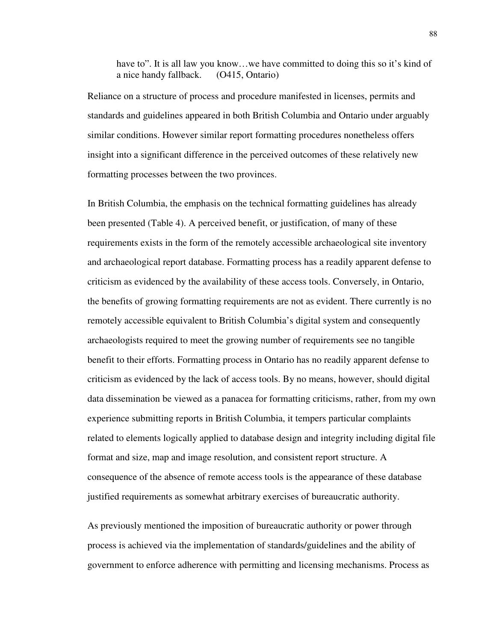have to". It is all law you know...we have committed to doing this so it's kind of a nice handy fallback. (O415, Ontario)

Reliance on a structure of process and procedure manifested in licenses, permits and standards and guidelines appeared in both British Columbia and Ontario under arguably similar conditions. However similar report formatting procedures nonetheless offers insight into a significant difference in the perceived outcomes of these relatively new formatting processes between the two provinces.

In British Columbia, the emphasis on the technical formatting guidelines has already been presented (Table 4). A perceived benefit, or justification, of many of these requirements exists in the form of the remotely accessible archaeological site inventory and archaeological report database. Formatting process has a readily apparent defense to criticism as evidenced by the availability of these access tools. Conversely, in Ontario, the benefits of growing formatting requirements are not as evident. There currently is no remotely accessible equivalent to British Columbia's digital system and consequently archaeologists required to meet the growing number of requirements see no tangible benefit to their efforts. Formatting process in Ontario has no readily apparent defense to criticism as evidenced by the lack of access tools. By no means, however, should digital data dissemination be viewed as a panacea for formatting criticisms, rather, from my own experience submitting reports in British Columbia, it tempers particular complaints related to elements logically applied to database design and integrity including digital file format and size, map and image resolution, and consistent report structure. A consequence of the absence of remote access tools is the appearance of these database justified requirements as somewhat arbitrary exercises of bureaucratic authority.

As previously mentioned the imposition of bureaucratic authority or power through process is achieved via the implementation of standards/guidelines and the ability of government to enforce adherence with permitting and licensing mechanisms. Process as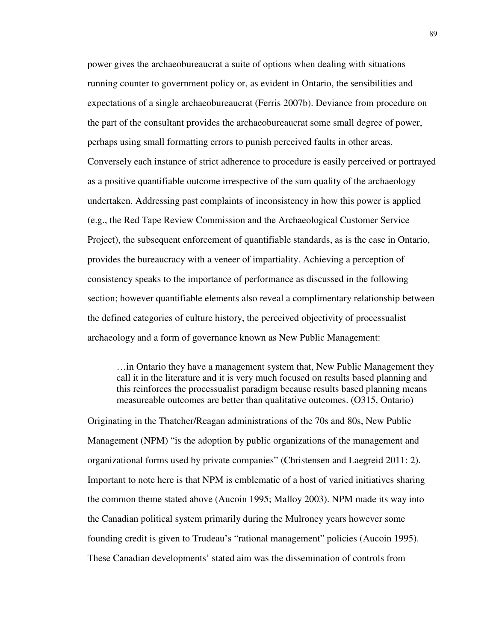power gives the archaeobureaucrat a suite of options when dealing with situations running counter to government policy or, as evident in Ontario, the sensibilities and expectations of a single archaeobureaucrat (Ferris 2007b). Deviance from procedure on the part of the consultant provides the archaeobureaucrat some small degree of power, perhaps using small formatting errors to punish perceived faults in other areas. Conversely each instance of strict adherence to procedure is easily perceived or portrayed as a positive quantifiable outcome irrespective of the sum quality of the archaeology undertaken. Addressing past complaints of inconsistency in how this power is applied (e.g., the Red Tape Review Commission and the Archaeological Customer Service Project), the subsequent enforcement of quantifiable standards, as is the case in Ontario, provides the bureaucracy with a veneer of impartiality. Achieving a perception of consistency speaks to the importance of performance as discussed in the following section; however quantifiable elements also reveal a complimentary relationship between the defined categories of culture history, the perceived objectivity of processualist archaeology and a form of governance known as New Public Management:

…in Ontario they have a management system that, New Public Management they call it in the literature and it is very much focused on results based planning and this reinforces the processualist paradigm because results based planning means measureable outcomes are better than qualitative outcomes. (O315, Ontario)

Originating in the Thatcher/Reagan administrations of the 70s and 80s, New Public Management (NPM) "is the adoption by public organizations of the management and organizational forms used by private companies" (Christensen and Laegreid 2011: 2). Important to note here is that NPM is emblematic of a host of varied initiatives sharing the common theme stated above (Aucoin 1995; Malloy 2003). NPM made its way into the Canadian political system primarily during the Mulroney years however some founding credit is given to Trudeau's "rational management" policies (Aucoin 1995). These Canadian developments' stated aim was the dissemination of controls from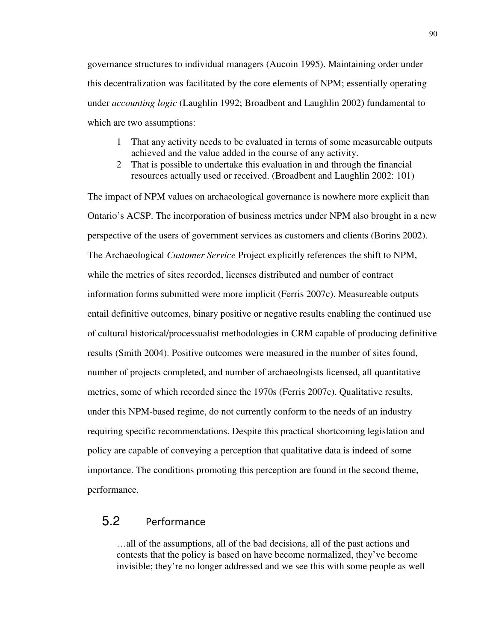governance structures to individual managers (Aucoin 1995). Maintaining order under this decentralization was facilitated by the core elements of NPM; essentially operating under *accounting logic* (Laughlin 1992; Broadbent and Laughlin 2002) fundamental to which are two assumptions:

- 1 That any activity needs to be evaluated in terms of some measureable outputs achieved and the value added in the course of any activity.
- 2 That is possible to undertake this evaluation in and through the financial resources actually used or received. (Broadbent and Laughlin 2002: 101)

The impact of NPM values on archaeological governance is nowhere more explicit than Ontario's ACSP. The incorporation of business metrics under NPM also brought in a new perspective of the users of government services as customers and clients (Borins 2002). The Archaeological *Customer Service* Project explicitly references the shift to NPM, while the metrics of sites recorded, licenses distributed and number of contract information forms submitted were more implicit (Ferris 2007c). Measureable outputs entail definitive outcomes, binary positive or negative results enabling the continued use of cultural historical/processualist methodologies in CRM capable of producing definitive results (Smith 2004). Positive outcomes were measured in the number of sites found, number of projects completed, and number of archaeologists licensed, all quantitative metrics, some of which recorded since the 1970s (Ferris 2007c). Qualitative results, under this NPM-based regime, do not currently conform to the needs of an industry requiring specific recommendations. Despite this practical shortcoming legislation and policy are capable of conveying a perception that qualitative data is indeed of some importance. The conditions promoting this perception are found in the second theme, performance.

### 5.2 Performance

…all of the assumptions, all of the bad decisions, all of the past actions and contests that the policy is based on have become normalized, they've become invisible; they're no longer addressed and we see this with some people as well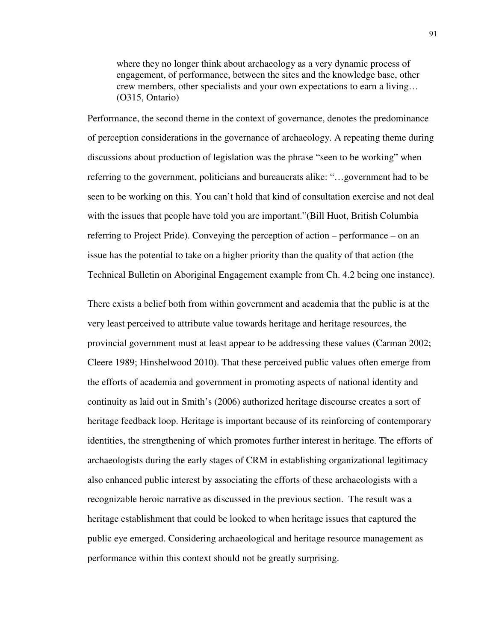where they no longer think about archaeology as a very dynamic process of engagement, of performance, between the sites and the knowledge base, other crew members, other specialists and your own expectations to earn a living… (O315, Ontario)

Performance, the second theme in the context of governance, denotes the predominance of perception considerations in the governance of archaeology. A repeating theme during discussions about production of legislation was the phrase "seen to be working" when referring to the government, politicians and bureaucrats alike: "…government had to be seen to be working on this. You can't hold that kind of consultation exercise and not deal with the issues that people have told you are important."(Bill Huot, British Columbia referring to Project Pride). Conveying the perception of action – performance – on an issue has the potential to take on a higher priority than the quality of that action (the Technical Bulletin on Aboriginal Engagement example from Ch. 4.2 being one instance).

There exists a belief both from within government and academia that the public is at the very least perceived to attribute value towards heritage and heritage resources, the provincial government must at least appear to be addressing these values (Carman 2002; Cleere 1989; Hinshelwood 2010). That these perceived public values often emerge from the efforts of academia and government in promoting aspects of national identity and continuity as laid out in Smith's (2006) authorized heritage discourse creates a sort of heritage feedback loop. Heritage is important because of its reinforcing of contemporary identities, the strengthening of which promotes further interest in heritage. The efforts of archaeologists during the early stages of CRM in establishing organizational legitimacy also enhanced public interest by associating the efforts of these archaeologists with a recognizable heroic narrative as discussed in the previous section. The result was a heritage establishment that could be looked to when heritage issues that captured the public eye emerged. Considering archaeological and heritage resource management as performance within this context should not be greatly surprising.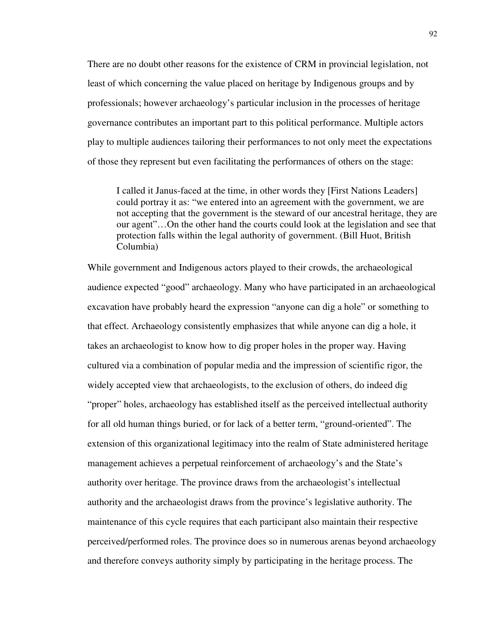There are no doubt other reasons for the existence of CRM in provincial legislation, not least of which concerning the value placed on heritage by Indigenous groups and by professionals; however archaeology's particular inclusion in the processes of heritage governance contributes an important part to this political performance. Multiple actors play to multiple audiences tailoring their performances to not only meet the expectations of those they represent but even facilitating the performances of others on the stage:

I called it Janus-faced at the time, in other words they [First Nations Leaders] could portray it as: "we entered into an agreement with the government, we are not accepting that the government is the steward of our ancestral heritage, they are our agent"…On the other hand the courts could look at the legislation and see that protection falls within the legal authority of government. (Bill Huot, British Columbia)

While government and Indigenous actors played to their crowds, the archaeological audience expected "good" archaeology. Many who have participated in an archaeological excavation have probably heard the expression "anyone can dig a hole" or something to that effect. Archaeology consistently emphasizes that while anyone can dig a hole, it takes an archaeologist to know how to dig proper holes in the proper way. Having cultured via a combination of popular media and the impression of scientific rigor, the widely accepted view that archaeologists, to the exclusion of others, do indeed dig "proper" holes, archaeology has established itself as the perceived intellectual authority for all old human things buried, or for lack of a better term, "ground-oriented". The extension of this organizational legitimacy into the realm of State administered heritage management achieves a perpetual reinforcement of archaeology's and the State's authority over heritage. The province draws from the archaeologist's intellectual authority and the archaeologist draws from the province's legislative authority. The maintenance of this cycle requires that each participant also maintain their respective perceived/performed roles. The province does so in numerous arenas beyond archaeology and therefore conveys authority simply by participating in the heritage process. The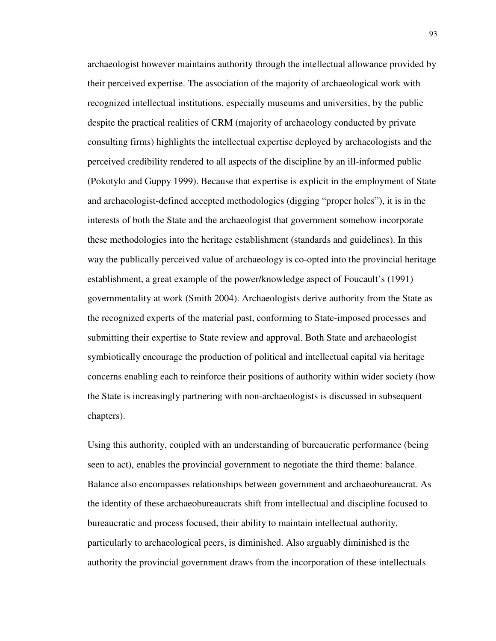archaeologist however maintains authority through the intellectual allowance provided by their perceived expertise. The association of the majority of archaeological work with recognized intellectual institutions, especially museums and universities, by the public despite the practical realities of CRM (majority of archaeology conducted by private consulting firms) highlights the intellectual expertise deployed by archaeologists and the perceived credibility rendered to all aspects of the discipline by an ill-informed public (Pokotylo and Guppy 1999). Because that expertise is explicit in the employment of State and archaeologist-defined accepted methodologies (digging "proper holes"), it is in the interests of both the State and the archaeologist that government somehow incorporate these methodologies into the heritage establishment (standards and guidelines). In this way the publically perceived value of archaeology is co-opted into the provincial heritage establishment, a great example of the power/knowledge aspect of Foucault's (1991) governmentality at work (Smith 2004). Archaeologists derive authority from the State as the recognized experts of the material past, conforming to State-imposed processes and submitting their expertise to State review and approval. Both State and archaeologist symbiotically encourage the production of political and intellectual capital via heritage concerns enabling each to reinforce their positions of authority within wider society (how the State is increasingly partnering with non-archaeologists is discussed in subsequent chapters).

Using this authority, coupled with an understanding of bureaucratic performance (being seen to act), enables the provincial government to negotiate the third theme: balance. Balance also encompasses relationships between government and archaeobureaucrat. As the identity of these archaeobureaucrats shift from intellectual and discipline focused to bureaucratic and process focused, their ability to maintain intellectual authority, particularly to archaeological peers, is diminished. Also arguably diminished is the authority the provincial government draws from the incorporation of these intellectuals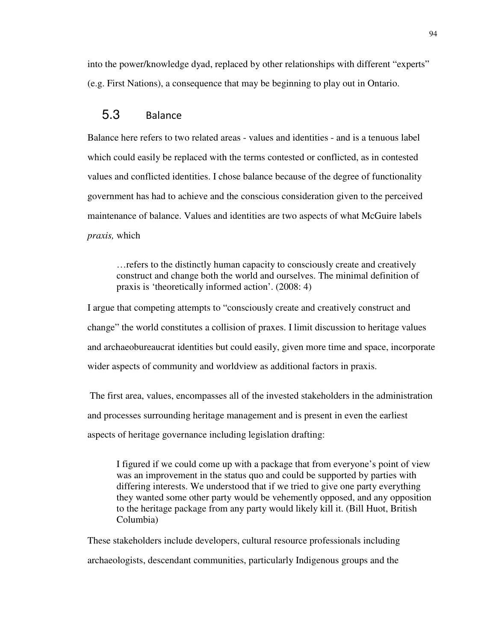into the power/knowledge dyad, replaced by other relationships with different "experts" (e.g. First Nations), a consequence that may be beginning to play out in Ontario.

### 5.3 Balance

Balance here refers to two related areas - values and identities - and is a tenuous label which could easily be replaced with the terms contested or conflicted, as in contested values and conflicted identities. I chose balance because of the degree of functionality government has had to achieve and the conscious consideration given to the perceived maintenance of balance. Values and identities are two aspects of what McGuire labels *praxis,* which

…refers to the distinctly human capacity to consciously create and creatively construct and change both the world and ourselves. The minimal definition of praxis is 'theoretically informed action'. (2008: 4)

I argue that competing attempts to "consciously create and creatively construct and change" the world constitutes a collision of praxes. I limit discussion to heritage values and archaeobureaucrat identities but could easily, given more time and space, incorporate wider aspects of community and worldview as additional factors in praxis.

 The first area, values, encompasses all of the invested stakeholders in the administration and processes surrounding heritage management and is present in even the earliest aspects of heritage governance including legislation drafting:

I figured if we could come up with a package that from everyone's point of view was an improvement in the status quo and could be supported by parties with differing interests. We understood that if we tried to give one party everything they wanted some other party would be vehemently opposed, and any opposition to the heritage package from any party would likely kill it. (Bill Huot, British Columbia)

These stakeholders include developers, cultural resource professionals including archaeologists, descendant communities, particularly Indigenous groups and the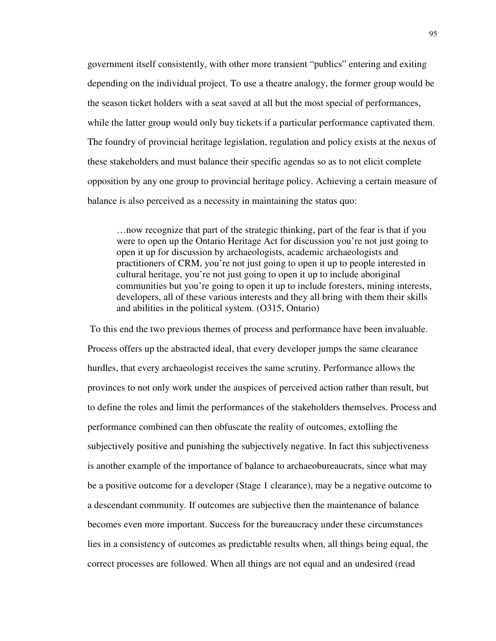government itself consistently, with other more transient "publics" entering and exiting depending on the individual project. To use a theatre analogy, the former group would be the season ticket holders with a seat saved at all but the most special of performances, while the latter group would only buy tickets if a particular performance captivated them. The foundry of provincial heritage legislation, regulation and policy exists at the nexus of these stakeholders and must balance their specific agendas so as to not elicit complete opposition by any one group to provincial heritage policy. Achieving a certain measure of balance is also perceived as a necessity in maintaining the status quo:

…now recognize that part of the strategic thinking, part of the fear is that if you were to open up the Ontario Heritage Act for discussion you're not just going to open it up for discussion by archaeologists, academic archaeologists and practitioners of CRM, you're not just going to open it up to people interested in cultural heritage, you're not just going to open it up to include aboriginal communities but you're going to open it up to include foresters, mining interests, developers, all of these various interests and they all bring with them their skills and abilities in the political system. (O315, Ontario)

 To this end the two previous themes of process and performance have been invaluable. Process offers up the abstracted ideal, that every developer jumps the same clearance hurdles, that every archaeologist receives the same scrutiny. Performance allows the provinces to not only work under the auspices of perceived action rather than result, but to define the roles and limit the performances of the stakeholders themselves. Process and performance combined can then obfuscate the reality of outcomes, extolling the subjectively positive and punishing the subjectively negative. In fact this subjectiveness is another example of the importance of balance to archaeobureaucrats, since what may be a positive outcome for a developer (Stage 1 clearance), may be a negative outcome to a descendant community. If outcomes are subjective then the maintenance of balance becomes even more important. Success for the bureaucracy under these circumstances lies in a consistency of outcomes as predictable results when, all things being equal, the correct processes are followed. When all things are not equal and an undesired (read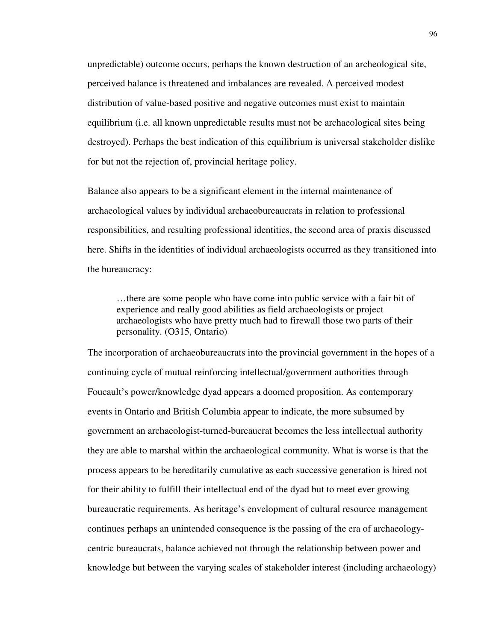unpredictable) outcome occurs, perhaps the known destruction of an archeological site, perceived balance is threatened and imbalances are revealed. A perceived modest distribution of value-based positive and negative outcomes must exist to maintain equilibrium (i.e. all known unpredictable results must not be archaeological sites being destroyed). Perhaps the best indication of this equilibrium is universal stakeholder dislike for but not the rejection of, provincial heritage policy.

Balance also appears to be a significant element in the internal maintenance of archaeological values by individual archaeobureaucrats in relation to professional responsibilities, and resulting professional identities, the second area of praxis discussed here. Shifts in the identities of individual archaeologists occurred as they transitioned into the bureaucracy:

…there are some people who have come into public service with a fair bit of experience and really good abilities as field archaeologists or project archaeologists who have pretty much had to firewall those two parts of their personality. (O315, Ontario)

The incorporation of archaeobureaucrats into the provincial government in the hopes of a continuing cycle of mutual reinforcing intellectual/government authorities through Foucault's power/knowledge dyad appears a doomed proposition. As contemporary events in Ontario and British Columbia appear to indicate, the more subsumed by government an archaeologist-turned-bureaucrat becomes the less intellectual authority they are able to marshal within the archaeological community. What is worse is that the process appears to be hereditarily cumulative as each successive generation is hired not for their ability to fulfill their intellectual end of the dyad but to meet ever growing bureaucratic requirements. As heritage's envelopment of cultural resource management continues perhaps an unintended consequence is the passing of the era of archaeologycentric bureaucrats, balance achieved not through the relationship between power and knowledge but between the varying scales of stakeholder interest (including archaeology)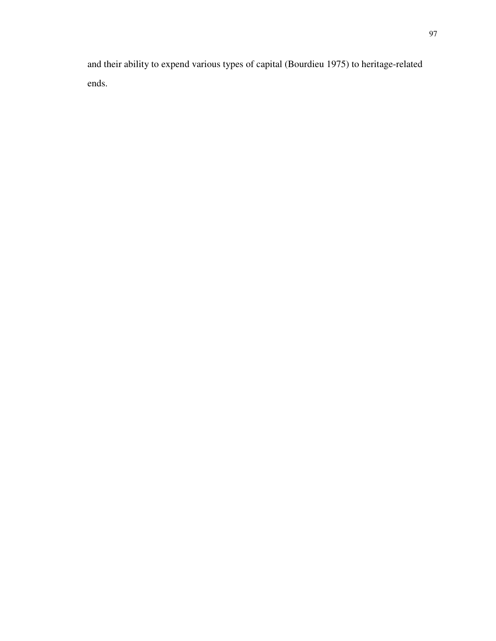and their ability to expend various types of capital (Bourdieu 1975) to heritage-related ends.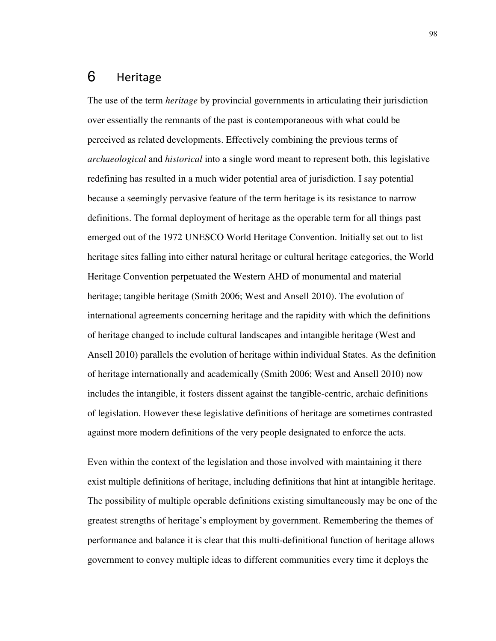# 6 Heritage

The use of the term *heritage* by provincial governments in articulating their jurisdiction over essentially the remnants of the past is contemporaneous with what could be perceived as related developments. Effectively combining the previous terms of *archaeological* and *historical* into a single word meant to represent both, this legislative redefining has resulted in a much wider potential area of jurisdiction. I say potential because a seemingly pervasive feature of the term heritage is its resistance to narrow definitions. The formal deployment of heritage as the operable term for all things past emerged out of the 1972 UNESCO World Heritage Convention. Initially set out to list heritage sites falling into either natural heritage or cultural heritage categories, the World Heritage Convention perpetuated the Western AHD of monumental and material heritage; tangible heritage (Smith 2006; West and Ansell 2010). The evolution of international agreements concerning heritage and the rapidity with which the definitions of heritage changed to include cultural landscapes and intangible heritage (West and Ansell 2010) parallels the evolution of heritage within individual States. As the definition of heritage internationally and academically (Smith 2006; West and Ansell 2010) now includes the intangible, it fosters dissent against the tangible-centric, archaic definitions of legislation. However these legislative definitions of heritage are sometimes contrasted against more modern definitions of the very people designated to enforce the acts.

Even within the context of the legislation and those involved with maintaining it there exist multiple definitions of heritage, including definitions that hint at intangible heritage. The possibility of multiple operable definitions existing simultaneously may be one of the greatest strengths of heritage's employment by government. Remembering the themes of performance and balance it is clear that this multi-definitional function of heritage allows government to convey multiple ideas to different communities every time it deploys the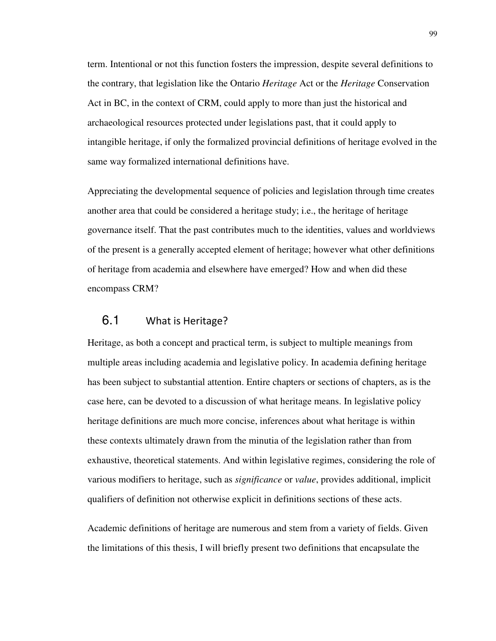term. Intentional or not this function fosters the impression, despite several definitions to the contrary, that legislation like the Ontario *Heritage* Act or the *Heritage* Conservation Act in BC, in the context of CRM, could apply to more than just the historical and archaeological resources protected under legislations past, that it could apply to intangible heritage, if only the formalized provincial definitions of heritage evolved in the same way formalized international definitions have.

Appreciating the developmental sequence of policies and legislation through time creates another area that could be considered a heritage study; i.e., the heritage of heritage governance itself. That the past contributes much to the identities, values and worldviews of the present is a generally accepted element of heritage; however what other definitions of heritage from academia and elsewhere have emerged? How and when did these encompass CRM?

## 6.1 What is Heritage?

Heritage, as both a concept and practical term, is subject to multiple meanings from multiple areas including academia and legislative policy. In academia defining heritage has been subject to substantial attention. Entire chapters or sections of chapters, as is the case here, can be devoted to a discussion of what heritage means. In legislative policy heritage definitions are much more concise, inferences about what heritage is within these contexts ultimately drawn from the minutia of the legislation rather than from exhaustive, theoretical statements. And within legislative regimes, considering the role of various modifiers to heritage, such as *significance* or *value*, provides additional, implicit qualifiers of definition not otherwise explicit in definitions sections of these acts.

Academic definitions of heritage are numerous and stem from a variety of fields. Given the limitations of this thesis, I will briefly present two definitions that encapsulate the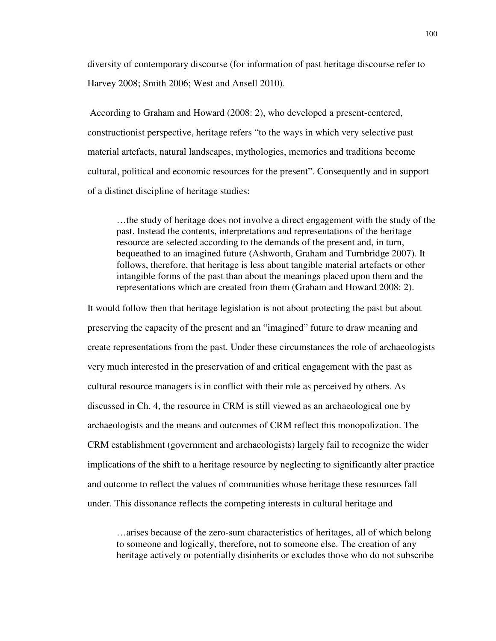diversity of contemporary discourse (for information of past heritage discourse refer to Harvey 2008; Smith 2006; West and Ansell 2010).

 According to Graham and Howard (2008: 2), who developed a present-centered, constructionist perspective, heritage refers "to the ways in which very selective past material artefacts, natural landscapes, mythologies, memories and traditions become cultural, political and economic resources for the present". Consequently and in support of a distinct discipline of heritage studies:

…the study of heritage does not involve a direct engagement with the study of the past. Instead the contents, interpretations and representations of the heritage resource are selected according to the demands of the present and, in turn, bequeathed to an imagined future (Ashworth, Graham and Turnbridge 2007). It follows, therefore, that heritage is less about tangible material artefacts or other intangible forms of the past than about the meanings placed upon them and the representations which are created from them (Graham and Howard 2008: 2).

It would follow then that heritage legislation is not about protecting the past but about preserving the capacity of the present and an "imagined" future to draw meaning and create representations from the past. Under these circumstances the role of archaeologists very much interested in the preservation of and critical engagement with the past as cultural resource managers is in conflict with their role as perceived by others. As discussed in Ch. 4, the resource in CRM is still viewed as an archaeological one by archaeologists and the means and outcomes of CRM reflect this monopolization. The CRM establishment (government and archaeologists) largely fail to recognize the wider implications of the shift to a heritage resource by neglecting to significantly alter practice and outcome to reflect the values of communities whose heritage these resources fall under. This dissonance reflects the competing interests in cultural heritage and

…arises because of the zero-sum characteristics of heritages, all of which belong to someone and logically, therefore, not to someone else. The creation of any heritage actively or potentially disinherits or excludes those who do not subscribe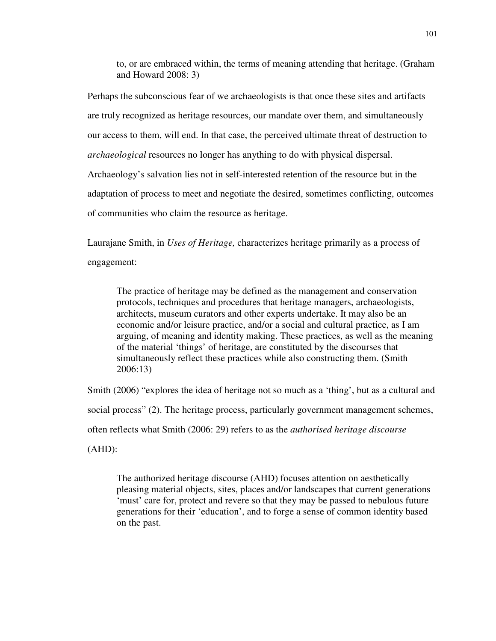to, or are embraced within, the terms of meaning attending that heritage. (Graham and Howard 2008: 3)

Perhaps the subconscious fear of we archaeologists is that once these sites and artifacts are truly recognized as heritage resources, our mandate over them, and simultaneously our access to them, will end. In that case, the perceived ultimate threat of destruction to *archaeological* resources no longer has anything to do with physical dispersal. Archaeology's salvation lies not in self-interested retention of the resource but in the adaptation of process to meet and negotiate the desired, sometimes conflicting, outcomes of communities who claim the resource as heritage.

Laurajane Smith, in *Uses of Heritage,* characterizes heritage primarily as a process of engagement:

The practice of heritage may be defined as the management and conservation protocols, techniques and procedures that heritage managers, archaeologists, architects, museum curators and other experts undertake. It may also be an economic and/or leisure practice, and/or a social and cultural practice, as I am arguing, of meaning and identity making. These practices, as well as the meaning of the material 'things' of heritage, are constituted by the discourses that simultaneously reflect these practices while also constructing them. (Smith 2006:13)

Smith (2006) "explores the idea of heritage not so much as a 'thing', but as a cultural and social process" (2). The heritage process, particularly government management schemes, often reflects what Smith (2006: 29) refers to as the *authorised heritage discourse* (AHD):

The authorized heritage discourse (AHD) focuses attention on aesthetically pleasing material objects, sites, places and/or landscapes that current generations 'must' care for, protect and revere so that they may be passed to nebulous future generations for their 'education', and to forge a sense of common identity based on the past.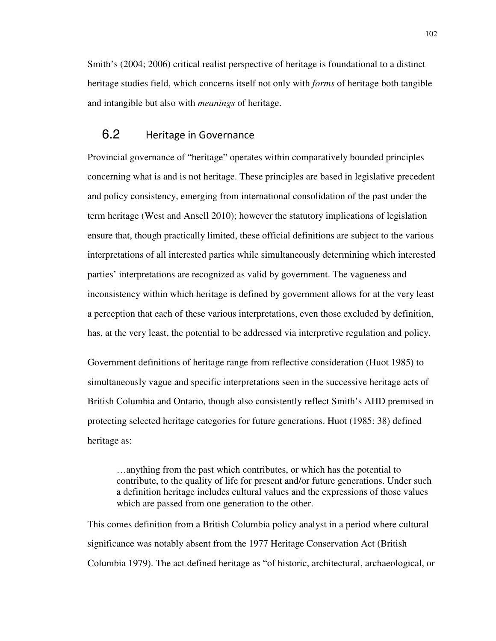Smith's (2004; 2006) critical realist perspective of heritage is foundational to a distinct heritage studies field, which concerns itself not only with *forms* of heritage both tangible and intangible but also with *meanings* of heritage.

# 6.2 Heritage in Governance

Provincial governance of "heritage" operates within comparatively bounded principles concerning what is and is not heritage. These principles are based in legislative precedent and policy consistency, emerging from international consolidation of the past under the term heritage (West and Ansell 2010); however the statutory implications of legislation ensure that, though practically limited, these official definitions are subject to the various interpretations of all interested parties while simultaneously determining which interested parties' interpretations are recognized as valid by government. The vagueness and inconsistency within which heritage is defined by government allows for at the very least a perception that each of these various interpretations, even those excluded by definition, has, at the very least, the potential to be addressed via interpretive regulation and policy.

Government definitions of heritage range from reflective consideration (Huot 1985) to simultaneously vague and specific interpretations seen in the successive heritage acts of British Columbia and Ontario, though also consistently reflect Smith's AHD premised in protecting selected heritage categories for future generations. Huot (1985: 38) defined heritage as:

…anything from the past which contributes, or which has the potential to contribute, to the quality of life for present and/or future generations. Under such a definition heritage includes cultural values and the expressions of those values which are passed from one generation to the other.

This comes definition from a British Columbia policy analyst in a period where cultural significance was notably absent from the 1977 Heritage Conservation Act (British Columbia 1979). The act defined heritage as "of historic, architectural, archaeological, or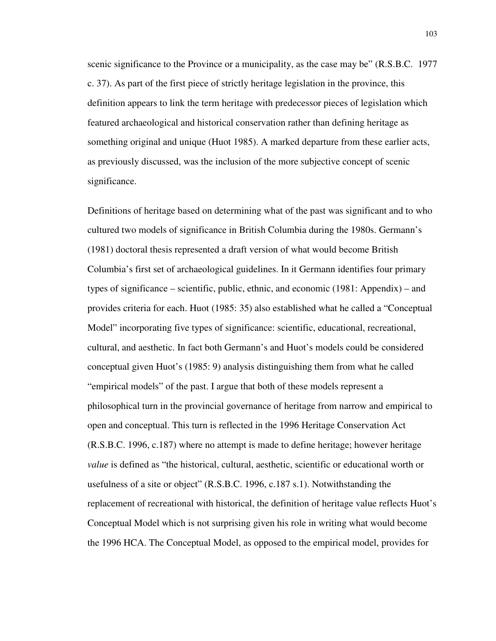scenic significance to the Province or a municipality, as the case may be" (R.S.B.C. 1977 c. 37). As part of the first piece of strictly heritage legislation in the province, this definition appears to link the term heritage with predecessor pieces of legislation which featured archaeological and historical conservation rather than defining heritage as something original and unique (Huot 1985). A marked departure from these earlier acts, as previously discussed, was the inclusion of the more subjective concept of scenic significance.

Definitions of heritage based on determining what of the past was significant and to who cultured two models of significance in British Columbia during the 1980s. Germann's (1981) doctoral thesis represented a draft version of what would become British Columbia's first set of archaeological guidelines. In it Germann identifies four primary types of significance – scientific, public, ethnic, and economic (1981: Appendix) – and provides criteria for each. Huot (1985: 35) also established what he called a "Conceptual Model" incorporating five types of significance: scientific, educational, recreational, cultural, and aesthetic. In fact both Germann's and Huot's models could be considered conceptual given Huot's (1985: 9) analysis distinguishing them from what he called "empirical models" of the past. I argue that both of these models represent a philosophical turn in the provincial governance of heritage from narrow and empirical to open and conceptual. This turn is reflected in the 1996 Heritage Conservation Act (R.S.B.C. 1996, c.187) where no attempt is made to define heritage; however heritage *value* is defined as "the historical, cultural, aesthetic, scientific or educational worth or usefulness of a site or object" (R.S.B.C. 1996, c.187 s.1). Notwithstanding the replacement of recreational with historical, the definition of heritage value reflects Huot's Conceptual Model which is not surprising given his role in writing what would become the 1996 HCA. The Conceptual Model, as opposed to the empirical model, provides for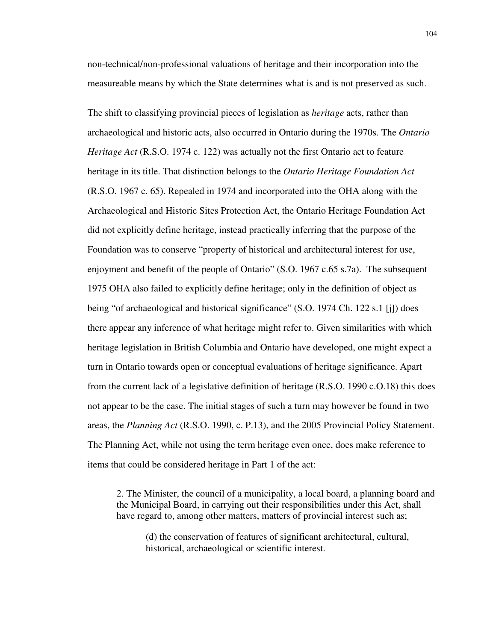non-technical/non-professional valuations of heritage and their incorporation into the measureable means by which the State determines what is and is not preserved as such.

The shift to classifying provincial pieces of legislation as *heritage* acts, rather than archaeological and historic acts, also occurred in Ontario during the 1970s. The *Ontario Heritage Act* (R.S.O. 1974 c. 122) was actually not the first Ontario act to feature heritage in its title. That distinction belongs to the *Ontario Heritage Foundation Act* (R.S.O. 1967 c. 65). Repealed in 1974 and incorporated into the OHA along with the Archaeological and Historic Sites Protection Act, the Ontario Heritage Foundation Act did not explicitly define heritage, instead practically inferring that the purpose of the Foundation was to conserve "property of historical and architectural interest for use, enjoyment and benefit of the people of Ontario" (S.O. 1967 c.65 s.7a). The subsequent 1975 OHA also failed to explicitly define heritage; only in the definition of object as being "of archaeological and historical significance" (S.O. 1974 Ch. 122 s.1 [j]) does there appear any inference of what heritage might refer to. Given similarities with which heritage legislation in British Columbia and Ontario have developed, one might expect a turn in Ontario towards open or conceptual evaluations of heritage significance. Apart from the current lack of a legislative definition of heritage (R.S.O. 1990 c.O.18) this does not appear to be the case. The initial stages of such a turn may however be found in two areas, the *Planning Act* (R.S.O. 1990, c. P.13), and the 2005 Provincial Policy Statement. The Planning Act, while not using the term heritage even once, does make reference to items that could be considered heritage in Part 1 of the act:

2. The Minister, the council of a municipality, a local board, a planning board and the Municipal Board, in carrying out their responsibilities under this Act, shall have regard to, among other matters, matters of provincial interest such as;

(d) the conservation of features of significant architectural, cultural, historical, archaeological or scientific interest.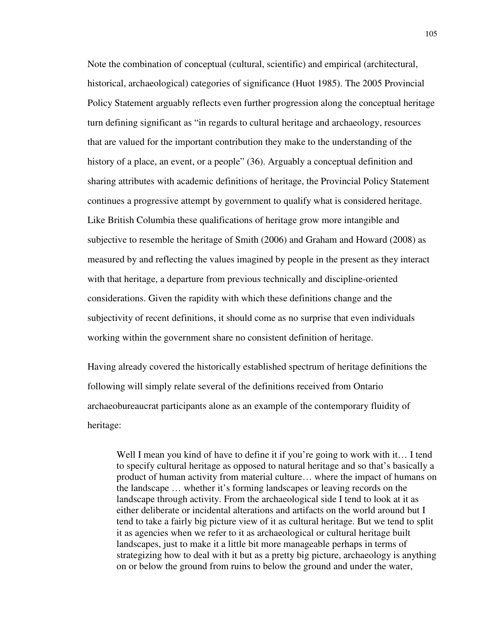Note the combination of conceptual (cultural, scientific) and empirical (architectural, historical, archaeological) categories of significance (Huot 1985). The 2005 Provincial Policy Statement arguably reflects even further progression along the conceptual heritage turn defining significant as "in regards to cultural heritage and archaeology, resources that are valued for the important contribution they make to the understanding of the history of a place, an event, or a people" (36). Arguably a conceptual definition and sharing attributes with academic definitions of heritage, the Provincial Policy Statement continues a progressive attempt by government to qualify what is considered heritage. Like British Columbia these qualifications of heritage grow more intangible and subjective to resemble the heritage of Smith (2006) and Graham and Howard (2008) as measured by and reflecting the values imagined by people in the present as they interact with that heritage, a departure from previous technically and discipline-oriented considerations. Given the rapidity with which these definitions change and the subjectivity of recent definitions, it should come as no surprise that even individuals working within the government share no consistent definition of heritage.

Having already covered the historically established spectrum of heritage definitions the following will simply relate several of the definitions received from Ontario archaeobureaucrat participants alone as an example of the contemporary fluidity of heritage:

Well I mean you kind of have to define it if you're going to work with it... I tend to specify cultural heritage as opposed to natural heritage and so that's basically a product of human activity from material culture… where the impact of humans on the landscape … whether it's forming landscapes or leaving records on the landscape through activity. From the archaeological side I tend to look at it as either deliberate or incidental alterations and artifacts on the world around but I tend to take a fairly big picture view of it as cultural heritage. But we tend to split it as agencies when we refer to it as archaeological or cultural heritage built landscapes, just to make it a little bit more manageable perhaps in terms of strategizing how to deal with it but as a pretty big picture, archaeology is anything on or below the ground from ruins to below the ground and under the water,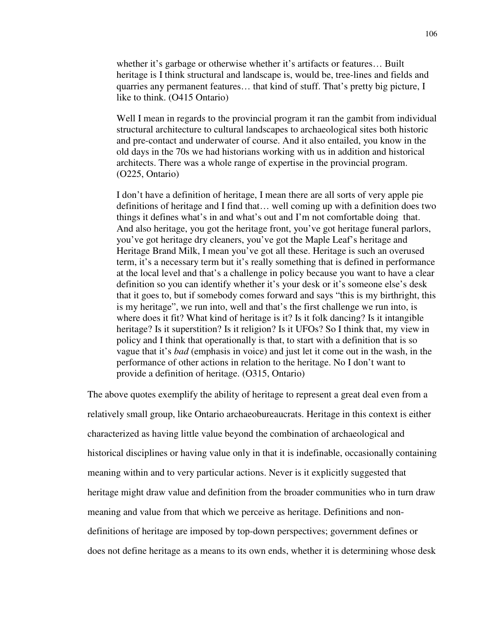whether it's garbage or otherwise whether it's artifacts or features… Built heritage is I think structural and landscape is, would be, tree-lines and fields and quarries any permanent features… that kind of stuff. That's pretty big picture, I like to think. (O415 Ontario)

Well I mean in regards to the provincial program it ran the gambit from individual structural architecture to cultural landscapes to archaeological sites both historic and pre-contact and underwater of course. And it also entailed, you know in the old days in the 70s we had historians working with us in addition and historical architects. There was a whole range of expertise in the provincial program. (O225, Ontario)

I don't have a definition of heritage, I mean there are all sorts of very apple pie definitions of heritage and I find that… well coming up with a definition does two things it defines what's in and what's out and I'm not comfortable doing that. And also heritage, you got the heritage front, you've got heritage funeral parlors, you've got heritage dry cleaners, you've got the Maple Leaf's heritage and Heritage Brand Milk, I mean you've got all these. Heritage is such an overused term, it's a necessary term but it's really something that is defined in performance at the local level and that's a challenge in policy because you want to have a clear definition so you can identify whether it's your desk or it's someone else's desk that it goes to, but if somebody comes forward and says "this is my birthright, this is my heritage", we run into, well and that's the first challenge we run into, is where does it fit? What kind of heritage is it? Is it folk dancing? Is it intangible heritage? Is it superstition? Is it religion? Is it UFOs? So I think that, my view in policy and I think that operationally is that, to start with a definition that is so vague that it's *bad* (emphasis in voice) and just let it come out in the wash, in the performance of other actions in relation to the heritage. No I don't want to provide a definition of heritage. (O315, Ontario)

The above quotes exemplify the ability of heritage to represent a great deal even from a relatively small group, like Ontario archaeobureaucrats. Heritage in this context is either characterized as having little value beyond the combination of archaeological and historical disciplines or having value only in that it is indefinable, occasionally containing meaning within and to very particular actions. Never is it explicitly suggested that heritage might draw value and definition from the broader communities who in turn draw meaning and value from that which we perceive as heritage. Definitions and nondefinitions of heritage are imposed by top-down perspectives; government defines or does not define heritage as a means to its own ends, whether it is determining whose desk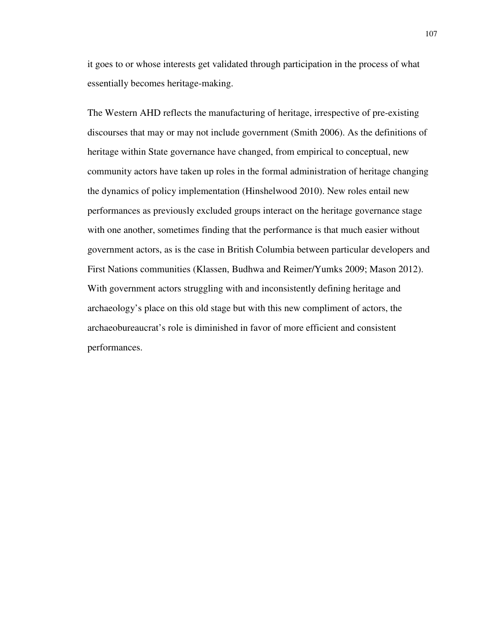it goes to or whose interests get validated through participation in the process of what essentially becomes heritage-making.

The Western AHD reflects the manufacturing of heritage, irrespective of pre-existing discourses that may or may not include government (Smith 2006). As the definitions of heritage within State governance have changed, from empirical to conceptual, new community actors have taken up roles in the formal administration of heritage changing the dynamics of policy implementation (Hinshelwood 2010). New roles entail new performances as previously excluded groups interact on the heritage governance stage with one another, sometimes finding that the performance is that much easier without government actors, as is the case in British Columbia between particular developers and First Nations communities (Klassen, Budhwa and Reimer/Yumks 2009; Mason 2012). With government actors struggling with and inconsistently defining heritage and archaeology's place on this old stage but with this new compliment of actors, the archaeobureaucrat's role is diminished in favor of more efficient and consistent performances.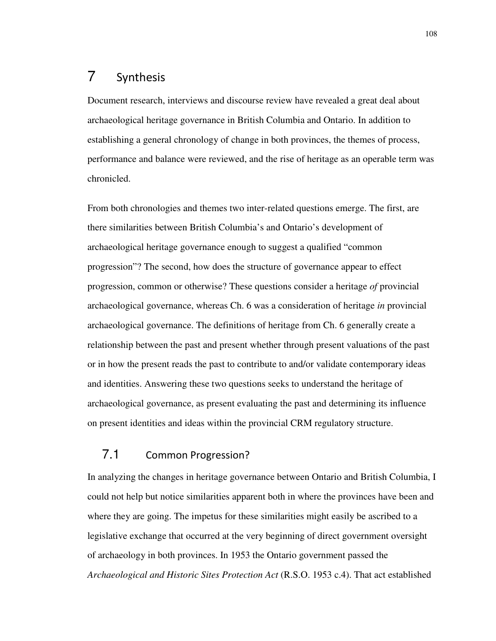# 7 Synthesis

Document research, interviews and discourse review have revealed a great deal about archaeological heritage governance in British Columbia and Ontario. In addition to establishing a general chronology of change in both provinces, the themes of process, performance and balance were reviewed, and the rise of heritage as an operable term was chronicled.

From both chronologies and themes two inter-related questions emerge. The first, are there similarities between British Columbia's and Ontario's development of archaeological heritage governance enough to suggest a qualified "common progression"? The second, how does the structure of governance appear to effect progression, common or otherwise? These questions consider a heritage *of* provincial archaeological governance, whereas Ch. 6 was a consideration of heritage *in* provincial archaeological governance. The definitions of heritage from Ch. 6 generally create a relationship between the past and present whether through present valuations of the past or in how the present reads the past to contribute to and/or validate contemporary ideas and identities. Answering these two questions seeks to understand the heritage of archaeological governance, as present evaluating the past and determining its influence on present identities and ideas within the provincial CRM regulatory structure.

## 7.1 Common Progression?

In analyzing the changes in heritage governance between Ontario and British Columbia, I could not help but notice similarities apparent both in where the provinces have been and where they are going. The impetus for these similarities might easily be ascribed to a legislative exchange that occurred at the very beginning of direct government oversight of archaeology in both provinces. In 1953 the Ontario government passed the *Archaeological and Historic Sites Protection Act* (R.S.O. 1953 c.4). That act established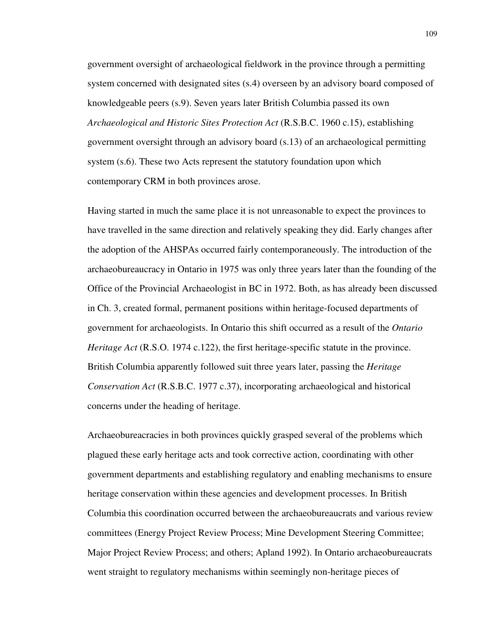government oversight of archaeological fieldwork in the province through a permitting system concerned with designated sites (s.4) overseen by an advisory board composed of knowledgeable peers (s.9). Seven years later British Columbia passed its own *Archaeological and Historic Sites Protection Act* (R.S.B.C. 1960 c.15), establishing government oversight through an advisory board (s.13) of an archaeological permitting system (s.6). These two Acts represent the statutory foundation upon which contemporary CRM in both provinces arose.

Having started in much the same place it is not unreasonable to expect the provinces to have travelled in the same direction and relatively speaking they did. Early changes after the adoption of the AHSPAs occurred fairly contemporaneously. The introduction of the archaeobureaucracy in Ontario in 1975 was only three years later than the founding of the Office of the Provincial Archaeologist in BC in 1972. Both, as has already been discussed in Ch. 3, created formal, permanent positions within heritage-focused departments of government for archaeologists. In Ontario this shift occurred as a result of the *Ontario Heritage Act* (R.S.O. 1974 c.122), the first heritage-specific statute in the province. British Columbia apparently followed suit three years later, passing the *Heritage Conservation Act* (R.S.B.C. 1977 c.37), incorporating archaeological and historical concerns under the heading of heritage.

Archaeobureacracies in both provinces quickly grasped several of the problems which plagued these early heritage acts and took corrective action, coordinating with other government departments and establishing regulatory and enabling mechanisms to ensure heritage conservation within these agencies and development processes. In British Columbia this coordination occurred between the archaeobureaucrats and various review committees (Energy Project Review Process; Mine Development Steering Committee; Major Project Review Process; and others; Apland 1992). In Ontario archaeobureaucrats went straight to regulatory mechanisms within seemingly non-heritage pieces of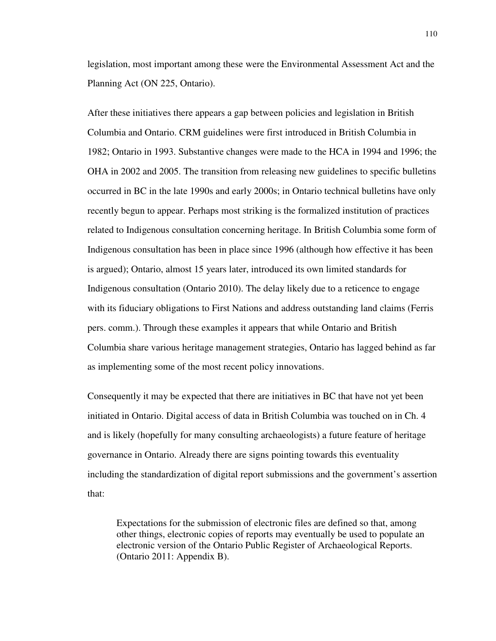legislation, most important among these were the Environmental Assessment Act and the Planning Act (ON 225, Ontario).

After these initiatives there appears a gap between policies and legislation in British Columbia and Ontario. CRM guidelines were first introduced in British Columbia in 1982; Ontario in 1993. Substantive changes were made to the HCA in 1994 and 1996; the OHA in 2002 and 2005. The transition from releasing new guidelines to specific bulletins occurred in BC in the late 1990s and early 2000s; in Ontario technical bulletins have only recently begun to appear. Perhaps most striking is the formalized institution of practices related to Indigenous consultation concerning heritage. In British Columbia some form of Indigenous consultation has been in place since 1996 (although how effective it has been is argued); Ontario, almost 15 years later, introduced its own limited standards for Indigenous consultation (Ontario 2010). The delay likely due to a reticence to engage with its fiduciary obligations to First Nations and address outstanding land claims (Ferris pers. comm.). Through these examples it appears that while Ontario and British Columbia share various heritage management strategies, Ontario has lagged behind as far as implementing some of the most recent policy innovations.

Consequently it may be expected that there are initiatives in BC that have not yet been initiated in Ontario. Digital access of data in British Columbia was touched on in Ch. 4 and is likely (hopefully for many consulting archaeologists) a future feature of heritage governance in Ontario. Already there are signs pointing towards this eventuality including the standardization of digital report submissions and the government's assertion that:

Expectations for the submission of electronic files are defined so that, among other things, electronic copies of reports may eventually be used to populate an electronic version of the Ontario Public Register of Archaeological Reports. (Ontario 2011: Appendix B).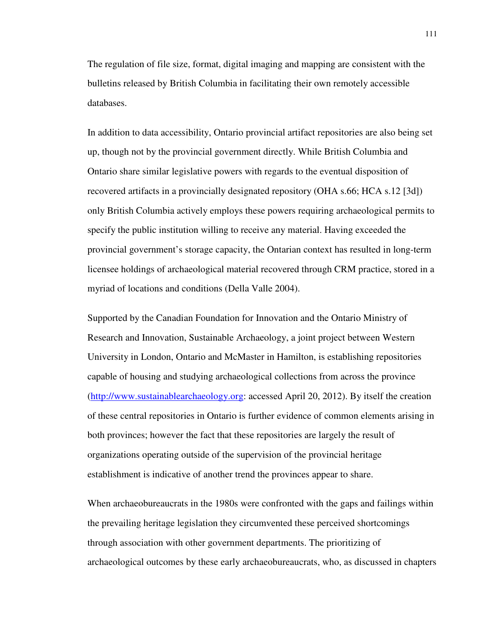The regulation of file size, format, digital imaging and mapping are consistent with the bulletins released by British Columbia in facilitating their own remotely accessible databases.

In addition to data accessibility, Ontario provincial artifact repositories are also being set up, though not by the provincial government directly. While British Columbia and Ontario share similar legislative powers with regards to the eventual disposition of recovered artifacts in a provincially designated repository (OHA s.66; HCA s.12 [3d]) only British Columbia actively employs these powers requiring archaeological permits to specify the public institution willing to receive any material. Having exceeded the provincial government's storage capacity, the Ontarian context has resulted in long-term licensee holdings of archaeological material recovered through CRM practice, stored in a myriad of locations and conditions (Della Valle 2004).

Supported by the Canadian Foundation for Innovation and the Ontario Ministry of Research and Innovation, Sustainable Archaeology, a joint project between Western University in London, Ontario and McMaster in Hamilton, is establishing repositories capable of housing and studying archaeological collections from across the province (http://www.sustainablearchaeology.org: accessed April 20, 2012). By itself the creation of these central repositories in Ontario is further evidence of common elements arising in both provinces; however the fact that these repositories are largely the result of organizations operating outside of the supervision of the provincial heritage establishment is indicative of another trend the provinces appear to share.

When archaeobureaucrats in the 1980s were confronted with the gaps and failings within the prevailing heritage legislation they circumvented these perceived shortcomings through association with other government departments. The prioritizing of archaeological outcomes by these early archaeobureaucrats, who, as discussed in chapters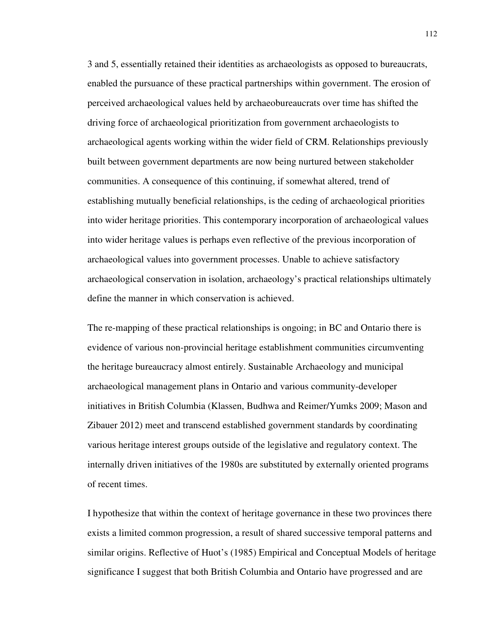3 and 5, essentially retained their identities as archaeologists as opposed to bureaucrats, enabled the pursuance of these practical partnerships within government. The erosion of perceived archaeological values held by archaeobureaucrats over time has shifted the driving force of archaeological prioritization from government archaeologists to archaeological agents working within the wider field of CRM. Relationships previously built between government departments are now being nurtured between stakeholder communities. A consequence of this continuing, if somewhat altered, trend of establishing mutually beneficial relationships, is the ceding of archaeological priorities into wider heritage priorities. This contemporary incorporation of archaeological values into wider heritage values is perhaps even reflective of the previous incorporation of archaeological values into government processes. Unable to achieve satisfactory archaeological conservation in isolation, archaeology's practical relationships ultimately define the manner in which conservation is achieved.

The re-mapping of these practical relationships is ongoing; in BC and Ontario there is evidence of various non-provincial heritage establishment communities circumventing the heritage bureaucracy almost entirely. Sustainable Archaeology and municipal archaeological management plans in Ontario and various community-developer initiatives in British Columbia (Klassen, Budhwa and Reimer/Yumks 2009; Mason and Zibauer 2012) meet and transcend established government standards by coordinating various heritage interest groups outside of the legislative and regulatory context. The internally driven initiatives of the 1980s are substituted by externally oriented programs of recent times.

I hypothesize that within the context of heritage governance in these two provinces there exists a limited common progression, a result of shared successive temporal patterns and similar origins. Reflective of Huot's (1985) Empirical and Conceptual Models of heritage significance I suggest that both British Columbia and Ontario have progressed and are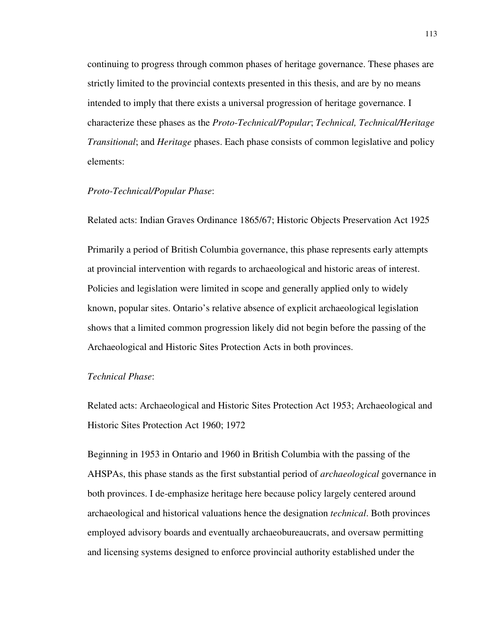continuing to progress through common phases of heritage governance. These phases are strictly limited to the provincial contexts presented in this thesis, and are by no means intended to imply that there exists a universal progression of heritage governance. I characterize these phases as the *Proto-Technical/Popular*; *Technical, Technical/Heritage Transitional*; and *Heritage* phases. Each phase consists of common legislative and policy elements:

### *Proto-Technical/Popular Phase*:

Related acts: Indian Graves Ordinance 1865/67; Historic Objects Preservation Act 1925

Primarily a period of British Columbia governance, this phase represents early attempts at provincial intervention with regards to archaeological and historic areas of interest. Policies and legislation were limited in scope and generally applied only to widely known, popular sites. Ontario's relative absence of explicit archaeological legislation shows that a limited common progression likely did not begin before the passing of the Archaeological and Historic Sites Protection Acts in both provinces.

### *Technical Phase*:

Related acts: Archaeological and Historic Sites Protection Act 1953; Archaeological and Historic Sites Protection Act 1960; 1972

Beginning in 1953 in Ontario and 1960 in British Columbia with the passing of the AHSPAs, this phase stands as the first substantial period of *archaeological* governance in both provinces. I de-emphasize heritage here because policy largely centered around archaeological and historical valuations hence the designation *technical*. Both provinces employed advisory boards and eventually archaeobureaucrats, and oversaw permitting and licensing systems designed to enforce provincial authority established under the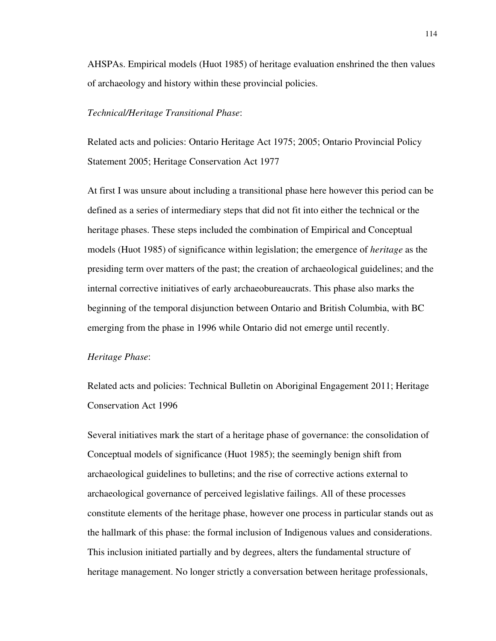AHSPAs. Empirical models (Huot 1985) of heritage evaluation enshrined the then values of archaeology and history within these provincial policies.

#### *Technical/Heritage Transitional Phase*:

Related acts and policies: Ontario Heritage Act 1975; 2005; Ontario Provincial Policy Statement 2005; Heritage Conservation Act 1977

At first I was unsure about including a transitional phase here however this period can be defined as a series of intermediary steps that did not fit into either the technical or the heritage phases. These steps included the combination of Empirical and Conceptual models (Huot 1985) of significance within legislation; the emergence of *heritage* as the presiding term over matters of the past; the creation of archaeological guidelines; and the internal corrective initiatives of early archaeobureaucrats. This phase also marks the beginning of the temporal disjunction between Ontario and British Columbia, with BC emerging from the phase in 1996 while Ontario did not emerge until recently.

#### *Heritage Phase*:

Related acts and policies: Technical Bulletin on Aboriginal Engagement 2011; Heritage Conservation Act 1996

Several initiatives mark the start of a heritage phase of governance: the consolidation of Conceptual models of significance (Huot 1985); the seemingly benign shift from archaeological guidelines to bulletins; and the rise of corrective actions external to archaeological governance of perceived legislative failings. All of these processes constitute elements of the heritage phase, however one process in particular stands out as the hallmark of this phase: the formal inclusion of Indigenous values and considerations. This inclusion initiated partially and by degrees, alters the fundamental structure of heritage management. No longer strictly a conversation between heritage professionals,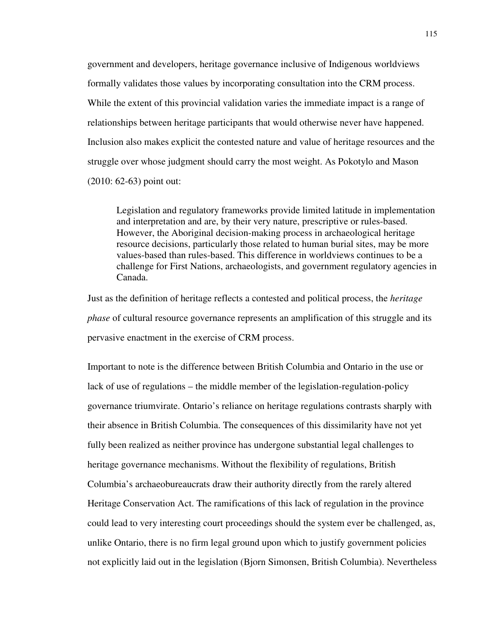government and developers, heritage governance inclusive of Indigenous worldviews formally validates those values by incorporating consultation into the CRM process. While the extent of this provincial validation varies the immediate impact is a range of relationships between heritage participants that would otherwise never have happened. Inclusion also makes explicit the contested nature and value of heritage resources and the struggle over whose judgment should carry the most weight. As Pokotylo and Mason (2010: 62-63) point out:

Legislation and regulatory frameworks provide limited latitude in implementation and interpretation and are, by their very nature, prescriptive or rules-based. However, the Aboriginal decision-making process in archaeological heritage resource decisions, particularly those related to human burial sites, may be more values-based than rules-based. This difference in worldviews continues to be a challenge for First Nations, archaeologists, and government regulatory agencies in Canada.

Just as the definition of heritage reflects a contested and political process, the *heritage phase* of cultural resource governance represents an amplification of this struggle and its pervasive enactment in the exercise of CRM process.

Important to note is the difference between British Columbia and Ontario in the use or lack of use of regulations – the middle member of the legislation-regulation-policy governance triumvirate. Ontario's reliance on heritage regulations contrasts sharply with their absence in British Columbia. The consequences of this dissimilarity have not yet fully been realized as neither province has undergone substantial legal challenges to heritage governance mechanisms. Without the flexibility of regulations, British Columbia's archaeobureaucrats draw their authority directly from the rarely altered Heritage Conservation Act. The ramifications of this lack of regulation in the province could lead to very interesting court proceedings should the system ever be challenged, as, unlike Ontario, there is no firm legal ground upon which to justify government policies not explicitly laid out in the legislation (Bjorn Simonsen, British Columbia). Nevertheless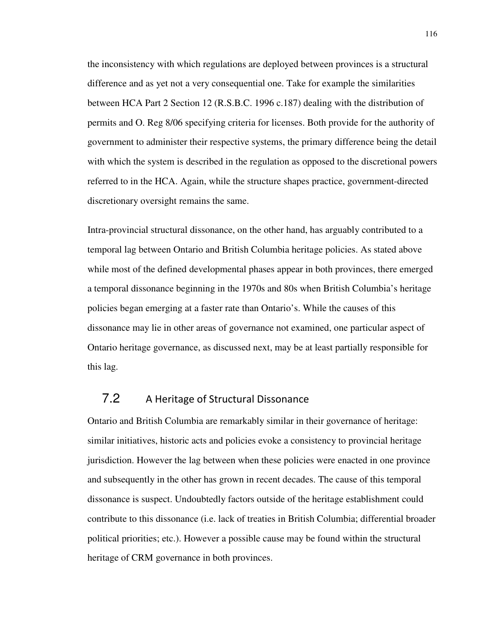the inconsistency with which regulations are deployed between provinces is a structural difference and as yet not a very consequential one. Take for example the similarities between HCA Part 2 Section 12 (R.S.B.C. 1996 c.187) dealing with the distribution of permits and O. Reg 8/06 specifying criteria for licenses. Both provide for the authority of government to administer their respective systems, the primary difference being the detail with which the system is described in the regulation as opposed to the discretional powers referred to in the HCA. Again, while the structure shapes practice, government-directed discretionary oversight remains the same.

Intra-provincial structural dissonance, on the other hand, has arguably contributed to a temporal lag between Ontario and British Columbia heritage policies. As stated above while most of the defined developmental phases appear in both provinces, there emerged a temporal dissonance beginning in the 1970s and 80s when British Columbia's heritage policies began emerging at a faster rate than Ontario's. While the causes of this dissonance may lie in other areas of governance not examined, one particular aspect of Ontario heritage governance, as discussed next, may be at least partially responsible for this lag.

# 7.2 A Heritage of Structural Dissonance

Ontario and British Columbia are remarkably similar in their governance of heritage: similar initiatives, historic acts and policies evoke a consistency to provincial heritage jurisdiction. However the lag between when these policies were enacted in one province and subsequently in the other has grown in recent decades. The cause of this temporal dissonance is suspect. Undoubtedly factors outside of the heritage establishment could contribute to this dissonance (i.e. lack of treaties in British Columbia; differential broader political priorities; etc.). However a possible cause may be found within the structural heritage of CRM governance in both provinces.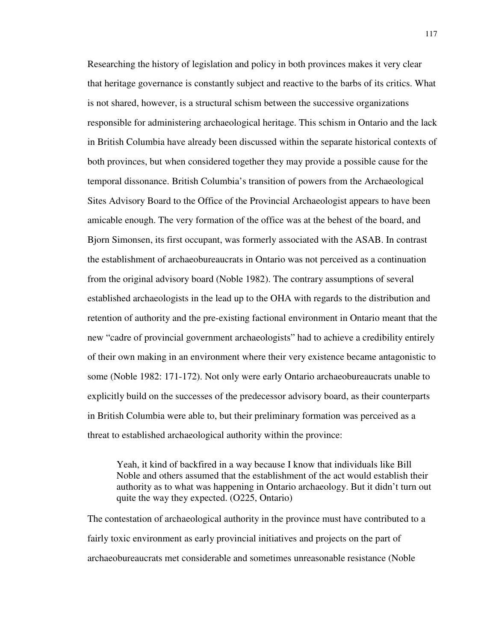Researching the history of legislation and policy in both provinces makes it very clear that heritage governance is constantly subject and reactive to the barbs of its critics. What is not shared, however, is a structural schism between the successive organizations responsible for administering archaeological heritage. This schism in Ontario and the lack in British Columbia have already been discussed within the separate historical contexts of both provinces, but when considered together they may provide a possible cause for the temporal dissonance. British Columbia's transition of powers from the Archaeological Sites Advisory Board to the Office of the Provincial Archaeologist appears to have been amicable enough. The very formation of the office was at the behest of the board, and Bjorn Simonsen, its first occupant, was formerly associated with the ASAB. In contrast the establishment of archaeobureaucrats in Ontario was not perceived as a continuation from the original advisory board (Noble 1982). The contrary assumptions of several established archaeologists in the lead up to the OHA with regards to the distribution and retention of authority and the pre-existing factional environment in Ontario meant that the new "cadre of provincial government archaeologists" had to achieve a credibility entirely of their own making in an environment where their very existence became antagonistic to some (Noble 1982: 171-172). Not only were early Ontario archaeobureaucrats unable to explicitly build on the successes of the predecessor advisory board, as their counterparts in British Columbia were able to, but their preliminary formation was perceived as a threat to established archaeological authority within the province:

Yeah, it kind of backfired in a way because I know that individuals like Bill Noble and others assumed that the establishment of the act would establish their authority as to what was happening in Ontario archaeology. But it didn't turn out quite the way they expected. (O225, Ontario)

The contestation of archaeological authority in the province must have contributed to a fairly toxic environment as early provincial initiatives and projects on the part of archaeobureaucrats met considerable and sometimes unreasonable resistance (Noble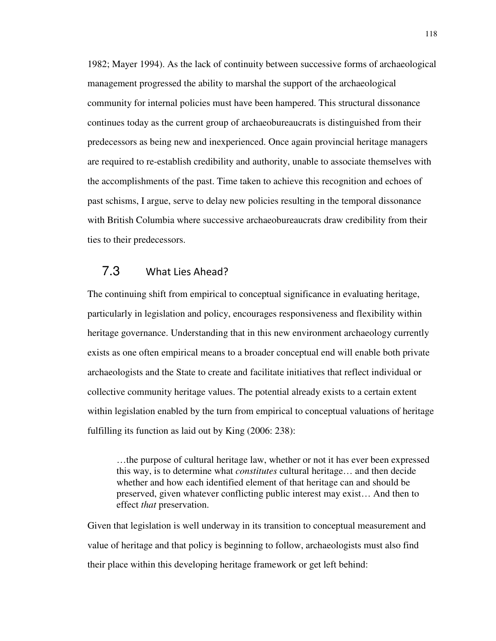1982; Mayer 1994). As the lack of continuity between successive forms of archaeological management progressed the ability to marshal the support of the archaeological community for internal policies must have been hampered. This structural dissonance continues today as the current group of archaeobureaucrats is distinguished from their predecessors as being new and inexperienced. Once again provincial heritage managers are required to re-establish credibility and authority, unable to associate themselves with the accomplishments of the past. Time taken to achieve this recognition and echoes of past schisms, I argue, serve to delay new policies resulting in the temporal dissonance with British Columbia where successive archaeobureaucrats draw credibility from their ties to their predecessors.

## 7.3 What Lies Ahead?

The continuing shift from empirical to conceptual significance in evaluating heritage, particularly in legislation and policy, encourages responsiveness and flexibility within heritage governance. Understanding that in this new environment archaeology currently exists as one often empirical means to a broader conceptual end will enable both private archaeologists and the State to create and facilitate initiatives that reflect individual or collective community heritage values. The potential already exists to a certain extent within legislation enabled by the turn from empirical to conceptual valuations of heritage fulfilling its function as laid out by King (2006: 238):

…the purpose of cultural heritage law, whether or not it has ever been expressed this way, is to determine what *constitutes* cultural heritage… and then decide whether and how each identified element of that heritage can and should be preserved, given whatever conflicting public interest may exist… And then to effect *that* preservation.

Given that legislation is well underway in its transition to conceptual measurement and value of heritage and that policy is beginning to follow, archaeologists must also find their place within this developing heritage framework or get left behind: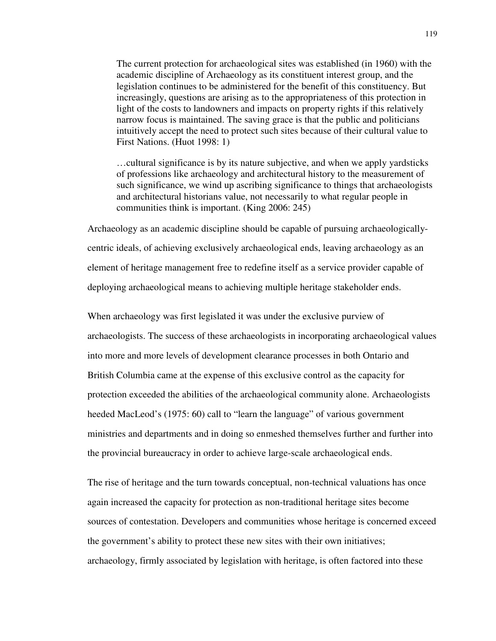The current protection for archaeological sites was established (in 1960) with the academic discipline of Archaeology as its constituent interest group, and the legislation continues to be administered for the benefit of this constituency. But increasingly, questions are arising as to the appropriateness of this protection in light of the costs to landowners and impacts on property rights if this relatively narrow focus is maintained. The saving grace is that the public and politicians intuitively accept the need to protect such sites because of their cultural value to First Nations. (Huot 1998: 1)

…cultural significance is by its nature subjective, and when we apply yardsticks of professions like archaeology and architectural history to the measurement of such significance, we wind up ascribing significance to things that archaeologists and architectural historians value, not necessarily to what regular people in communities think is important. (King 2006: 245)

Archaeology as an academic discipline should be capable of pursuing archaeologicallycentric ideals, of achieving exclusively archaeological ends, leaving archaeology as an element of heritage management free to redefine itself as a service provider capable of deploying archaeological means to achieving multiple heritage stakeholder ends.

When archaeology was first legislated it was under the exclusive purview of archaeologists. The success of these archaeologists in incorporating archaeological values into more and more levels of development clearance processes in both Ontario and British Columbia came at the expense of this exclusive control as the capacity for protection exceeded the abilities of the archaeological community alone. Archaeologists heeded MacLeod's (1975: 60) call to "learn the language" of various government ministries and departments and in doing so enmeshed themselves further and further into the provincial bureaucracy in order to achieve large-scale archaeological ends.

The rise of heritage and the turn towards conceptual, non-technical valuations has once again increased the capacity for protection as non-traditional heritage sites become sources of contestation. Developers and communities whose heritage is concerned exceed the government's ability to protect these new sites with their own initiatives; archaeology, firmly associated by legislation with heritage, is often factored into these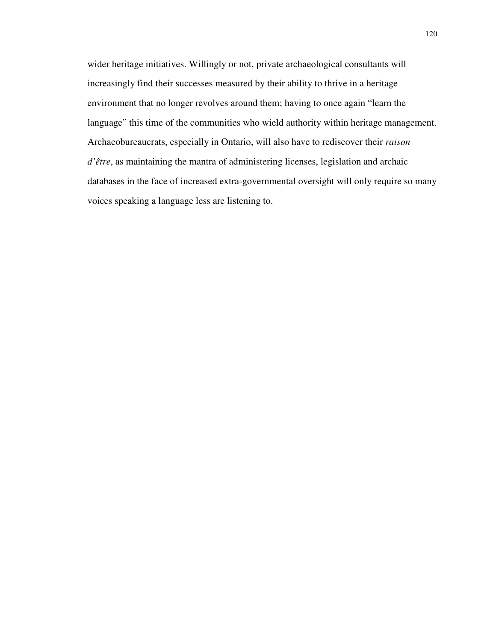wider heritage initiatives. Willingly or not, private archaeological consultants will increasingly find their successes measured by their ability to thrive in a heritage environment that no longer revolves around them; having to once again "learn the language" this time of the communities who wield authority within heritage management. Archaeobureaucrats, especially in Ontario, will also have to rediscover their *raison d'être*, as maintaining the mantra of administering licenses, legislation and archaic databases in the face of increased extra-governmental oversight will only require so many voices speaking a language less are listening to.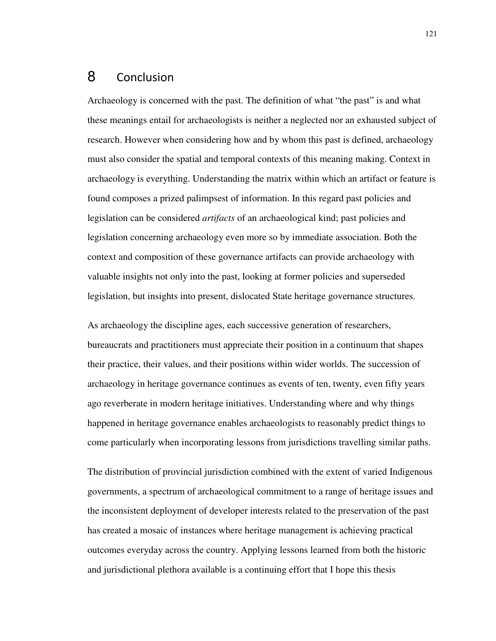# 8 Conclusion

Archaeology is concerned with the past. The definition of what "the past" is and what these meanings entail for archaeologists is neither a neglected nor an exhausted subject of research. However when considering how and by whom this past is defined, archaeology must also consider the spatial and temporal contexts of this meaning making. Context in archaeology is everything. Understanding the matrix within which an artifact or feature is found composes a prized palimpsest of information. In this regard past policies and legislation can be considered *artifacts* of an archaeological kind; past policies and legislation concerning archaeology even more so by immediate association. Both the context and composition of these governance artifacts can provide archaeology with valuable insights not only into the past, looking at former policies and superseded legislation, but insights into present, dislocated State heritage governance structures.

As archaeology the discipline ages, each successive generation of researchers, bureaucrats and practitioners must appreciate their position in a continuum that shapes their practice, their values, and their positions within wider worlds. The succession of archaeology in heritage governance continues as events of ten, twenty, even fifty years ago reverberate in modern heritage initiatives. Understanding where and why things happened in heritage governance enables archaeologists to reasonably predict things to come particularly when incorporating lessons from jurisdictions travelling similar paths.

The distribution of provincial jurisdiction combined with the extent of varied Indigenous governments, a spectrum of archaeological commitment to a range of heritage issues and the inconsistent deployment of developer interests related to the preservation of the past has created a mosaic of instances where heritage management is achieving practical outcomes everyday across the country. Applying lessons learned from both the historic and jurisdictional plethora available is a continuing effort that I hope this thesis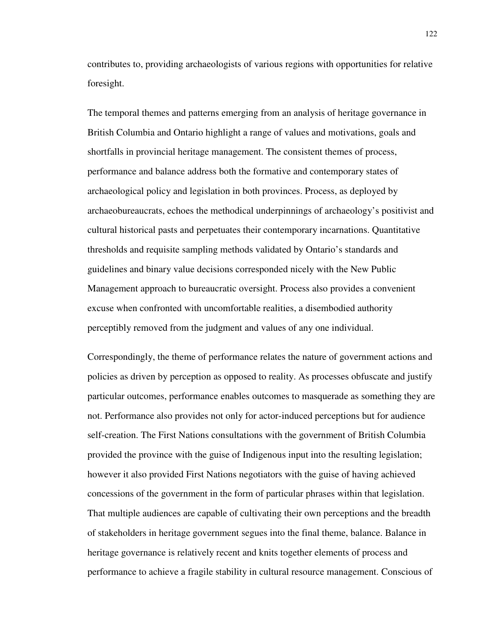contributes to, providing archaeologists of various regions with opportunities for relative foresight.

The temporal themes and patterns emerging from an analysis of heritage governance in British Columbia and Ontario highlight a range of values and motivations, goals and shortfalls in provincial heritage management. The consistent themes of process, performance and balance address both the formative and contemporary states of archaeological policy and legislation in both provinces. Process, as deployed by archaeobureaucrats, echoes the methodical underpinnings of archaeology's positivist and cultural historical pasts and perpetuates their contemporary incarnations. Quantitative thresholds and requisite sampling methods validated by Ontario's standards and guidelines and binary value decisions corresponded nicely with the New Public Management approach to bureaucratic oversight. Process also provides a convenient excuse when confronted with uncomfortable realities, a disembodied authority perceptibly removed from the judgment and values of any one individual.

Correspondingly, the theme of performance relates the nature of government actions and policies as driven by perception as opposed to reality. As processes obfuscate and justify particular outcomes, performance enables outcomes to masquerade as something they are not. Performance also provides not only for actor-induced perceptions but for audience self-creation. The First Nations consultations with the government of British Columbia provided the province with the guise of Indigenous input into the resulting legislation; however it also provided First Nations negotiators with the guise of having achieved concessions of the government in the form of particular phrases within that legislation. That multiple audiences are capable of cultivating their own perceptions and the breadth of stakeholders in heritage government segues into the final theme, balance. Balance in heritage governance is relatively recent and knits together elements of process and performance to achieve a fragile stability in cultural resource management. Conscious of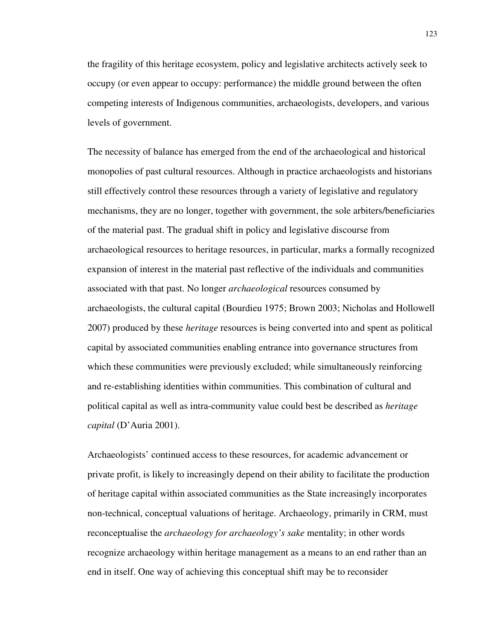the fragility of this heritage ecosystem, policy and legislative architects actively seek to occupy (or even appear to occupy: performance) the middle ground between the often competing interests of Indigenous communities, archaeologists, developers, and various levels of government.

The necessity of balance has emerged from the end of the archaeological and historical monopolies of past cultural resources. Although in practice archaeologists and historians still effectively control these resources through a variety of legislative and regulatory mechanisms, they are no longer, together with government, the sole arbiters/beneficiaries of the material past. The gradual shift in policy and legislative discourse from archaeological resources to heritage resources, in particular, marks a formally recognized expansion of interest in the material past reflective of the individuals and communities associated with that past. No longer *archaeological* resources consumed by archaeologists, the cultural capital (Bourdieu 1975; Brown 2003; Nicholas and Hollowell 2007) produced by these *heritage* resources is being converted into and spent as political capital by associated communities enabling entrance into governance structures from which these communities were previously excluded; while simultaneously reinforcing and re-establishing identities within communities. This combination of cultural and political capital as well as intra-community value could best be described as *heritage capital* (D'Auria 2001).

Archaeologists' continued access to these resources, for academic advancement or private profit, is likely to increasingly depend on their ability to facilitate the production of heritage capital within associated communities as the State increasingly incorporates non-technical, conceptual valuations of heritage. Archaeology, primarily in CRM, must reconceptualise the *archaeology for archaeology's sake* mentality; in other words recognize archaeology within heritage management as a means to an end rather than an end in itself. One way of achieving this conceptual shift may be to reconsider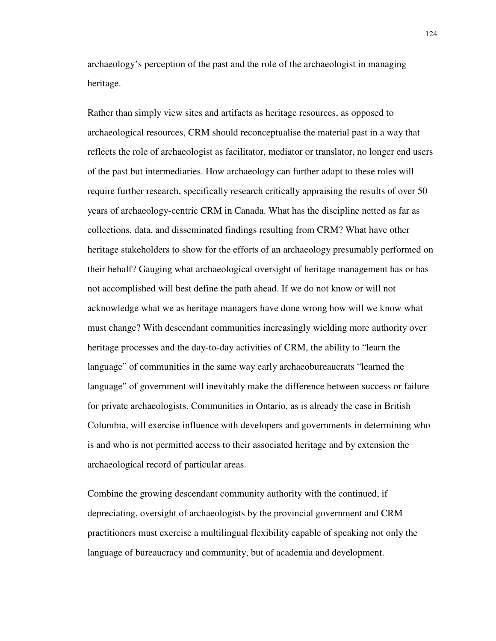archaeology's perception of the past and the role of the archaeologist in managing heritage.

Rather than simply view sites and artifacts as heritage resources, as opposed to archaeological resources, CRM should reconceptualise the material past in a way that reflects the role of archaeologist as facilitator, mediator or translator, no longer end users of the past but intermediaries. How archaeology can further adapt to these roles will require further research, specifically research critically appraising the results of over 50 years of archaeology-centric CRM in Canada. What has the discipline netted as far as collections, data, and disseminated findings resulting from CRM? What have other heritage stakeholders to show for the efforts of an archaeology presumably performed on their behalf? Gauging what archaeological oversight of heritage management has or has not accomplished will best define the path ahead. If we do not know or will not acknowledge what we as heritage managers have done wrong how will we know what must change? With descendant communities increasingly wielding more authority over heritage processes and the day-to-day activities of CRM, the ability to "learn the language" of communities in the same way early archaeobureaucrats "learned the language" of government will inevitably make the difference between success or failure for private archaeologists. Communities in Ontario, as is already the case in British Columbia, will exercise influence with developers and governments in determining who is and who is not permitted access to their associated heritage and by extension the archaeological record of particular areas.

Combine the growing descendant community authority with the continued, if depreciating, oversight of archaeologists by the provincial government and CRM practitioners must exercise a multilingual flexibility capable of speaking not only the language of bureaucracy and community, but of academia and development.

124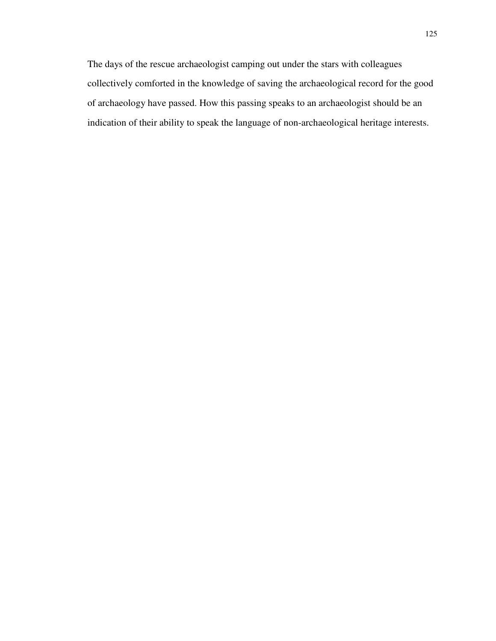The days of the rescue archaeologist camping out under the stars with colleagues collectively comforted in the knowledge of saving the archaeological record for the good of archaeology have passed. How this passing speaks to an archaeologist should be an indication of their ability to speak the language of non-archaeological heritage interests.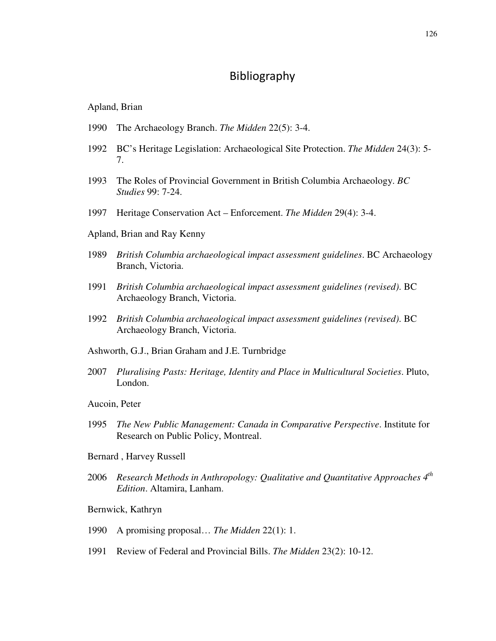# Bibliography

Apland, Brian

- 1990 The Archaeology Branch. *The Midden* 22(5): 3-4.
- 1992 BC's Heritage Legislation: Archaeological Site Protection. *The Midden* 24(3): 5- 7.
- 1993 The Roles of Provincial Government in British Columbia Archaeology. *BC Studies* 99: 7-24.
- 1997 Heritage Conservation Act Enforcement. *The Midden* 29(4): 3-4.
- Apland, Brian and Ray Kenny
- 1989 *British Columbia archaeological impact assessment guidelines*. BC Archaeology Branch, Victoria.
- 1991 *British Columbia archaeological impact assessment guidelines (revised)*. BC Archaeology Branch, Victoria.
- 1992 *British Columbia archaeological impact assessment guidelines (revised)*. BC Archaeology Branch, Victoria.
- Ashworth, G.J., Brian Graham and J.E. Turnbridge
- 2007 *Pluralising Pasts: Heritage, Identity and Place in Multicultural Societies*. Pluto, London.
- Aucoin, Peter
- 1995 *The New Public Management: Canada in Comparative Perspective*. Institute for Research on Public Policy, Montreal.
- Bernard , Harvey Russell
- 2006 *Research Methods in Anthropology: Qualitative and Quantitative Approaches 4th Edition*. Altamira, Lanham.
- Bernwick, Kathryn
- 1990 A promising proposal… *The Midden* 22(1): 1.
- 1991 Review of Federal and Provincial Bills. *The Midden* 23(2): 10-12.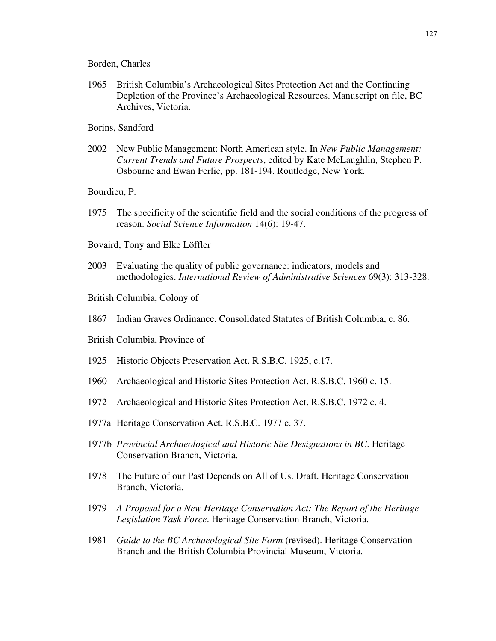#### Borden, Charles

- 1965 British Columbia's Archaeological Sites Protection Act and the Continuing Depletion of the Province's Archaeological Resources. Manuscript on file, BC Archives, Victoria.
- Borins, Sandford
- 2002 New Public Management: North American style. In *New Public Management: Current Trends and Future Prospects*, edited by Kate McLaughlin, Stephen P. Osbourne and Ewan Ferlie, pp. 181-194. Routledge, New York.
- Bourdieu, P.
- 1975 The specificity of the scientific field and the social conditions of the progress of reason. *Social Science Information* 14(6): 19-47.
- Bovaird, Tony and Elke Löffler
- 2003 Evaluating the quality of public governance: indicators, models and methodologies. *International Review of Administrative Sciences* 69(3): 313-328.
- British Columbia, Colony of
- 1867 Indian Graves Ordinance. Consolidated Statutes of British Columbia, c. 86.
- British Columbia, Province of
- 1925 Historic Objects Preservation Act. R.S.B.C. 1925, c.17.
- 1960 Archaeological and Historic Sites Protection Act. R.S.B.C. 1960 c. 15.
- 1972 Archaeological and Historic Sites Protection Act. R.S.B.C. 1972 c. 4.
- 1977a Heritage Conservation Act. R.S.B.C. 1977 c. 37.
- 1977b *Provincial Archaeological and Historic Site Designations in BC*. Heritage Conservation Branch, Victoria.
- 1978 The Future of our Past Depends on All of Us. Draft. Heritage Conservation Branch, Victoria.
- 1979 *A Proposal for a New Heritage Conservation Act: The Report of the Heritage Legislation Task Force*. Heritage Conservation Branch, Victoria.
- 1981 *Guide to the BC Archaeological Site Form* (revised). Heritage Conservation Branch and the British Columbia Provincial Museum, Victoria.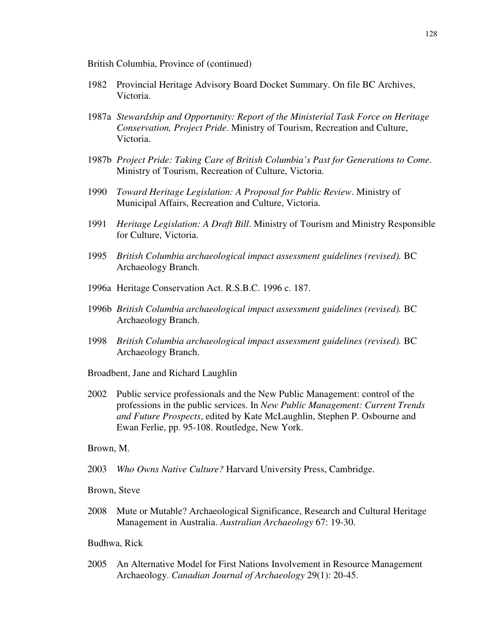British Columbia, Province of (continued)

- 1982 Provincial Heritage Advisory Board Docket Summary. On file BC Archives, Victoria.
- 1987a *Stewardship and Opportunity: Report of the Ministerial Task Force on Heritage Conservation, Project Pride*. Ministry of Tourism, Recreation and Culture, Victoria.
- 1987b *Project Pride: Taking Care of British Columbia's Past for Generations to Come*. Ministry of Tourism, Recreation of Culture, Victoria.
- 1990 *Toward Heritage Legislation: A Proposal for Public Review*. Ministry of Municipal Affairs, Recreation and Culture, Victoria.
- 1991 *Heritage Legislation: A Draft Bill*. Ministry of Tourism and Ministry Responsible for Culture, Victoria.
- 1995 *British Columbia archaeological impact assessment guidelines (revised).* BC Archaeology Branch.
- 1996a Heritage Conservation Act. R.S.B.C. 1996 c. 187.
- 1996b *British Columbia archaeological impact assessment guidelines (revised).* BC Archaeology Branch.
- 1998 *British Columbia archaeological impact assessment guidelines (revised).* BC Archaeology Branch.

Broadbent, Jane and Richard Laughlin

2002 Public service professionals and the New Public Management: control of the professions in the public services. In *New Public Management: Current Trends and Future Prospects*, edited by Kate McLaughlin, Stephen P. Osbourne and Ewan Ferlie, pp. 95-108. Routledge, New York.

### Brown, M.

- 2003 *Who Owns Native Culture?* Harvard University Press, Cambridge.
- Brown, Steve
- 2008 Mute or Mutable? Archaeological Significance, Research and Cultural Heritage Management in Australia. *Australian Archaeology* 67: 19-30.

### Budhwa, Rick

2005 An Alternative Model for First Nations Involvement in Resource Management Archaeology. *Canadian Journal of Archaeology* 29(1): 20-45.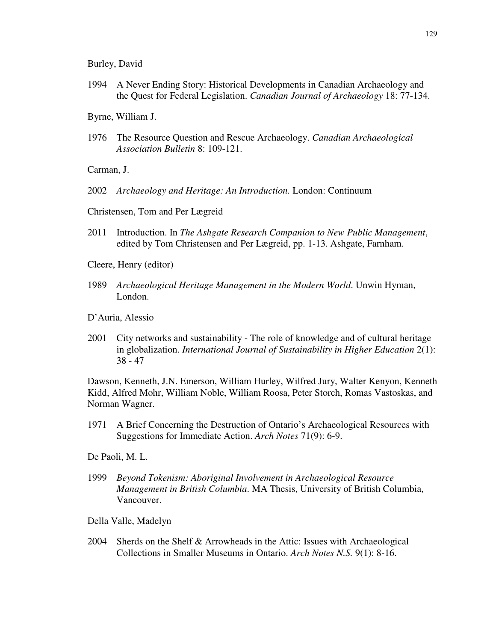Burley, David

1994 A Never Ending Story: Historical Developments in Canadian Archaeology and the Quest for Federal Legislation. *Canadian Journal of Archaeology* 18: 77-134.

Byrne, William J.

1976 The Resource Question and Rescue Archaeology. *Canadian Archaeological Association Bulletin* 8: 109-121.

Carman, J.

- 2002 *Archaeology and Heritage: An Introduction.* London: Continuum
- Christensen, Tom and Per Lægreid
- 2011 Introduction. In *The Ashgate Research Companion to New Public Management*, edited by Tom Christensen and Per Lægreid, pp. 1-13. Ashgate, Farnham.
- Cleere, Henry (editor)
- 1989 *Archaeological Heritage Management in the Modern World*. Unwin Hyman, London.
- D'Auria, Alessio
- 2001 City networks and sustainability The role of knowledge and of cultural heritage in globalization. *International Journal of Sustainability in Higher Education* 2(1): 38 - 47

Dawson, Kenneth, J.N. Emerson, William Hurley, Wilfred Jury, Walter Kenyon, Kenneth Kidd, Alfred Mohr, William Noble, William Roosa, Peter Storch, Romas Vastoskas, and Norman Wagner.

1971 A Brief Concerning the Destruction of Ontario's Archaeological Resources with Suggestions for Immediate Action. *Arch Notes* 71(9): 6-9.

De Paoli, M. L.

1999 *Beyond Tokenism: Aboriginal Involvement in Archaeological Resource Management in British Columbia*. MA Thesis, University of British Columbia, Vancouver.

Della Valle, Madelyn

2004 Sherds on the Shelf & Arrowheads in the Attic: Issues with Archaeological Collections in Smaller Museums in Ontario. *Arch Notes N.S.* 9(1): 8-16.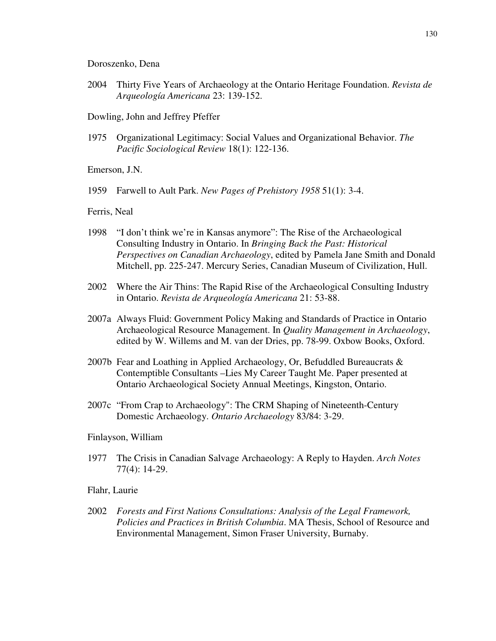#### Doroszenko, Dena

2004 Thirty Five Years of Archaeology at the Ontario Heritage Foundation. *Revista de Arqueología Americana* 23: 139-152.

Dowling, John and Jeffrey Pfeffer

1975 Organizational Legitimacy: Social Values and Organizational Behavior. *The Pacific Sociological Review* 18(1): 122-136.

Emerson, J.N.

1959 Farwell to Ault Park. *New Pages of Prehistory 1958* 51(1): 3-4.

#### Ferris, Neal

- 1998 "I don't think we're in Kansas anymore": The Rise of the Archaeological Consulting Industry in Ontario. In *Bringing Back the Past: Historical Perspectives on Canadian Archaeology*, edited by Pamela Jane Smith and Donald Mitchell, pp. 225-247. Mercury Series, Canadian Museum of Civilization, Hull.
- 2002 Where the Air Thins: The Rapid Rise of the Archaeological Consulting Industry in Ontario. *Revista de Arqueología Americana* 21: 53-88.
- 2007a Always Fluid: Government Policy Making and Standards of Practice in Ontario Archaeological Resource Management. In *Quality Management in Archaeology*, edited by W. Willems and M. van der Dries, pp. 78-99. Oxbow Books, Oxford.
- 2007b Fear and Loathing in Applied Archaeology, Or, Befuddled Bureaucrats  $\&$ Contemptible Consultants –Lies My Career Taught Me. Paper presented at Ontario Archaeological Society Annual Meetings, Kingston, Ontario.
- 2007c "From Crap to Archaeology": The CRM Shaping of Nineteenth-Century Domestic Archaeology. *Ontario Archaeology* 83/84: 3-29.

### Finlayson, William

1977 The Crisis in Canadian Salvage Archaeology: A Reply to Hayden. *Arch Notes* 77(4): 14-29.

### Flahr, Laurie

2002 *Forests and First Nations Consultations: Analysis of the Legal Framework, Policies and Practices in British Columbia*. MA Thesis, School of Resource and Environmental Management, Simon Fraser University, Burnaby.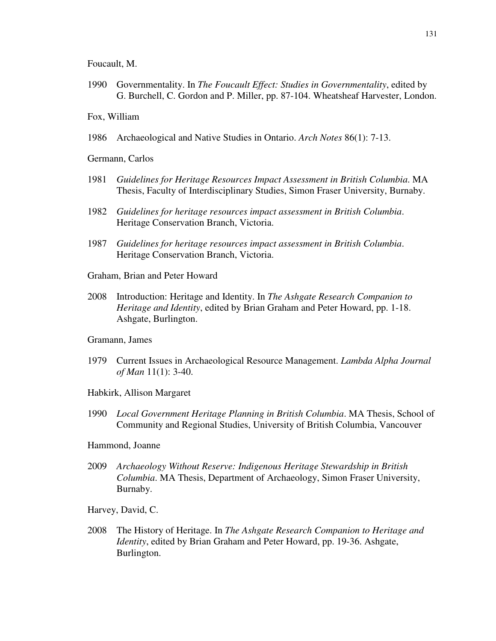Foucault, M.

1990 Governmentality. In *The Foucault Effect: Studies in Governmentality*, edited by G. Burchell, C. Gordon and P. Miller, pp. 87-104. Wheatsheaf Harvester, London.

### Fox, William

1986 Archaeological and Native Studies in Ontario. *Arch Notes* 86(1): 7-13.

Germann, Carlos

- 1981 *Guidelines for Heritage Resources Impact Assessment in British Columbia*. MA Thesis, Faculty of Interdisciplinary Studies, Simon Fraser University, Burnaby.
- 1982 *Guidelines for heritage resources impact assessment in British Columbia*. Heritage Conservation Branch, Victoria.
- 1987 *Guidelines for heritage resources impact assessment in British Columbia*. Heritage Conservation Branch, Victoria.
- Graham, Brian and Peter Howard
- 2008 Introduction: Heritage and Identity. In *The Ashgate Research Companion to Heritage and Identity*, edited by Brian Graham and Peter Howard, pp. 1-18. Ashgate, Burlington.

#### Gramann, James

- 1979 Current Issues in Archaeological Resource Management. *Lambda Alpha Journal of Man* 11(1): 3-40.
- Habkirk, Allison Margaret
- 1990 *Local Government Heritage Planning in British Columbia*. MA Thesis, School of Community and Regional Studies, University of British Columbia, Vancouver
- Hammond, Joanne
- 2009 *Archaeology Without Reserve: Indigenous Heritage Stewardship in British Columbia*. MA Thesis, Department of Archaeology, Simon Fraser University, Burnaby.

Harvey, David, C.

2008 The History of Heritage. In *The Ashgate Research Companion to Heritage and Identity*, edited by Brian Graham and Peter Howard, pp. 19-36. Ashgate, Burlington.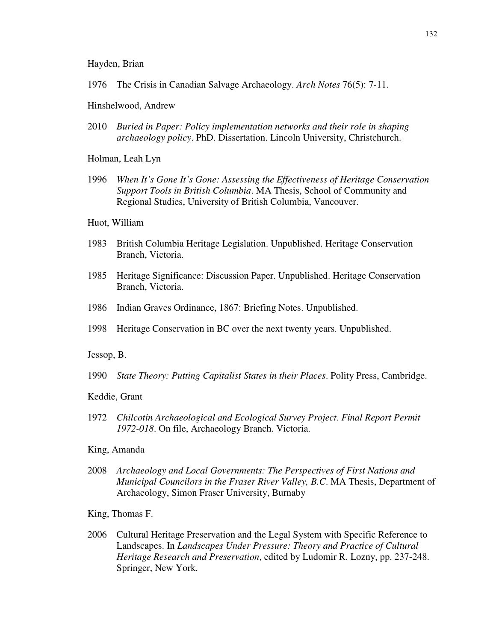Hayden, Brian

1976 The Crisis in Canadian Salvage Archaeology. *Arch Notes* 76(5): 7-11.

Hinshelwood, Andrew

2010 *Buried in Paper: Policy implementation networks and their role in shaping archaeology policy*. PhD. Dissertation. Lincoln University, Christchurch.

Holman, Leah Lyn

1996 *When It's Gone It's Gone: Assessing the Effectiveness of Heritage Conservation Support Tools in British Columbia*. MA Thesis, School of Community and Regional Studies, University of British Columbia, Vancouver.

Huot, William

- 1983 British Columbia Heritage Legislation. Unpublished. Heritage Conservation Branch, Victoria.
- 1985 Heritage Significance: Discussion Paper. Unpublished. Heritage Conservation Branch, Victoria.
- 1986 Indian Graves Ordinance, 1867: Briefing Notes. Unpublished.
- 1998 Heritage Conservation in BC over the next twenty years. Unpublished.

Jessop, B.

1990 *State Theory: Putting Capitalist States in their Places*. Polity Press, Cambridge.

Keddie, Grant

- 1972 *Chilcotin Archaeological and Ecological Survey Project. Final Report Permit 1972-018*. On file, Archaeology Branch. Victoria.
- King, Amanda
- 2008 *Archaeology and Local Governments: The Perspectives of First Nations and Municipal Councilors in the Fraser River Valley, B.C*. MA Thesis, Department of Archaeology, Simon Fraser University, Burnaby

King, Thomas F.

2006 Cultural Heritage Preservation and the Legal System with Specific Reference to Landscapes. In *Landscapes Under Pressure: Theory and Practice of Cultural Heritage Research and Preservation*, edited by Ludomir R. Lozny, pp. 237-248. Springer, New York.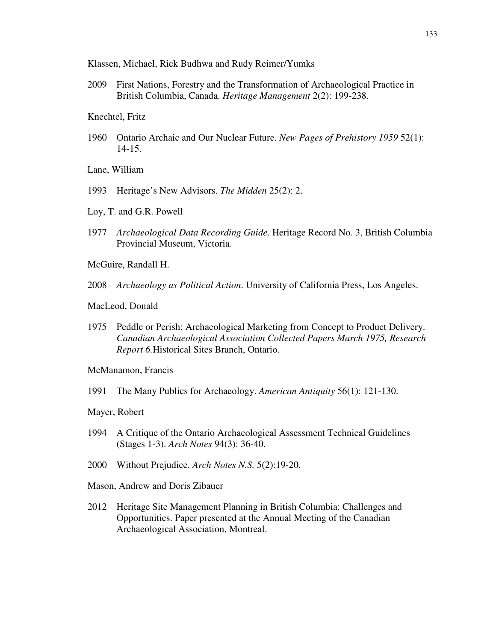Klassen, Michael, Rick Budhwa and Rudy Reimer/Yumks

- 2009 First Nations, Forestry and the Transformation of Archaeological Practice in British Columbia, Canada. *Heritage Management* 2(2): 199-238.
- Knechtel, Fritz
- 1960 Ontario Archaic and Our Nuclear Future. *New Pages of Prehistory 1959* 52(1): 14-15.

Lane, William

- 1993 Heritage's New Advisors. *The Midden* 25(2): 2.
- Loy, T. and G.R. Powell
- 1977 *Archaeological Data Recording Guide*. Heritage Record No. 3, British Columbia Provincial Museum, Victoria.
- McGuire, Randall H.
- 2008 *Archaeology as Political Action*. University of California Press, Los Angeles.
- MacLeod, Donald
- 1975 Peddle or Perish: Archaeological Marketing from Concept to Product Delivery. *Canadian Archaeological Association Collected Papers March 1975, Research Report 6.*Historical Sites Branch, Ontario.

McManamon, Francis

1991 The Many Publics for Archaeology. *American Antiquity* 56(1): 121-130.

Mayer, Robert

- 1994 A Critique of the Ontario Archaeological Assessment Technical Guidelines (Stages 1-3). *Arch Notes* 94(3): 36-40.
- 2000 Without Prejudice. *Arch Notes N.S.* 5(2):19-20.
- Mason, Andrew and Doris Zibauer
- 2012 Heritage Site Management Planning in British Columbia: Challenges and Opportunities. Paper presented at the Annual Meeting of the Canadian Archaeological Association, Montreal.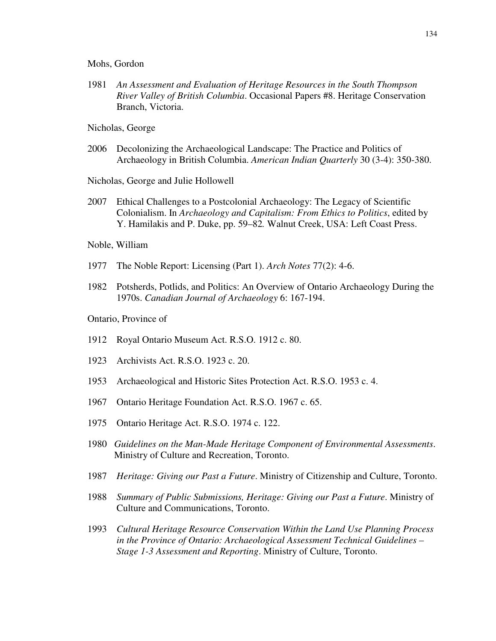Mohs, Gordon

- 1981 *An Assessment and Evaluation of Heritage Resources in the South Thompson River Valley of British Columbia*. Occasional Papers #8. Heritage Conservation Branch, Victoria.
- Nicholas, George
- 2006 Decolonizing the Archaeological Landscape: The Practice and Politics of Archaeology in British Columbia. *American Indian Quarterly* 30 (3-4): 350-380.
- Nicholas, George and Julie Hollowell
- 2007 Ethical Challenges to a Postcolonial Archaeology: The Legacy of Scientific Colonialism. In *Archaeology and Capitalism: From Ethics to Politics*, edited by Y. Hamilakis and P. Duke, pp. 59–82*.* Walnut Creek, USA: Left Coast Press.
- Noble, William
- 1977 The Noble Report: Licensing (Part 1). *Arch Notes* 77(2): 4-6.
- 1982 Potsherds, Potlids, and Politics: An Overview of Ontario Archaeology During the 1970s. *Canadian Journal of Archaeology* 6: 167-194.
- Ontario, Province of
- 1912 Royal Ontario Museum Act. R.S.O. 1912 c. 80.
- 1923 Archivists Act. R.S.O. 1923 c. 20.
- 1953 Archaeological and Historic Sites Protection Act. R.S.O. 1953 c. 4.
- 1967 Ontario Heritage Foundation Act. R.S.O. 1967 c. 65.
- 1975 Ontario Heritage Act. R.S.O. 1974 c. 122.
- 1980 *Guidelines on the Man-Made Heritage Component of Environmental Assessments*. Ministry of Culture and Recreation, Toronto.
- 1987 *Heritage: Giving our Past a Future*. Ministry of Citizenship and Culture, Toronto.
- 1988 *Summary of Public Submissions, Heritage: Giving our Past a Future*. Ministry of Culture and Communications, Toronto.
- 1993 *Cultural Heritage Resource Conservation Within the Land Use Planning Process in the Province of Ontario: Archaeological Assessment Technical Guidelines – Stage 1-3 Assessment and Reporting*. Ministry of Culture, Toronto.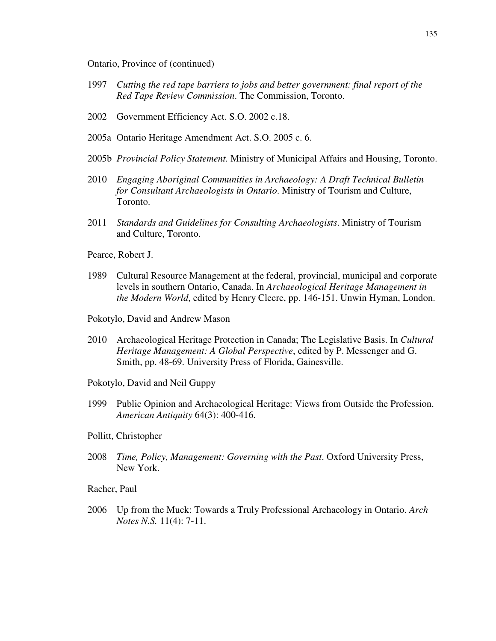Ontario, Province of (continued)

- 1997 *Cutting the red tape barriers to jobs and better government: final report of the Red Tape Review Commission*. The Commission, Toronto.
- 2002 Government Efficiency Act. S.O. 2002 c.18.
- 2005a Ontario Heritage Amendment Act. S.O. 2005 c. 6.
- 2005b *Provincial Policy Statement.* Ministry of Municipal Affairs and Housing, Toronto.
- 2010 *Engaging Aboriginal Communities in Archaeology: A Draft Technical Bulletin for Consultant Archaeologists in Ontario*. Ministry of Tourism and Culture, Toronto.
- 2011 *Standards and Guidelines for Consulting Archaeologists*. Ministry of Tourism and Culture, Toronto.
- Pearce, Robert J.
- 1989 Cultural Resource Management at the federal, provincial, municipal and corporate levels in southern Ontario, Canada. In *Archaeological Heritage Management in the Modern World*, edited by Henry Cleere, pp. 146-151. Unwin Hyman, London.
- Pokotylo, David and Andrew Mason
- 2010 Archaeological Heritage Protection in Canada; The Legislative Basis. In *Cultural Heritage Management: A Global Perspective*, edited by P. Messenger and G. Smith, pp. 48-69. University Press of Florida, Gainesville.
- Pokotylo, David and Neil Guppy
- 1999 Public Opinion and Archaeological Heritage: Views from Outside the Profession. *American Antiquity* 64(3): 400-416.
- Pollitt, Christopher
- 2008 *Time, Policy, Management: Governing with the Past*. Oxford University Press, New York.

Racher, Paul

2006 Up from the Muck: Towards a Truly Professional Archaeology in Ontario. *Arch Notes N.S.* 11(4): 7-11.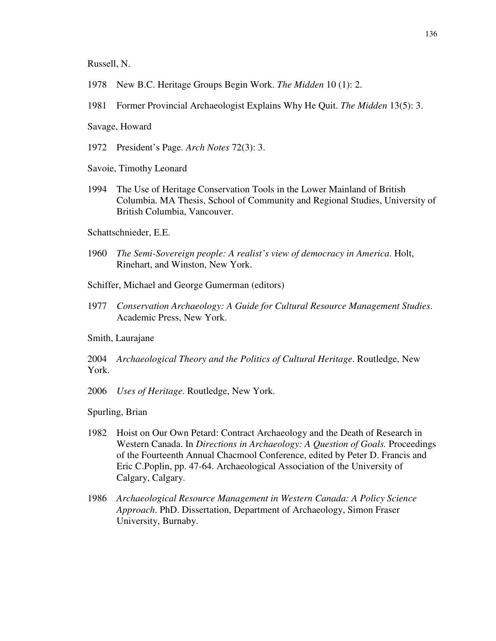Russell, N.

- 1978 New B.C. Heritage Groups Begin Work. *The Midden* 10 (1): 2.
- 1981 Former Provincial Archaeologist Explains Why He Quit. *The Midden* 13(5): 3.

Savage, Howard

- 1972 President's Page. *Arch Notes* 72(3): 3.
- Savoie, Timothy Leonard
- 1994 The Use of Heritage Conservation Tools in the Lower Mainland of British Columbia. MA Thesis, School of Community and Regional Studies, University of British Columbia, Vancouver.
- Schattschnieder, E.E.
- 1960 *The Semi-Sovereign people: A realist's view of democracy in America*. Holt, Rinehart, and Winston, New York.
- Schiffer, Michael and George Gumerman (editors)
- 1977 *Conservation Archaeology: A Guide for Cultural Resource Management Studies*. Academic Press, New York.

Smith, Laurajane

2004 *Archaeological Theory and the Politics of Cultural Heritage*. Routledge, New York.

2006 *Uses of Heritage*. Routledge, New York.

Spurling, Brian

- 1982 Hoist on Our Own Petard: Contract Archaeology and the Death of Research in Western Canada. In *Directions in Archaeology: A Question of Goals*. Proceedings of the Fourteenth Annual Chacmool Conference, edited by Peter D. Francis and Eric C.Poplin, pp. 47-64. Archaeological Association of the University of Calgary, Calgary.
- 1986 *Archaeological Resource Management in Western Canada: A Policy Science Approach*. PhD. Dissertation, Department of Archaeology, Simon Fraser University, Burnaby.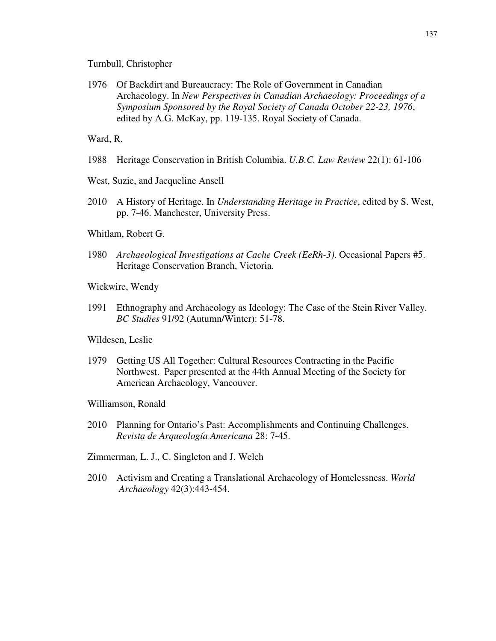#### Turnbull, Christopher

1976 Of Backdirt and Bureaucracy: The Role of Government in Canadian Archaeology. In *New Perspectives in Canadian Archaeology: Proceedings of a Symposium Sponsored by the Royal Society of Canada October 22-23, 1976*, edited by A.G. McKay, pp. 119-135. Royal Society of Canada.

Ward, R.

- 1988 Heritage Conservation in British Columbia. *U.B.C. Law Review* 22(1): 61-106
- West, Suzie, and Jacqueline Ansell
- 2010 A History of Heritage. In *Understanding Heritage in Practice*, edited by S. West, pp. 7-46. Manchester, University Press.
- Whitlam, Robert G.
- 1980 *Archaeological Investigations at Cache Creek (EeRh-3)*. Occasional Papers #5. Heritage Conservation Branch, Victoria.
- Wickwire, Wendy
- 1991 Ethnography and Archaeology as Ideology: The Case of the Stein River Valley. *BC Studies* 91/92 (Autumn/Winter): 51-78.

Wildesen, Leslie

- 1979 Getting US All Together: Cultural Resources Contracting in the Pacific Northwest. Paper presented at the 44th Annual Meeting of the Society for American Archaeology, Vancouver.
- Williamson, Ronald
- 2010 Planning for Ontario's Past: Accomplishments and Continuing Challenges. *Revista de Arqueología Americana* 28: 7-45.
- Zimmerman, L. J., C. Singleton and J. Welch
- 2010 Activism and Creating a Translational Archaeology of Homelessness. *World Archaeology* 42(3):443-454.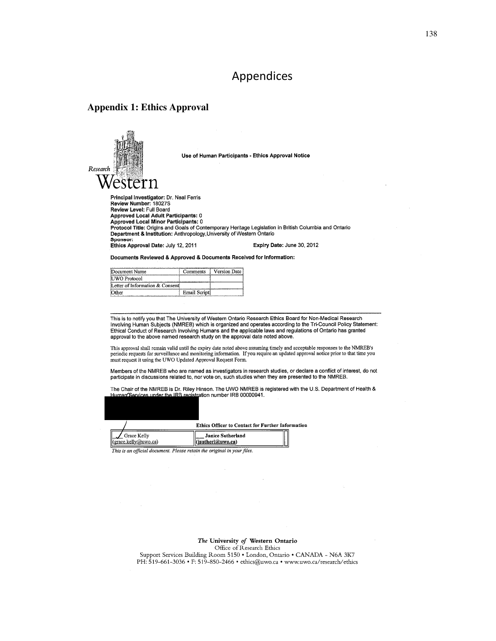## Appendices

### **Appendix 1: Ethics Approval**



Use of Human Participants - Ethics Approval Notice

Principal Investigator: Dr. Neal Ferris<br>Review Number: 18027S Review Level: Full Board Approved Local Adult Participants: 0 Approved Local Minor Participants: 0 Protocol Title: Origins and Goals of Contemporary Heritage Legislation in British Columbia and Ontario Department & Institution: Anthropology, University of Western Ontario Sponsor: Ethics Approval Date: July 12, 2011 Expiry Date: June 30, 2012

Documents Reviewed & Approved & Documents Received for Information:

| Document Name                   | Comments             | Version Date |
|---------------------------------|----------------------|--------------|
| UWO Protocol                    |                      |              |
| Letter of Information & Consent |                      |              |
| ther                            | <b>Email Scripti</b> |              |

This is to notify you that The University of Western Ontario Research Ethics Board for Non-Medical Research Involving Human Subjects (NMREB) which is organized and operates according to the Tri-Council Policy Statement: Ethical Conduct of Research Involving Humans and the applicable laws and regulations of Ontario has granted approval to the above named research study on the approval date noted above.

This approval shall remain valid until the expiry date noted above assuming timely and acceptable responses to the NMREB's periodic requests for surveillance and monitoring information. If you require an updated approval n must request it using the UWO Updated Approval Request Form.

Members of the NMREB who are named as investigators in research studies, or declare a conflict of interest, do not participate in discussions related to, nor vote on, such studies when they are presented to the NMREB.

The Chair of the NMREB is Dr. Riley Hinson. The UWO NMREB is registered with the U.S. Department of Health & inder the IRB red stration number IRB 00000941.



Ethics Officer to Contact for Further Information

Grace Kelly Janice Sutherland (grace.kelly@uwo.ca) (jsutherl@uwo.ca)

This is an official document. Please retain the original in your files.

The University of Western Ontario

Office of Research Ethics

Support Services Building Room 5150 . London, Ontario . CANADA - N6A 3K7 PH: 519-661-3036 • F: 519-850-2466 • ethics@uwo.ca • www.uwo.ca/research/ethics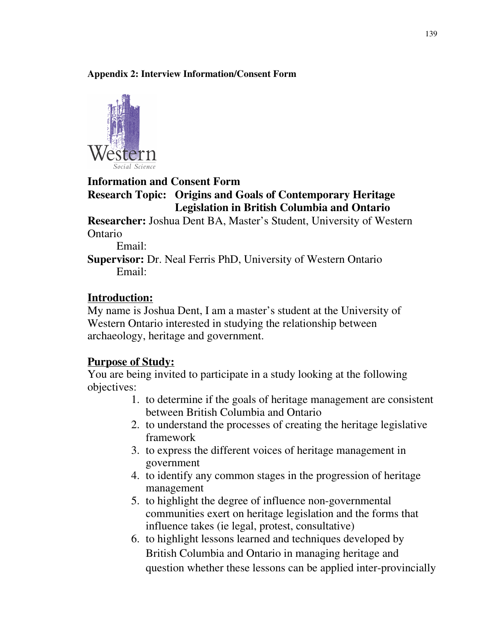### **Appendix 2: Interview Information/Consent Form**



### **Information and Consent Form Research Topic: Origins and Goals of Contemporary Heritage Legislation in British Columbia and Ontario**

**Researcher:** Joshua Dent BA, Master's Student, University of Western Ontario

Email:

**Supervisor:** Dr. Neal Ferris PhD, University of Western Ontario Email:

# **Introduction:**

My name is Joshua Dent, I am a master's student at the University of Western Ontario interested in studying the relationship between archaeology, heritage and government.

# **Purpose of Study:**

You are being invited to participate in a study looking at the following objectives:

- 1. to determine if the goals of heritage management are consistent between British Columbia and Ontario
- 2. to understand the processes of creating the heritage legislative framework
- 3. to express the different voices of heritage management in government
- 4. to identify any common stages in the progression of heritage management
- 5. to highlight the degree of influence non-governmental communities exert on heritage legislation and the forms that influence takes (ie legal, protest, consultative)
- 6. to highlight lessons learned and techniques developed by British Columbia and Ontario in managing heritage and question whether these lessons can be applied inter-provincially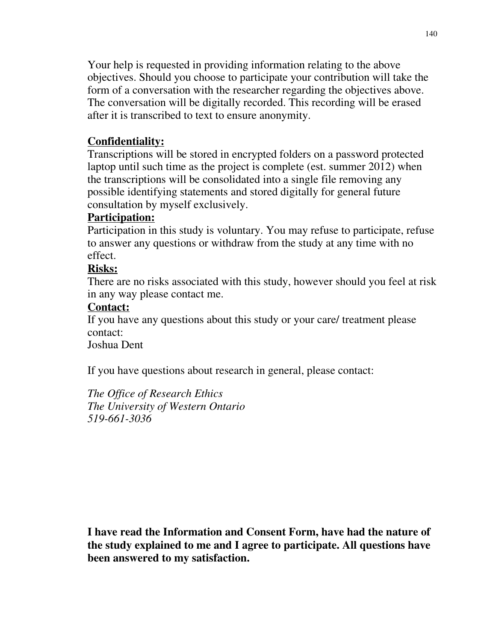Your help is requested in providing information relating to the above objectives. Should you choose to participate your contribution will take the form of a conversation with the researcher regarding the objectives above. The conversation will be digitally recorded. This recording will be erased after it is transcribed to text to ensure anonymity.

# **Confidentiality:**

Transcriptions will be stored in encrypted folders on a password protected laptop until such time as the project is complete (est. summer 2012) when the transcriptions will be consolidated into a single file removing any possible identifying statements and stored digitally for general future consultation by myself exclusively.

# **Participation:**

Participation in this study is voluntary. You may refuse to participate, refuse to answer any questions or withdraw from the study at any time with no effect.

# **Risks:**

There are no risks associated with this study, however should you feel at risk in any way please contact me.

# **Contact:**

If you have any questions about this study or your care/ treatment please contact:

Joshua Dent

If you have questions about research in general, please contact:

*The Office of Research Ethics The University of Western Ontario 519-661-3036*

**I have read the Information and Consent Form, have had the nature of the study explained to me and I agree to participate. All questions have been answered to my satisfaction.**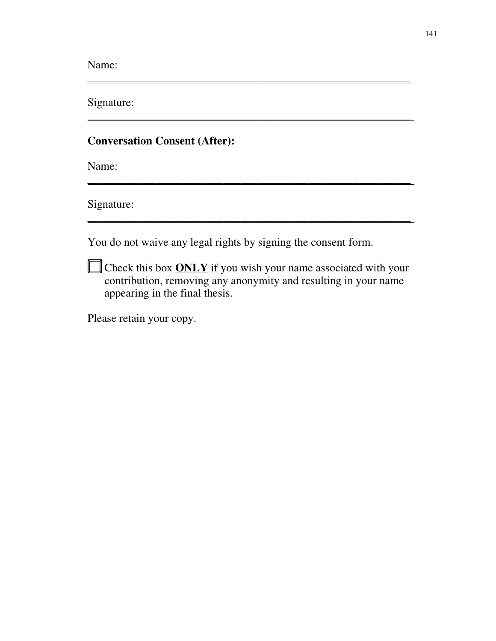Name:

Signature:

## **Conversation Consent (After):**

Name:

Signature:

You do not waive any legal rights by signing the consent form.

**Check this box ONLY** if you wish your name associated with your contribution, removing any anonymity and resulting in your name appearing in the final thesis.

\_\_\_\_\_\_\_\_\_\_\_\_\_\_\_\_\_\_\_\_\_\_\_\_\_\_\_\_\_\_\_\_\_\_\_\_\_\_\_\_\_\_\_\_\_\_\_\_\_\_\_\_\_\_\_\_\_

\_\_\_\_\_\_\_\_\_\_\_\_\_\_\_\_\_\_\_\_\_\_\_\_\_\_\_\_\_\_\_\_\_\_\_\_\_\_\_\_\_\_\_\_\_\_\_\_\_\_\_\_\_\_\_\_\_

\_\_\_\_\_\_\_\_\_\_\_\_\_\_\_\_\_\_\_\_\_\_\_\_\_\_\_\_\_\_\_\_\_\_\_\_\_\_\_\_\_\_\_\_\_\_\_\_\_\_\_\_\_\_\_\_\_

\_\_\_\_\_\_\_\_\_\_\_\_\_\_\_\_\_\_\_\_\_\_\_\_\_\_\_\_\_\_\_\_\_\_\_\_\_\_\_\_\_\_\_\_\_\_\_\_\_\_\_\_\_\_\_\_\_

Please retain your copy.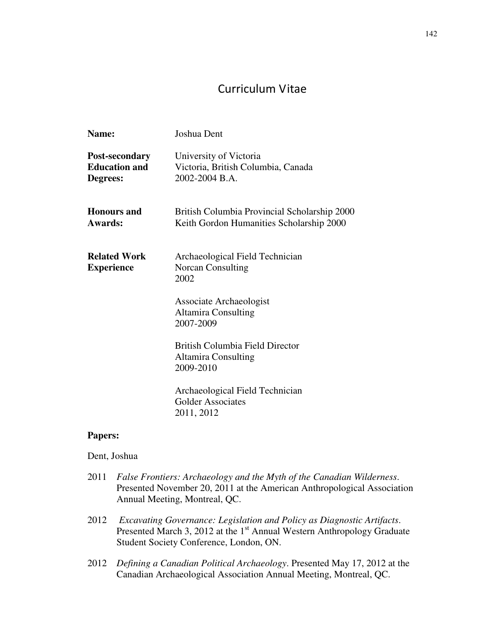# Curriculum Vitae

| Name:                                              | Joshua Dent                                                                              |
|----------------------------------------------------|------------------------------------------------------------------------------------------|
| Post-secondary<br><b>Education and</b><br>Degrees: | University of Victoria<br>Victoria, British Columbia, Canada<br>2002-2004 B.A.           |
| <b>Honours</b> and<br>Awards:                      | British Columbia Provincial Scholarship 2000<br>Keith Gordon Humanities Scholarship 2000 |
| <b>Related Work</b><br><b>Experience</b>           | Archaeological Field Technician<br><b>Norcan Consulting</b><br>2002                      |
|                                                    | Associate Archaeologist<br><b>Altamira Consulting</b><br>2007-2009                       |
|                                                    | British Columbia Field Director<br><b>Altamira Consulting</b><br>2009-2010               |
|                                                    | Archaeological Field Technician<br><b>Golder Associates</b><br>2011, 2012                |

### **Papers:**

### Dent, Joshua

- 2011 *False Frontiers: Archaeology and the Myth of the Canadian Wilderness*. Presented November 20, 2011 at the American Anthropological Association Annual Meeting, Montreal, QC.
- 2012 *Excavating Governance: Legislation and Policy as Diagnostic Artifacts*. Presented March 3, 2012 at the 1<sup>st</sup> Annual Western Anthropology Graduate Student Society Conference, London, ON.
- 2012 *Defining a Canadian Political Archaeology*. Presented May 17, 2012 at the Canadian Archaeological Association Annual Meeting, Montreal, QC.